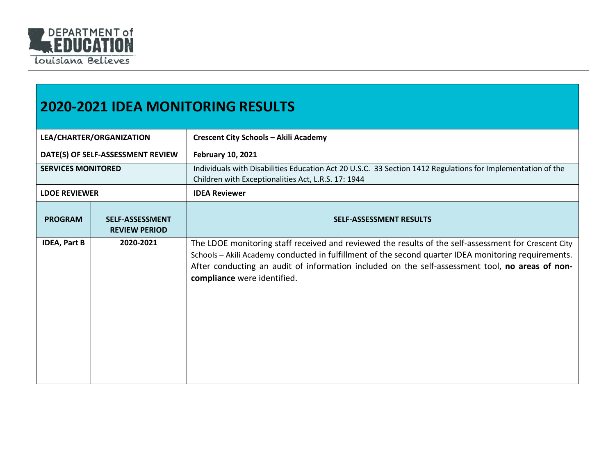

## **2020-2021 IDEA MONITORING RESULTS**

| LEA/CHARTER/ORGANIZATION          |                                                | <b>Crescent City Schools - Akili Academy</b>                                                                                                                                                                                                                                                                                                   |
|-----------------------------------|------------------------------------------------|------------------------------------------------------------------------------------------------------------------------------------------------------------------------------------------------------------------------------------------------------------------------------------------------------------------------------------------------|
| DATE(S) OF SELF-ASSESSMENT REVIEW |                                                | <b>February 10, 2021</b>                                                                                                                                                                                                                                                                                                                       |
| <b>SERVICES MONITORED</b>         |                                                | Individuals with Disabilities Education Act 20 U.S.C. 33 Section 1412 Regulations for Implementation of the<br>Children with Exceptionalities Act, L.R.S. 17: 1944                                                                                                                                                                             |
| <b>LDOE REVIEWER</b>              |                                                | <b>IDEA Reviewer</b>                                                                                                                                                                                                                                                                                                                           |
| <b>PROGRAM</b>                    | <b>SELF-ASSESSMENT</b><br><b>REVIEW PERIOD</b> | <b>SELF-ASSESSMENT RESULTS</b>                                                                                                                                                                                                                                                                                                                 |
| <b>IDEA, Part B</b>               | 2020-2021                                      | The LDOE monitoring staff received and reviewed the results of the self-assessment for Crescent City<br>Schools - Akili Academy conducted in fulfillment of the second quarter IDEA monitoring requirements.<br>After conducting an audit of information included on the self-assessment tool, no areas of non-<br>compliance were identified. |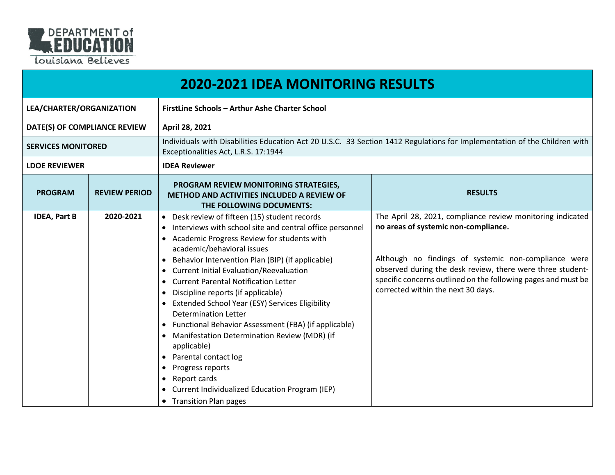

|                              |                      | <b>2020-2021 IDEA MONITORING RESULTS</b>                                                                                                                                                                                                                                                                                                                                                                                                                                                                                                                                                                                                                                                                                                                                                                                   |                                                                                                                                                                                                                                                                                                                                 |  |
|------------------------------|----------------------|----------------------------------------------------------------------------------------------------------------------------------------------------------------------------------------------------------------------------------------------------------------------------------------------------------------------------------------------------------------------------------------------------------------------------------------------------------------------------------------------------------------------------------------------------------------------------------------------------------------------------------------------------------------------------------------------------------------------------------------------------------------------------------------------------------------------------|---------------------------------------------------------------------------------------------------------------------------------------------------------------------------------------------------------------------------------------------------------------------------------------------------------------------------------|--|
| LEA/CHARTER/ORGANIZATION     |                      | FirstLine Schools - Arthur Ashe Charter School                                                                                                                                                                                                                                                                                                                                                                                                                                                                                                                                                                                                                                                                                                                                                                             |                                                                                                                                                                                                                                                                                                                                 |  |
| DATE(S) OF COMPLIANCE REVIEW |                      | April 28, 2021                                                                                                                                                                                                                                                                                                                                                                                                                                                                                                                                                                                                                                                                                                                                                                                                             |                                                                                                                                                                                                                                                                                                                                 |  |
| <b>SERVICES MONITORED</b>    |                      | Exceptionalities Act, L.R.S. 17:1944                                                                                                                                                                                                                                                                                                                                                                                                                                                                                                                                                                                                                                                                                                                                                                                       | Individuals with Disabilities Education Act 20 U.S.C. 33 Section 1412 Regulations for Implementation of the Children with                                                                                                                                                                                                       |  |
| <b>LDOE REVIEWER</b>         |                      | <b>IDEA Reviewer</b>                                                                                                                                                                                                                                                                                                                                                                                                                                                                                                                                                                                                                                                                                                                                                                                                       |                                                                                                                                                                                                                                                                                                                                 |  |
| <b>PROGRAM</b>               | <b>REVIEW PERIOD</b> | PROGRAM REVIEW MONITORING STRATEGIES,<br><b>METHOD AND ACTIVITIES INCLUDED A REVIEW OF</b><br>THE FOLLOWING DOCUMENTS:                                                                                                                                                                                                                                                                                                                                                                                                                                                                                                                                                                                                                                                                                                     | <b>RESULTS</b>                                                                                                                                                                                                                                                                                                                  |  |
| <b>IDEA, Part B</b>          | 2020-2021            | • Desk review of fifteen (15) student records<br>• Interviews with school site and central office personnel<br>Academic Progress Review for students with<br>academic/behavioral issues<br>Behavior Intervention Plan (BIP) (if applicable)<br>$\bullet$<br><b>Current Initial Evaluation/Reevaluation</b><br>$\bullet$<br>• Current Parental Notification Letter<br>Discipline reports (if applicable)<br>$\bullet$<br>Extended School Year (ESY) Services Eligibility<br><b>Determination Letter</b><br>Functional Behavior Assessment (FBA) (if applicable)<br>$\bullet$<br>Manifestation Determination Review (MDR) (if<br>$\bullet$<br>applicable)<br>Parental contact log<br>$\bullet$<br>Progress reports<br>Report cards<br>$\bullet$<br>Current Individualized Education Program (IEP)<br>• Transition Plan pages | The April 28, 2021, compliance review monitoring indicated<br>no areas of systemic non-compliance.<br>Although no findings of systemic non-compliance were<br>observed during the desk review, there were three student-<br>specific concerns outlined on the following pages and must be<br>corrected within the next 30 days. |  |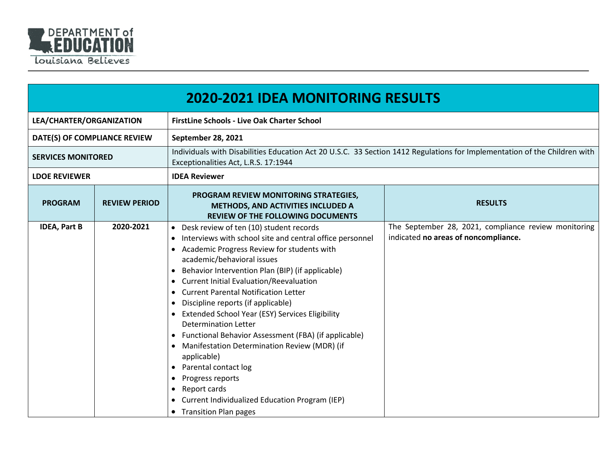

|                              | <b>2020-2021 IDEA MONITORING RESULTS</b> |                                                                                                                                                                                                                                                                                                                                                                                                                                                                                                                                                                                                                                                                                                                                                                                                   |                                                                                              |  |
|------------------------------|------------------------------------------|---------------------------------------------------------------------------------------------------------------------------------------------------------------------------------------------------------------------------------------------------------------------------------------------------------------------------------------------------------------------------------------------------------------------------------------------------------------------------------------------------------------------------------------------------------------------------------------------------------------------------------------------------------------------------------------------------------------------------------------------------------------------------------------------------|----------------------------------------------------------------------------------------------|--|
| LEA/CHARTER/ORGANIZATION     |                                          | <b>FirstLine Schools - Live Oak Charter School</b>                                                                                                                                                                                                                                                                                                                                                                                                                                                                                                                                                                                                                                                                                                                                                |                                                                                              |  |
| DATE(S) OF COMPLIANCE REVIEW |                                          | September 28, 2021                                                                                                                                                                                                                                                                                                                                                                                                                                                                                                                                                                                                                                                                                                                                                                                |                                                                                              |  |
| <b>SERVICES MONITORED</b>    |                                          | Individuals with Disabilities Education Act 20 U.S.C. 33 Section 1412 Regulations for Implementation of the Children with<br>Exceptionalities Act, L.R.S. 17:1944                                                                                                                                                                                                                                                                                                                                                                                                                                                                                                                                                                                                                                 |                                                                                              |  |
| <b>LDOE REVIEWER</b>         |                                          | <b>IDEA Reviewer</b>                                                                                                                                                                                                                                                                                                                                                                                                                                                                                                                                                                                                                                                                                                                                                                              |                                                                                              |  |
| <b>PROGRAM</b>               | <b>REVIEW PERIOD</b>                     | PROGRAM REVIEW MONITORING STRATEGIES,<br>METHODS, AND ACTIVITIES INCLUDED A<br><b>REVIEW OF THE FOLLOWING DOCUMENTS</b>                                                                                                                                                                                                                                                                                                                                                                                                                                                                                                                                                                                                                                                                           | <b>RESULTS</b>                                                                               |  |
| <b>IDEA, Part B</b>          | 2020-2021                                | • Desk review of ten (10) student records<br>Interviews with school site and central office personnel<br>• Academic Progress Review for students with<br>academic/behavioral issues<br>Behavior Intervention Plan (BIP) (if applicable)<br>Current Initial Evaluation/Reevaluation<br><b>Current Parental Notification Letter</b><br>Discipline reports (if applicable)<br><b>Extended School Year (ESY) Services Eligibility</b><br>$\bullet$<br><b>Determination Letter</b><br>Functional Behavior Assessment (FBA) (if applicable)<br>Manifestation Determination Review (MDR) (if<br>$\bullet$<br>applicable)<br>Parental contact log<br>$\bullet$<br>Progress reports<br>$\bullet$<br>Report cards<br>$\bullet$<br>Current Individualized Education Program (IEP)<br>• Transition Plan pages | The September 28, 2021, compliance review monitoring<br>indicated no areas of noncompliance. |  |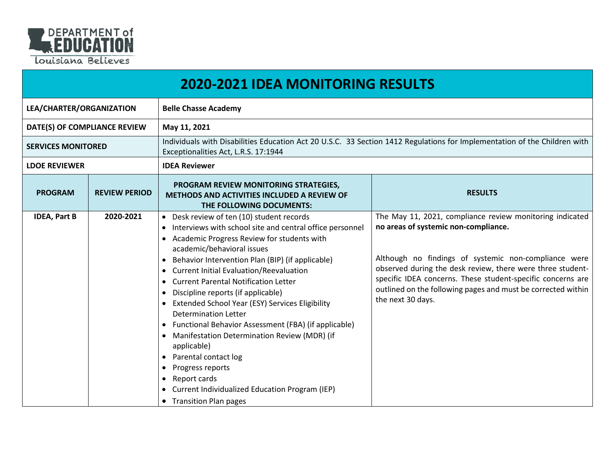

|                              | <b>2020-2021 IDEA MONITORING RESULTS</b> |                                                                                                                                                                                                                                                                                                                                                                                                                                                                                                                                                                                                                                                                                                                                                                                                                                                  |                                                                                                                                                                                                                                                                                                                                                                            |  |
|------------------------------|------------------------------------------|--------------------------------------------------------------------------------------------------------------------------------------------------------------------------------------------------------------------------------------------------------------------------------------------------------------------------------------------------------------------------------------------------------------------------------------------------------------------------------------------------------------------------------------------------------------------------------------------------------------------------------------------------------------------------------------------------------------------------------------------------------------------------------------------------------------------------------------------------|----------------------------------------------------------------------------------------------------------------------------------------------------------------------------------------------------------------------------------------------------------------------------------------------------------------------------------------------------------------------------|--|
| LEA/CHARTER/ORGANIZATION     |                                          | <b>Belle Chasse Academy</b>                                                                                                                                                                                                                                                                                                                                                                                                                                                                                                                                                                                                                                                                                                                                                                                                                      |                                                                                                                                                                                                                                                                                                                                                                            |  |
| DATE(S) OF COMPLIANCE REVIEW |                                          | May 11, 2021                                                                                                                                                                                                                                                                                                                                                                                                                                                                                                                                                                                                                                                                                                                                                                                                                                     |                                                                                                                                                                                                                                                                                                                                                                            |  |
| <b>SERVICES MONITORED</b>    |                                          | Individuals with Disabilities Education Act 20 U.S.C. 33 Section 1412 Regulations for Implementation of the Children with<br>Exceptionalities Act, L.R.S. 17:1944                                                                                                                                                                                                                                                                                                                                                                                                                                                                                                                                                                                                                                                                                |                                                                                                                                                                                                                                                                                                                                                                            |  |
| <b>LDOE REVIEWER</b>         |                                          | <b>IDEA Reviewer</b>                                                                                                                                                                                                                                                                                                                                                                                                                                                                                                                                                                                                                                                                                                                                                                                                                             |                                                                                                                                                                                                                                                                                                                                                                            |  |
| <b>PROGRAM</b>               | <b>REVIEW PERIOD</b>                     | PROGRAM REVIEW MONITORING STRATEGIES,<br>METHODS AND ACTIVITIES INCLUDED A REVIEW OF<br>THE FOLLOWING DOCUMENTS:                                                                                                                                                                                                                                                                                                                                                                                                                                                                                                                                                                                                                                                                                                                                 | <b>RESULTS</b>                                                                                                                                                                                                                                                                                                                                                             |  |
| <b>IDEA, Part B</b>          | 2020-2021                                | • Desk review of ten (10) student records<br>• Interviews with school site and central office personnel<br>Academic Progress Review for students with<br>academic/behavioral issues<br>Behavior Intervention Plan (BIP) (if applicable)<br>$\bullet$<br><b>Current Initial Evaluation/Reevaluation</b><br>$\bullet$<br>• Current Parental Notification Letter<br>Discipline reports (if applicable)<br>$\bullet$<br>Extended School Year (ESY) Services Eligibility<br>$\bullet$<br><b>Determination Letter</b><br>Functional Behavior Assessment (FBA) (if applicable)<br>$\bullet$<br>Manifestation Determination Review (MDR) (if<br>$\bullet$<br>applicable)<br>Parental contact log<br>$\bullet$<br>Progress reports<br>$\bullet$<br>Report cards<br>$\bullet$<br>Current Individualized Education Program (IEP)<br>• Transition Plan pages | The May 11, 2021, compliance review monitoring indicated<br>no areas of systemic non-compliance.<br>Although no findings of systemic non-compliance were<br>observed during the desk review, there were three student-<br>specific IDEA concerns. These student-specific concerns are<br>outlined on the following pages and must be corrected within<br>the next 30 days. |  |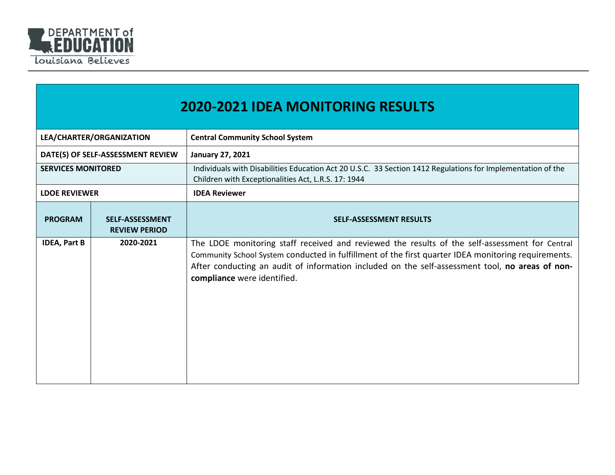

|                           | <b>2020-2021 IDEA MONITORING RESULTS</b>       |                                                                                                                                                                                                                                                                                                                                         |  |  |
|---------------------------|------------------------------------------------|-----------------------------------------------------------------------------------------------------------------------------------------------------------------------------------------------------------------------------------------------------------------------------------------------------------------------------------------|--|--|
|                           | LEA/CHARTER/ORGANIZATION                       | <b>Central Community School System</b>                                                                                                                                                                                                                                                                                                  |  |  |
|                           | DATE(S) OF SELF-ASSESSMENT REVIEW              | <b>January 27, 2021</b>                                                                                                                                                                                                                                                                                                                 |  |  |
| <b>SERVICES MONITORED</b> |                                                | Individuals with Disabilities Education Act 20 U.S.C. 33 Section 1412 Regulations for Implementation of the<br>Children with Exceptionalities Act, L.R.S. 17: 1944                                                                                                                                                                      |  |  |
| <b>LDOE REVIEWER</b>      |                                                | <b>IDEA Reviewer</b>                                                                                                                                                                                                                                                                                                                    |  |  |
| <b>PROGRAM</b>            | <b>SELF-ASSESSMENT</b><br><b>REVIEW PERIOD</b> | <b>SELF-ASSESSMENT RESULTS</b>                                                                                                                                                                                                                                                                                                          |  |  |
| <b>IDEA, Part B</b>       | 2020-2021                                      | The LDOE monitoring staff received and reviewed the results of the self-assessment for Central<br>Community School System conducted in fulfillment of the first quarter IDEA monitoring requirements.<br>After conducting an audit of information included on the self-assessment tool, no areas of non-<br>compliance were identified. |  |  |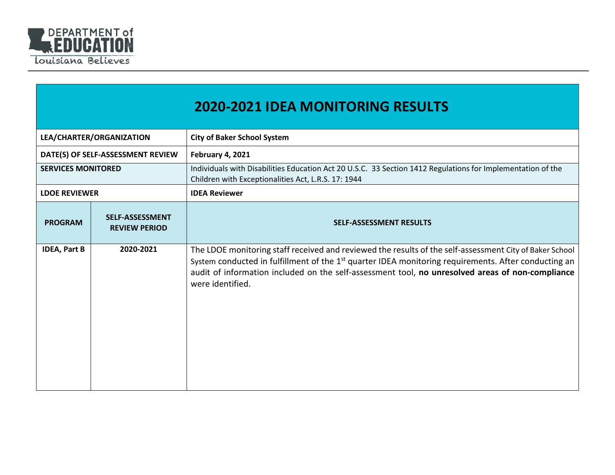

|                           |                                                | <b>2020-2021 IDEA MONITORING RESULTS</b>                                                                                                                                                                                                                                                                                                            |
|---------------------------|------------------------------------------------|-----------------------------------------------------------------------------------------------------------------------------------------------------------------------------------------------------------------------------------------------------------------------------------------------------------------------------------------------------|
|                           | LEA/CHARTER/ORGANIZATION                       | <b>City of Baker School System</b>                                                                                                                                                                                                                                                                                                                  |
|                           | DATE(S) OF SELF-ASSESSMENT REVIEW              | February 4, 2021                                                                                                                                                                                                                                                                                                                                    |
| <b>SERVICES MONITORED</b> |                                                | Individuals with Disabilities Education Act 20 U.S.C. 33 Section 1412 Regulations for Implementation of the<br>Children with Exceptionalities Act, L.R.S. 17: 1944                                                                                                                                                                                  |
| <b>LDOE REVIEWER</b>      |                                                | <b>IDEA Reviewer</b>                                                                                                                                                                                                                                                                                                                                |
| <b>PROGRAM</b>            | <b>SELF-ASSESSMENT</b><br><b>REVIEW PERIOD</b> | <b>SELF-ASSESSMENT RESULTS</b>                                                                                                                                                                                                                                                                                                                      |
| <b>IDEA, Part B</b>       | 2020-2021                                      | The LDOE monitoring staff received and reviewed the results of the self-assessment City of Baker School<br>System conducted in fulfillment of the 1 <sup>st</sup> quarter IDEA monitoring requirements. After conducting an<br>audit of information included on the self-assessment tool, no unresolved areas of non-compliance<br>were identified. |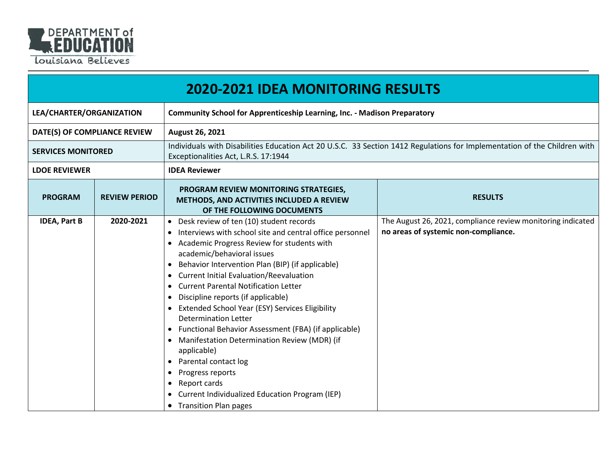

|                              | <b>2020-2021 IDEA MONITORING RESULTS</b> |                                                                                                                                                                                                                                                                                                                                                                                                                                                                                                                                                                                                                                                                                                                                                                                                                                             |                                                                                                     |  |  |
|------------------------------|------------------------------------------|---------------------------------------------------------------------------------------------------------------------------------------------------------------------------------------------------------------------------------------------------------------------------------------------------------------------------------------------------------------------------------------------------------------------------------------------------------------------------------------------------------------------------------------------------------------------------------------------------------------------------------------------------------------------------------------------------------------------------------------------------------------------------------------------------------------------------------------------|-----------------------------------------------------------------------------------------------------|--|--|
| LEA/CHARTER/ORGANIZATION     |                                          | <b>Community School for Apprenticeship Learning, Inc. - Madison Preparatory</b>                                                                                                                                                                                                                                                                                                                                                                                                                                                                                                                                                                                                                                                                                                                                                             |                                                                                                     |  |  |
| DATE(S) OF COMPLIANCE REVIEW |                                          | August 26, 2021                                                                                                                                                                                                                                                                                                                                                                                                                                                                                                                                                                                                                                                                                                                                                                                                                             |                                                                                                     |  |  |
| <b>SERVICES MONITORED</b>    |                                          | Individuals with Disabilities Education Act 20 U.S.C. 33 Section 1412 Regulations for Implementation of the Children with<br>Exceptionalities Act, L.R.S. 17:1944                                                                                                                                                                                                                                                                                                                                                                                                                                                                                                                                                                                                                                                                           |                                                                                                     |  |  |
| <b>LDOE REVIEWER</b>         |                                          | <b>IDEA Reviewer</b>                                                                                                                                                                                                                                                                                                                                                                                                                                                                                                                                                                                                                                                                                                                                                                                                                        |                                                                                                     |  |  |
| <b>PROGRAM</b>               | <b>REVIEW PERIOD</b>                     | PROGRAM REVIEW MONITORING STRATEGIES,<br>METHODS, AND ACTIVITIES INCLUDED A REVIEW<br>OF THE FOLLOWING DOCUMENTS                                                                                                                                                                                                                                                                                                                                                                                                                                                                                                                                                                                                                                                                                                                            | <b>RESULTS</b>                                                                                      |  |  |
| <b>IDEA, Part B</b>          | 2020-2021                                | • Desk review of ten (10) student records<br>Interviews with school site and central office personnel<br>$\bullet$<br>Academic Progress Review for students with<br>academic/behavioral issues<br>Behavior Intervention Plan (BIP) (if applicable)<br>$\bullet$<br><b>Current Initial Evaluation/Reevaluation</b><br>٠<br><b>Current Parental Notification Letter</b><br>$\bullet$<br>Discipline reports (if applicable)<br>$\bullet$<br>Extended School Year (ESY) Services Eligibility<br><b>Determination Letter</b><br>Functional Behavior Assessment (FBA) (if applicable)<br>$\bullet$<br>Manifestation Determination Review (MDR) (if<br>applicable)<br>Parental contact log<br>$\bullet$<br>Progress reports<br>Report cards<br>$\bullet$<br>Current Individualized Education Program (IEP)<br>$\bullet$<br>• Transition Plan pages | The August 26, 2021, compliance review monitoring indicated<br>no areas of systemic non-compliance. |  |  |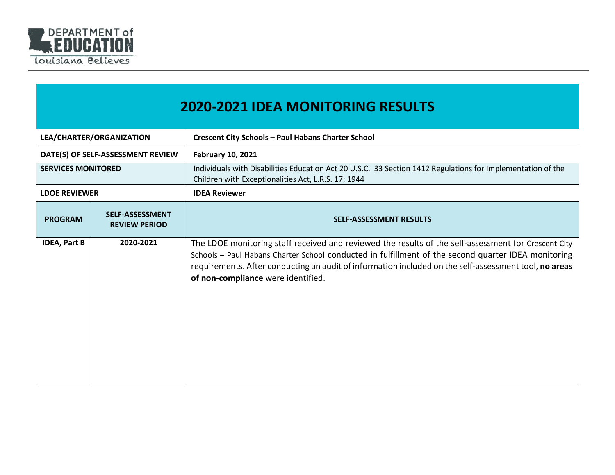

|                           | <b>2020-2021 IDEA MONITORING RESULTS</b>       |                                                                                                                                                                                                                                                                                                                                                            |  |  |
|---------------------------|------------------------------------------------|------------------------------------------------------------------------------------------------------------------------------------------------------------------------------------------------------------------------------------------------------------------------------------------------------------------------------------------------------------|--|--|
| LEA/CHARTER/ORGANIZATION  |                                                | <b>Crescent City Schools - Paul Habans Charter School</b>                                                                                                                                                                                                                                                                                                  |  |  |
|                           | DATE(S) OF SELF-ASSESSMENT REVIEW              | <b>February 10, 2021</b>                                                                                                                                                                                                                                                                                                                                   |  |  |
| <b>SERVICES MONITORED</b> |                                                | Individuals with Disabilities Education Act 20 U.S.C. 33 Section 1412 Regulations for Implementation of the<br>Children with Exceptionalities Act, L.R.S. 17: 1944                                                                                                                                                                                         |  |  |
| <b>LDOE REVIEWER</b>      |                                                | <b>IDEA Reviewer</b>                                                                                                                                                                                                                                                                                                                                       |  |  |
| <b>PROGRAM</b>            | <b>SELF-ASSESSMENT</b><br><b>REVIEW PERIOD</b> | <b>SELF-ASSESSMENT RESULTS</b>                                                                                                                                                                                                                                                                                                                             |  |  |
| <b>IDEA, Part B</b>       | 2020-2021                                      | The LDOE monitoring staff received and reviewed the results of the self-assessment for Crescent City<br>Schools - Paul Habans Charter School conducted in fulfillment of the second quarter IDEA monitoring<br>requirements. After conducting an audit of information included on the self-assessment tool, no areas<br>of non-compliance were identified. |  |  |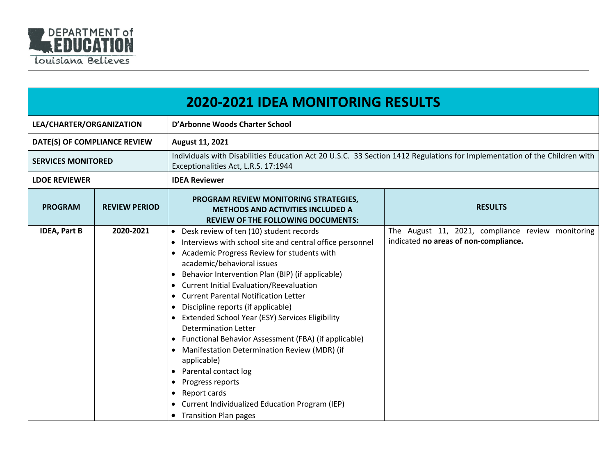

|                              | <b>2020-2021 IDEA MONITORING RESULTS</b> |                                                                                                                                                                                                                                                                                                                                                                                                                                                                                                                                                                                                                                                                                                                                                                                                                                                                    |                                                                                                                           |  |  |
|------------------------------|------------------------------------------|--------------------------------------------------------------------------------------------------------------------------------------------------------------------------------------------------------------------------------------------------------------------------------------------------------------------------------------------------------------------------------------------------------------------------------------------------------------------------------------------------------------------------------------------------------------------------------------------------------------------------------------------------------------------------------------------------------------------------------------------------------------------------------------------------------------------------------------------------------------------|---------------------------------------------------------------------------------------------------------------------------|--|--|
| LEA/CHARTER/ORGANIZATION     |                                          | D'Arbonne Woods Charter School                                                                                                                                                                                                                                                                                                                                                                                                                                                                                                                                                                                                                                                                                                                                                                                                                                     |                                                                                                                           |  |  |
| DATE(S) OF COMPLIANCE REVIEW |                                          | August 11, 2021                                                                                                                                                                                                                                                                                                                                                                                                                                                                                                                                                                                                                                                                                                                                                                                                                                                    |                                                                                                                           |  |  |
| <b>SERVICES MONITORED</b>    |                                          | Exceptionalities Act, L.R.S. 17:1944                                                                                                                                                                                                                                                                                                                                                                                                                                                                                                                                                                                                                                                                                                                                                                                                                               | Individuals with Disabilities Education Act 20 U.S.C. 33 Section 1412 Regulations for Implementation of the Children with |  |  |
| <b>LDOE REVIEWER</b>         |                                          | <b>IDEA Reviewer</b>                                                                                                                                                                                                                                                                                                                                                                                                                                                                                                                                                                                                                                                                                                                                                                                                                                               |                                                                                                                           |  |  |
| <b>PROGRAM</b>               | <b>REVIEW PERIOD</b>                     | PROGRAM REVIEW MONITORING STRATEGIES,<br><b>METHODS AND ACTIVITIES INCLUDED A</b><br><b>REVIEW OF THE FOLLOWING DOCUMENTS:</b>                                                                                                                                                                                                                                                                                                                                                                                                                                                                                                                                                                                                                                                                                                                                     | <b>RESULTS</b>                                                                                                            |  |  |
| <b>IDEA, Part B</b>          | 2020-2021                                | Desk review of ten (10) student records<br>$\bullet$<br>Interviews with school site and central office personnel<br>$\bullet$<br>Academic Progress Review for students with<br>$\bullet$<br>academic/behavioral issues<br>Behavior Intervention Plan (BIP) (if applicable)<br>$\bullet$<br><b>Current Initial Evaluation/Reevaluation</b><br>$\bullet$<br><b>Current Parental Notification Letter</b><br>$\bullet$<br>Discipline reports (if applicable)<br>• Extended School Year (ESY) Services Eligibility<br><b>Determination Letter</b><br>Functional Behavior Assessment (FBA) (if applicable)<br>$\bullet$<br>Manifestation Determination Review (MDR) (if<br>$\bullet$<br>applicable)<br>• Parental contact log<br>Progress reports<br>$\bullet$<br>Report cards<br>$\bullet$<br>Current Individualized Education Program (IEP)<br>• Transition Plan pages | The August 11, 2021, compliance review monitoring<br>indicated no areas of non-compliance.                                |  |  |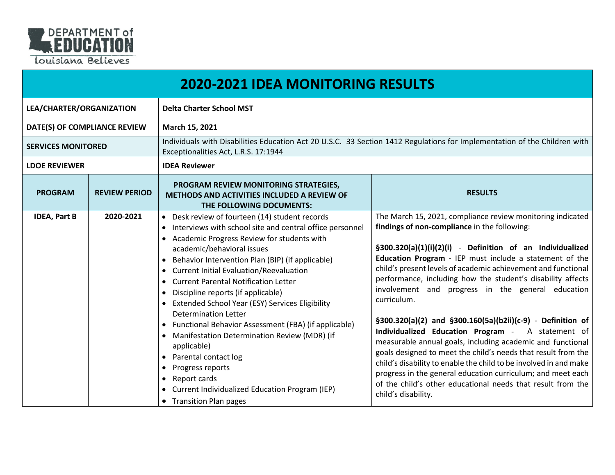

|                              | <b>2020-2021 IDEA MONITORING RESULTS</b> |                                                                                                                                                                                                                                                                                                                                                                                                                                                                                                                                                                                                                                                                                                                                                                                                                      |                                                                                                                                                                                                                                                                                                                                                                                                                                                                                                                                                                                                                                                                                                                                                                                                                                                                                                                    |  |  |
|------------------------------|------------------------------------------|----------------------------------------------------------------------------------------------------------------------------------------------------------------------------------------------------------------------------------------------------------------------------------------------------------------------------------------------------------------------------------------------------------------------------------------------------------------------------------------------------------------------------------------------------------------------------------------------------------------------------------------------------------------------------------------------------------------------------------------------------------------------------------------------------------------------|--------------------------------------------------------------------------------------------------------------------------------------------------------------------------------------------------------------------------------------------------------------------------------------------------------------------------------------------------------------------------------------------------------------------------------------------------------------------------------------------------------------------------------------------------------------------------------------------------------------------------------------------------------------------------------------------------------------------------------------------------------------------------------------------------------------------------------------------------------------------------------------------------------------------|--|--|
| LEA/CHARTER/ORGANIZATION     |                                          | <b>Delta Charter School MST</b>                                                                                                                                                                                                                                                                                                                                                                                                                                                                                                                                                                                                                                                                                                                                                                                      |                                                                                                                                                                                                                                                                                                                                                                                                                                                                                                                                                                                                                                                                                                                                                                                                                                                                                                                    |  |  |
| DATE(S) OF COMPLIANCE REVIEW |                                          | March 15, 2021                                                                                                                                                                                                                                                                                                                                                                                                                                                                                                                                                                                                                                                                                                                                                                                                       |                                                                                                                                                                                                                                                                                                                                                                                                                                                                                                                                                                                                                                                                                                                                                                                                                                                                                                                    |  |  |
| <b>SERVICES MONITORED</b>    |                                          | Exceptionalities Act, L.R.S. 17:1944                                                                                                                                                                                                                                                                                                                                                                                                                                                                                                                                                                                                                                                                                                                                                                                 | Individuals with Disabilities Education Act 20 U.S.C. 33 Section 1412 Regulations for Implementation of the Children with                                                                                                                                                                                                                                                                                                                                                                                                                                                                                                                                                                                                                                                                                                                                                                                          |  |  |
| <b>LDOE REVIEWER</b>         |                                          | <b>IDEA Reviewer</b>                                                                                                                                                                                                                                                                                                                                                                                                                                                                                                                                                                                                                                                                                                                                                                                                 |                                                                                                                                                                                                                                                                                                                                                                                                                                                                                                                                                                                                                                                                                                                                                                                                                                                                                                                    |  |  |
| <b>PROGRAM</b>               | <b>REVIEW PERIOD</b>                     | PROGRAM REVIEW MONITORING STRATEGIES,<br><b>METHODS AND ACTIVITIES INCLUDED A REVIEW OF</b><br>THE FOLLOWING DOCUMENTS:                                                                                                                                                                                                                                                                                                                                                                                                                                                                                                                                                                                                                                                                                              | <b>RESULTS</b>                                                                                                                                                                                                                                                                                                                                                                                                                                                                                                                                                                                                                                                                                                                                                                                                                                                                                                     |  |  |
| <b>IDEA, Part B</b>          | 2020-2021                                | • Desk review of fourteen (14) student records<br>• Interviews with school site and central office personnel<br>• Academic Progress Review for students with<br>academic/behavioral issues<br>Behavior Intervention Plan (BIP) (if applicable)<br>• Current Initial Evaluation/Reevaluation<br><b>Current Parental Notification Letter</b><br>$\bullet$<br>Discipline reports (if applicable)<br>$\bullet$<br>Extended School Year (ESY) Services Eligibility<br><b>Determination Letter</b><br>• Functional Behavior Assessment (FBA) (if applicable)<br>Manifestation Determination Review (MDR) (if<br>$\bullet$<br>applicable)<br>Parental contact log<br>$\bullet$<br>Progress reports<br>$\bullet$<br>Report cards<br>$\bullet$<br>• Current Individualized Education Program (IEP)<br>• Transition Plan pages | The March 15, 2021, compliance review monitoring indicated<br>findings of non-compliance in the following:<br>§300.320(a)(1)(i)(2)(i) - Definition of an Individualized<br>Education Program - IEP must include a statement of the<br>child's present levels of academic achievement and functional<br>performance, including how the student's disability affects<br>involvement and progress in the general education<br>curriculum.<br>§300.320(a)(2) and §300.160(5a)(b2ii)(c-9) - Definition of<br>Individualized Education Program - A statement of<br>measurable annual goals, including academic and functional<br>goals designed to meet the child's needs that result from the<br>child's disability to enable the child to be involved in and make<br>progress in the general education curriculum; and meet each<br>of the child's other educational needs that result from the<br>child's disability. |  |  |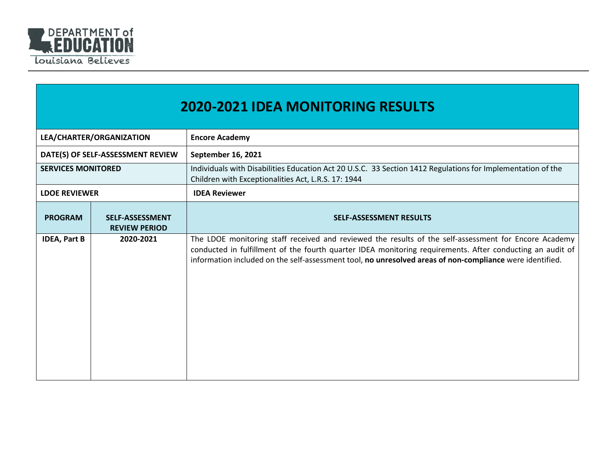

|                           | <b>2020-2021 IDEA MONITORING RESULTS</b>       |                                                                                                                                                                                                                                                                                                                                |  |  |
|---------------------------|------------------------------------------------|--------------------------------------------------------------------------------------------------------------------------------------------------------------------------------------------------------------------------------------------------------------------------------------------------------------------------------|--|--|
| LEA/CHARTER/ORGANIZATION  |                                                | <b>Encore Academy</b>                                                                                                                                                                                                                                                                                                          |  |  |
|                           | DATE(S) OF SELF-ASSESSMENT REVIEW              | September 16, 2021                                                                                                                                                                                                                                                                                                             |  |  |
| <b>SERVICES MONITORED</b> |                                                | Individuals with Disabilities Education Act 20 U.S.C. 33 Section 1412 Regulations for Implementation of the<br>Children with Exceptionalities Act, L.R.S. 17: 1944                                                                                                                                                             |  |  |
| <b>LDOE REVIEWER</b>      |                                                | <b>IDEA Reviewer</b>                                                                                                                                                                                                                                                                                                           |  |  |
| <b>PROGRAM</b>            | <b>SELF-ASSESSMENT</b><br><b>REVIEW PERIOD</b> | <b>SELF-ASSESSMENT RESULTS</b>                                                                                                                                                                                                                                                                                                 |  |  |
| <b>IDEA, Part B</b>       | 2020-2021                                      | The LDOE monitoring staff received and reviewed the results of the self-assessment for Encore Academy<br>conducted in fulfillment of the fourth quarter IDEA monitoring requirements. After conducting an audit of<br>information included on the self-assessment tool, no unresolved areas of non-compliance were identified. |  |  |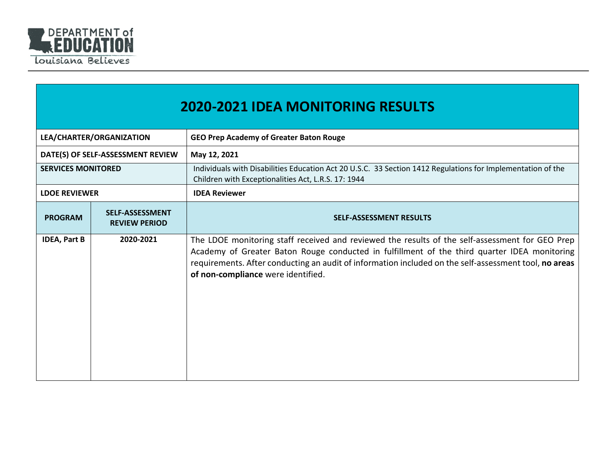

|                           | <b>2020-2021 IDEA MONITORING RESULTS</b>       |                                                                                                                                                                                                                                                                                                                                                |  |  |
|---------------------------|------------------------------------------------|------------------------------------------------------------------------------------------------------------------------------------------------------------------------------------------------------------------------------------------------------------------------------------------------------------------------------------------------|--|--|
| LEA/CHARTER/ORGANIZATION  |                                                | <b>GEO Prep Academy of Greater Baton Rouge</b>                                                                                                                                                                                                                                                                                                 |  |  |
|                           | DATE(S) OF SELF-ASSESSMENT REVIEW              | May 12, 2021                                                                                                                                                                                                                                                                                                                                   |  |  |
| <b>SERVICES MONITORED</b> |                                                | Individuals with Disabilities Education Act 20 U.S.C. 33 Section 1412 Regulations for Implementation of the<br>Children with Exceptionalities Act, L.R.S. 17: 1944                                                                                                                                                                             |  |  |
| <b>LDOE REVIEWER</b>      |                                                | <b>IDEA Reviewer</b>                                                                                                                                                                                                                                                                                                                           |  |  |
| <b>PROGRAM</b>            | <b>SELF-ASSESSMENT</b><br><b>REVIEW PERIOD</b> | <b>SELF-ASSESSMENT RESULTS</b>                                                                                                                                                                                                                                                                                                                 |  |  |
| <b>IDEA, Part B</b>       | 2020-2021                                      | The LDOE monitoring staff received and reviewed the results of the self-assessment for GEO Prep<br>Academy of Greater Baton Rouge conducted in fulfillment of the third quarter IDEA monitoring<br>requirements. After conducting an audit of information included on the self-assessment tool, no areas<br>of non-compliance were identified. |  |  |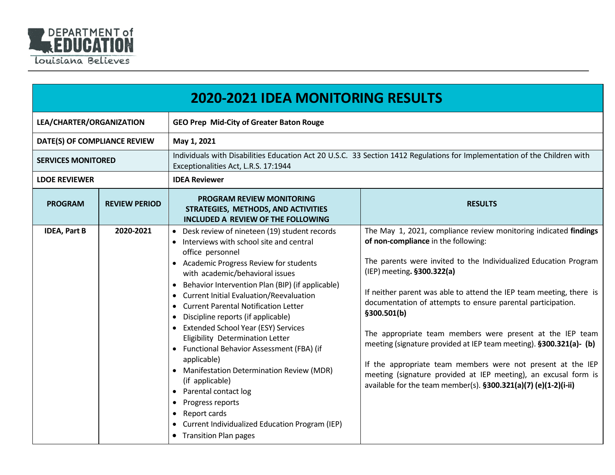

|                              | <b>2020-2021 IDEA MONITORING RESULTS</b> |                                                                                                                                                                                                                                                                                                                                                                                                                                                                                                                                                                                                                                                                                                                                                                                                                         |                                                                                                                                                                                                                                                                                                                                                                                                                                                                                                                                                                                                                                                                                                        |
|------------------------------|------------------------------------------|-------------------------------------------------------------------------------------------------------------------------------------------------------------------------------------------------------------------------------------------------------------------------------------------------------------------------------------------------------------------------------------------------------------------------------------------------------------------------------------------------------------------------------------------------------------------------------------------------------------------------------------------------------------------------------------------------------------------------------------------------------------------------------------------------------------------------|--------------------------------------------------------------------------------------------------------------------------------------------------------------------------------------------------------------------------------------------------------------------------------------------------------------------------------------------------------------------------------------------------------------------------------------------------------------------------------------------------------------------------------------------------------------------------------------------------------------------------------------------------------------------------------------------------------|
| LEA/CHARTER/ORGANIZATION     |                                          | <b>GEO Prep Mid-City of Greater Baton Rouge</b>                                                                                                                                                                                                                                                                                                                                                                                                                                                                                                                                                                                                                                                                                                                                                                         |                                                                                                                                                                                                                                                                                                                                                                                                                                                                                                                                                                                                                                                                                                        |
| DATE(S) OF COMPLIANCE REVIEW |                                          | May 1, 2021                                                                                                                                                                                                                                                                                                                                                                                                                                                                                                                                                                                                                                                                                                                                                                                                             |                                                                                                                                                                                                                                                                                                                                                                                                                                                                                                                                                                                                                                                                                                        |
| <b>SERVICES MONITORED</b>    |                                          | Individuals with Disabilities Education Act 20 U.S.C. 33 Section 1412 Regulations for Implementation of the Children with<br>Exceptionalities Act, L.R.S. 17:1944                                                                                                                                                                                                                                                                                                                                                                                                                                                                                                                                                                                                                                                       |                                                                                                                                                                                                                                                                                                                                                                                                                                                                                                                                                                                                                                                                                                        |
| <b>LDOE REVIEWER</b>         |                                          | <b>IDEA Reviewer</b>                                                                                                                                                                                                                                                                                                                                                                                                                                                                                                                                                                                                                                                                                                                                                                                                    |                                                                                                                                                                                                                                                                                                                                                                                                                                                                                                                                                                                                                                                                                                        |
| <b>PROGRAM</b>               | <b>REVIEW PERIOD</b>                     | <b>PROGRAM REVIEW MONITORING</b><br>STRATEGIES, METHODS, AND ACTIVITIES<br>INCLUDED A REVIEW OF THE FOLLOWING                                                                                                                                                                                                                                                                                                                                                                                                                                                                                                                                                                                                                                                                                                           | <b>RESULTS</b>                                                                                                                                                                                                                                                                                                                                                                                                                                                                                                                                                                                                                                                                                         |
| <b>IDEA, Part B</b>          | 2020-2021                                | • Desk review of nineteen (19) student records<br>• Interviews with school site and central<br>office personnel<br>• Academic Progress Review for students<br>with academic/behavioral issues<br>Behavior Intervention Plan (BIP) (if applicable)<br>$\bullet$<br><b>Current Initial Evaluation/Reevaluation</b><br><b>Current Parental Notification Letter</b><br>$\bullet$<br>Discipline reports (if applicable)<br><b>Extended School Year (ESY) Services</b><br>Eligibility Determination Letter<br>• Functional Behavior Assessment (FBA) (if<br>applicable)<br><b>Manifestation Determination Review (MDR)</b><br>(if applicable)<br>Parental contact log<br>$\bullet$<br>Progress reports<br>$\bullet$<br>Report cards<br>$\bullet$<br>Current Individualized Education Program (IEP)<br>• Transition Plan pages | The May 1, 2021, compliance review monitoring indicated findings<br>of non-compliance in the following:<br>The parents were invited to the Individualized Education Program<br>(IEP) meeting. §300.322(a)<br>If neither parent was able to attend the IEP team meeting, there is<br>documentation of attempts to ensure parental participation.<br>§300.501(b)<br>The appropriate team members were present at the IEP team<br>meeting (signature provided at IEP team meeting). §300.321(a)- (b)<br>If the appropriate team members were not present at the IEP<br>meeting (signature provided at IEP meeting), an excusal form is<br>available for the team member(s). §300.321(a)(7) (e)(1-2)(i-ii) |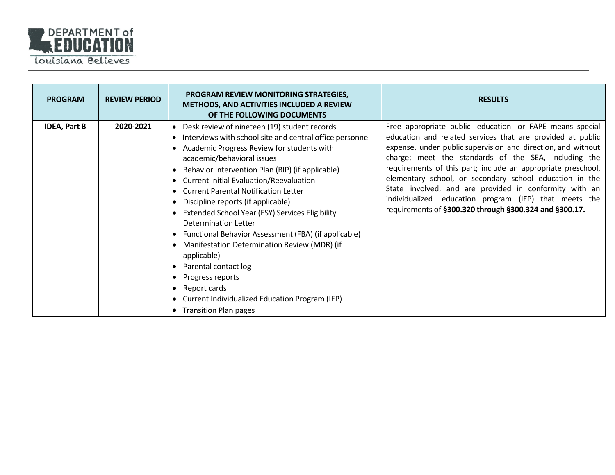

| <b>PROGRAM</b>      | <b>REVIEW PERIOD</b> | <b>PROGRAM REVIEW MONITORING STRATEGIES,</b><br>METHODS, AND ACTIVITIES INCLUDED A REVIEW<br>OF THE FOLLOWING DOCUMENTS                                                                                                                                                                                                                                                                                                                                                                                                                                                                                                                                                                                                                                       | <b>RESULTS</b>                                                                                                                                                                                                                                                                                                                                                                                                                                                                                                                                        |
|---------------------|----------------------|---------------------------------------------------------------------------------------------------------------------------------------------------------------------------------------------------------------------------------------------------------------------------------------------------------------------------------------------------------------------------------------------------------------------------------------------------------------------------------------------------------------------------------------------------------------------------------------------------------------------------------------------------------------------------------------------------------------------------------------------------------------|-------------------------------------------------------------------------------------------------------------------------------------------------------------------------------------------------------------------------------------------------------------------------------------------------------------------------------------------------------------------------------------------------------------------------------------------------------------------------------------------------------------------------------------------------------|
| <b>IDEA, Part B</b> | 2020-2021            | • Desk review of nineteen (19) student records<br>Interviews with school site and central office personnel<br>$\bullet$<br>Academic Progress Review for students with<br>academic/behavioral issues<br>Behavior Intervention Plan (BIP) (if applicable)<br>• Current Initial Evaluation/Reevaluation<br><b>Current Parental Notification Letter</b><br>Discipline reports (if applicable)<br>Extended School Year (ESY) Services Eligibility<br>Determination Letter<br>Functional Behavior Assessment (FBA) (if applicable)<br>$\bullet$<br>Manifestation Determination Review (MDR) (if<br>applicable)<br>Parental contact log<br>Progress reports<br>٠<br>Report cards<br>٠<br>• Current Individualized Education Program (IEP)<br>• Transition Plan pages | Free appropriate public education or FAPE means special<br>education and related services that are provided at public<br>expense, under public supervision and direction, and without<br>charge; meet the standards of the SEA, including the<br>requirements of this part; include an appropriate preschool,<br>elementary school, or secondary school education in the<br>State involved; and are provided in conformity with an<br>individualized education program (IEP) that meets the<br>requirements of §300.320 through §300.324 and §300.17. |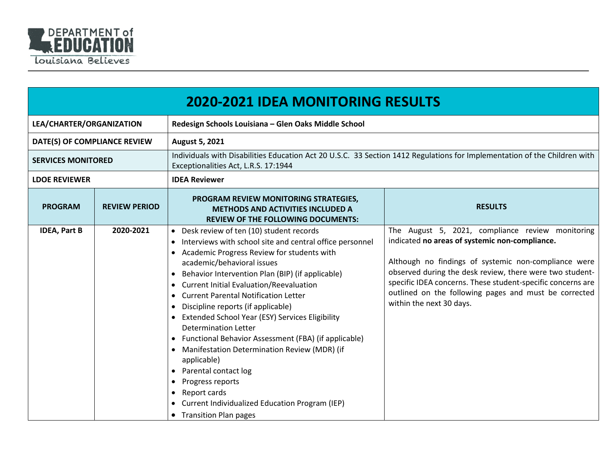

|                              | <b>2020-2021 IDEA MONITORING RESULTS</b> |                                                                                                                                                                                                                                                                                                                                                                                                                                                                                                                                                                                                                                                                                                                                                        |                                                                                                                                                                                                                                                                                                                                                                            |  |
|------------------------------|------------------------------------------|--------------------------------------------------------------------------------------------------------------------------------------------------------------------------------------------------------------------------------------------------------------------------------------------------------------------------------------------------------------------------------------------------------------------------------------------------------------------------------------------------------------------------------------------------------------------------------------------------------------------------------------------------------------------------------------------------------------------------------------------------------|----------------------------------------------------------------------------------------------------------------------------------------------------------------------------------------------------------------------------------------------------------------------------------------------------------------------------------------------------------------------------|--|
| LEA/CHARTER/ORGANIZATION     |                                          | Redesign Schools Louisiana - Glen Oaks Middle School                                                                                                                                                                                                                                                                                                                                                                                                                                                                                                                                                                                                                                                                                                   |                                                                                                                                                                                                                                                                                                                                                                            |  |
| DATE(S) OF COMPLIANCE REVIEW |                                          | <b>August 5, 2021</b>                                                                                                                                                                                                                                                                                                                                                                                                                                                                                                                                                                                                                                                                                                                                  |                                                                                                                                                                                                                                                                                                                                                                            |  |
| <b>SERVICES MONITORED</b>    |                                          | Individuals with Disabilities Education Act 20 U.S.C. 33 Section 1412 Regulations for Implementation of the Children with<br>Exceptionalities Act, L.R.S. 17:1944                                                                                                                                                                                                                                                                                                                                                                                                                                                                                                                                                                                      |                                                                                                                                                                                                                                                                                                                                                                            |  |
| <b>LDOE REVIEWER</b>         |                                          | <b>IDEA Reviewer</b>                                                                                                                                                                                                                                                                                                                                                                                                                                                                                                                                                                                                                                                                                                                                   |                                                                                                                                                                                                                                                                                                                                                                            |  |
| <b>PROGRAM</b>               | <b>REVIEW PERIOD</b>                     | PROGRAM REVIEW MONITORING STRATEGIES,<br><b>METHODS AND ACTIVITIES INCLUDED A</b><br><b>REVIEW OF THE FOLLOWING DOCUMENTS:</b>                                                                                                                                                                                                                                                                                                                                                                                                                                                                                                                                                                                                                         | <b>RESULTS</b>                                                                                                                                                                                                                                                                                                                                                             |  |
| <b>IDEA, Part B</b>          | 2020-2021                                | • Desk review of ten (10) student records<br>• Interviews with school site and central office personnel<br>• Academic Progress Review for students with<br>academic/behavioral issues<br>Behavior Intervention Plan (BIP) (if applicable)<br><b>Current Initial Evaluation/Reevaluation</b><br><b>Current Parental Notification Letter</b><br>Discipline reports (if applicable)<br><b>Extended School Year (ESY) Services Eligibility</b><br><b>Determination Letter</b><br>Functional Behavior Assessment (FBA) (if applicable)<br>Manifestation Determination Review (MDR) (if<br>applicable)<br>Parental contact log<br>Progress reports<br>Report cards<br>$\bullet$<br>Current Individualized Education Program (IEP)<br>• Transition Plan pages | The August 5, 2021, compliance review monitoring<br>indicated no areas of systemic non-compliance.<br>Although no findings of systemic non-compliance were<br>observed during the desk review, there were two student-<br>specific IDEA concerns. These student-specific concerns are<br>outlined on the following pages and must be corrected<br>within the next 30 days. |  |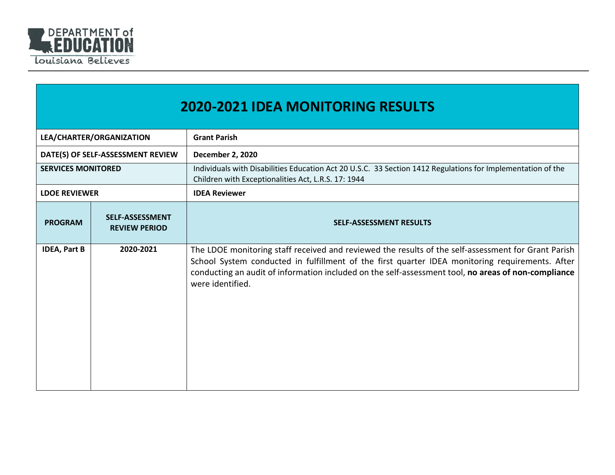

|                           | <b>2020-2021 IDEA MONITORING RESULTS</b>       |                                                                                                                                                                                                                                                                                                                                   |  |
|---------------------------|------------------------------------------------|-----------------------------------------------------------------------------------------------------------------------------------------------------------------------------------------------------------------------------------------------------------------------------------------------------------------------------------|--|
|                           | LEA/CHARTER/ORGANIZATION                       | <b>Grant Parish</b>                                                                                                                                                                                                                                                                                                               |  |
|                           | DATE(S) OF SELF-ASSESSMENT REVIEW              | <b>December 2, 2020</b>                                                                                                                                                                                                                                                                                                           |  |
| <b>SERVICES MONITORED</b> |                                                | Individuals with Disabilities Education Act 20 U.S.C. 33 Section 1412 Regulations for Implementation of the<br>Children with Exceptionalities Act, L.R.S. 17: 1944                                                                                                                                                                |  |
| <b>LDOE REVIEWER</b>      |                                                | <b>IDEA Reviewer</b>                                                                                                                                                                                                                                                                                                              |  |
| <b>PROGRAM</b>            | <b>SELF-ASSESSMENT</b><br><b>REVIEW PERIOD</b> | <b>SELF-ASSESSMENT RESULTS</b>                                                                                                                                                                                                                                                                                                    |  |
| <b>IDEA, Part B</b>       | 2020-2021                                      | The LDOE monitoring staff received and reviewed the results of the self-assessment for Grant Parish<br>School System conducted in fulfillment of the first quarter IDEA monitoring requirements. After<br>conducting an audit of information included on the self-assessment tool, no areas of non-compliance<br>were identified. |  |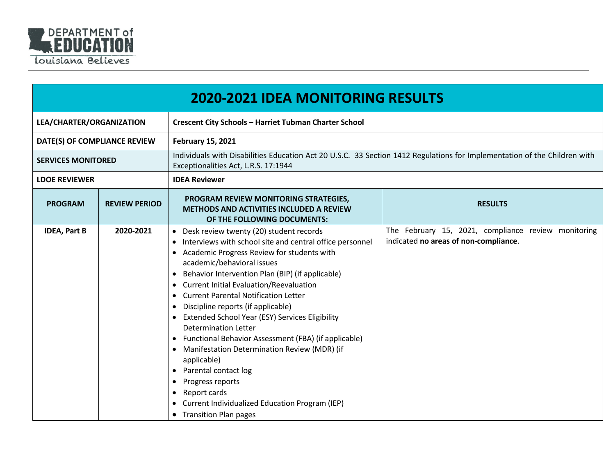

|                              |                      | <b>2020-2021 IDEA MONITORING RESULTS</b>                                                                                                                                                                                                                                                                                                                                                                                                                                                                                                                                                                                                                                                                                                                                                                                                          |                                                                                              |
|------------------------------|----------------------|---------------------------------------------------------------------------------------------------------------------------------------------------------------------------------------------------------------------------------------------------------------------------------------------------------------------------------------------------------------------------------------------------------------------------------------------------------------------------------------------------------------------------------------------------------------------------------------------------------------------------------------------------------------------------------------------------------------------------------------------------------------------------------------------------------------------------------------------------|----------------------------------------------------------------------------------------------|
| LEA/CHARTER/ORGANIZATION     |                      | <b>Crescent City Schools - Harriet Tubman Charter School</b>                                                                                                                                                                                                                                                                                                                                                                                                                                                                                                                                                                                                                                                                                                                                                                                      |                                                                                              |
| DATE(S) OF COMPLIANCE REVIEW |                      | <b>February 15, 2021</b>                                                                                                                                                                                                                                                                                                                                                                                                                                                                                                                                                                                                                                                                                                                                                                                                                          |                                                                                              |
| <b>SERVICES MONITORED</b>    |                      | Individuals with Disabilities Education Act 20 U.S.C. 33 Section 1412 Regulations for Implementation of the Children with<br>Exceptionalities Act, L.R.S. 17:1944                                                                                                                                                                                                                                                                                                                                                                                                                                                                                                                                                                                                                                                                                 |                                                                                              |
| <b>LDOE REVIEWER</b>         |                      | <b>IDEA Reviewer</b>                                                                                                                                                                                                                                                                                                                                                                                                                                                                                                                                                                                                                                                                                                                                                                                                                              |                                                                                              |
| <b>PROGRAM</b>               | <b>REVIEW PERIOD</b> | PROGRAM REVIEW MONITORING STRATEGIES,<br><b>METHODS AND ACTIVITIES INCLUDED A REVIEW</b><br>OF THE FOLLOWING DOCUMENTS:                                                                                                                                                                                                                                                                                                                                                                                                                                                                                                                                                                                                                                                                                                                           | <b>RESULTS</b>                                                                               |
| <b>IDEA, Part B</b>          | 2020-2021            | Desk review twenty (20) student records<br>$\bullet$<br>Interviews with school site and central office personnel<br>Academic Progress Review for students with<br>academic/behavioral issues<br>Behavior Intervention Plan (BIP) (if applicable)<br>$\bullet$<br><b>Current Initial Evaluation/Reevaluation</b><br>$\bullet$<br><b>Current Parental Notification Letter</b><br>$\bullet$<br>Discipline reports (if applicable)<br>$\bullet$<br><b>Extended School Year (ESY) Services Eligibility</b><br>Determination Letter<br>Functional Behavior Assessment (FBA) (if applicable)<br>Manifestation Determination Review (MDR) (if<br>$\bullet$<br>applicable)<br>Parental contact log<br>$\bullet$<br>Progress reports<br>$\bullet$<br>Report cards<br>$\bullet$<br>Current Individualized Education Program (IEP)<br>• Transition Plan pages | The February 15, 2021, compliance review monitoring<br>indicated no areas of non-compliance. |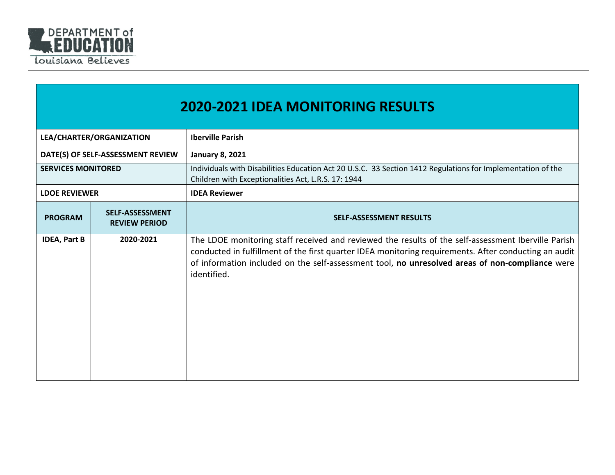

|                           | <b>2020-2021 IDEA MONITORING RESULTS</b>       |                                                                                                                                                                                                                                                                                                                                |  |
|---------------------------|------------------------------------------------|--------------------------------------------------------------------------------------------------------------------------------------------------------------------------------------------------------------------------------------------------------------------------------------------------------------------------------|--|
|                           | LEA/CHARTER/ORGANIZATION                       | <b>Iberville Parish</b>                                                                                                                                                                                                                                                                                                        |  |
|                           | DATE(S) OF SELF-ASSESSMENT REVIEW              | <b>January 8, 2021</b>                                                                                                                                                                                                                                                                                                         |  |
| <b>SERVICES MONITORED</b> |                                                | Individuals with Disabilities Education Act 20 U.S.C. 33 Section 1412 Regulations for Implementation of the<br>Children with Exceptionalities Act, L.R.S. 17: 1944                                                                                                                                                             |  |
| <b>LDOE REVIEWER</b>      |                                                | <b>IDEA Reviewer</b>                                                                                                                                                                                                                                                                                                           |  |
| <b>PROGRAM</b>            | <b>SELF-ASSESSMENT</b><br><b>REVIEW PERIOD</b> | <b>SELF-ASSESSMENT RESULTS</b>                                                                                                                                                                                                                                                                                                 |  |
| <b>IDEA, Part B</b>       | 2020-2021                                      | The LDOE monitoring staff received and reviewed the results of the self-assessment Iberville Parish<br>conducted in fulfillment of the first quarter IDEA monitoring requirements. After conducting an audit<br>of information included on the self-assessment tool, no unresolved areas of non-compliance were<br>identified. |  |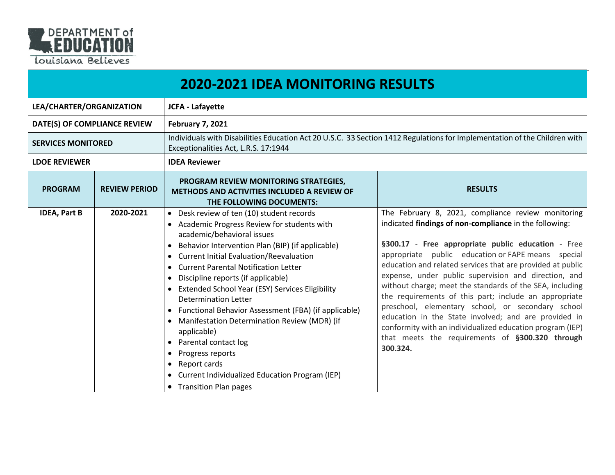

|                              | <b>2020-2021 IDEA MONITORING RESULTS</b> |                                                                                                                                                                                                                                                                                                                                                                                                                                                                                                                                                                                                                                                                                                |                                                                                                                                                                                                                                                                                                                                                                                                                                                                                                                                                                                                                                                                                                              |  |
|------------------------------|------------------------------------------|------------------------------------------------------------------------------------------------------------------------------------------------------------------------------------------------------------------------------------------------------------------------------------------------------------------------------------------------------------------------------------------------------------------------------------------------------------------------------------------------------------------------------------------------------------------------------------------------------------------------------------------------------------------------------------------------|--------------------------------------------------------------------------------------------------------------------------------------------------------------------------------------------------------------------------------------------------------------------------------------------------------------------------------------------------------------------------------------------------------------------------------------------------------------------------------------------------------------------------------------------------------------------------------------------------------------------------------------------------------------------------------------------------------------|--|
| LEA/CHARTER/ORGANIZATION     |                                          | <b>JCFA - Lafayette</b>                                                                                                                                                                                                                                                                                                                                                                                                                                                                                                                                                                                                                                                                        |                                                                                                                                                                                                                                                                                                                                                                                                                                                                                                                                                                                                                                                                                                              |  |
| DATE(S) OF COMPLIANCE REVIEW |                                          | <b>February 7, 2021</b>                                                                                                                                                                                                                                                                                                                                                                                                                                                                                                                                                                                                                                                                        |                                                                                                                                                                                                                                                                                                                                                                                                                                                                                                                                                                                                                                                                                                              |  |
| <b>SERVICES MONITORED</b>    |                                          | Individuals with Disabilities Education Act 20 U.S.C. 33 Section 1412 Regulations for Implementation of the Children with<br>Exceptionalities Act, L.R.S. 17:1944                                                                                                                                                                                                                                                                                                                                                                                                                                                                                                                              |                                                                                                                                                                                                                                                                                                                                                                                                                                                                                                                                                                                                                                                                                                              |  |
| <b>LDOE REVIEWER</b>         |                                          | <b>IDEA Reviewer</b>                                                                                                                                                                                                                                                                                                                                                                                                                                                                                                                                                                                                                                                                           |                                                                                                                                                                                                                                                                                                                                                                                                                                                                                                                                                                                                                                                                                                              |  |
| <b>PROGRAM</b>               | <b>REVIEW PERIOD</b>                     | PROGRAM REVIEW MONITORING STRATEGIES,<br><b>METHODS AND ACTIVITIES INCLUDED A REVIEW OF</b><br>THE FOLLOWING DOCUMENTS:                                                                                                                                                                                                                                                                                                                                                                                                                                                                                                                                                                        | <b>RESULTS</b>                                                                                                                                                                                                                                                                                                                                                                                                                                                                                                                                                                                                                                                                                               |  |
| <b>IDEA, Part B</b>          | 2020-2021                                | • Desk review of ten (10) student records<br>• Academic Progress Review for students with<br>academic/behavioral issues<br>Behavior Intervention Plan (BIP) (if applicable)<br>$\bullet$<br>• Current Initial Evaluation/Reevaluation<br>• Current Parental Notification Letter<br>Discipline reports (if applicable)<br>• Extended School Year (ESY) Services Eligibility<br><b>Determination Letter</b><br>• Functional Behavior Assessment (FBA) (if applicable)<br>• Manifestation Determination Review (MDR) (if<br>applicable)<br>• Parental contact log<br>Progress reports<br>Report cards<br>$\bullet$<br>• Current Individualized Education Program (IEP)<br>• Transition Plan pages | The February 8, 2021, compliance review monitoring<br>indicated findings of non-compliance in the following:<br>§300.17 - Free appropriate public education - Free<br>appropriate public education or FAPE means special<br>education and related services that are provided at public<br>expense, under public supervision and direction, and<br>without charge; meet the standards of the SEA, including<br>the requirements of this part; include an appropriate<br>preschool, elementary school, or secondary school<br>education in the State involved; and are provided in<br>conformity with an individualized education program (IEP)<br>that meets the requirements of §300.320 through<br>300.324. |  |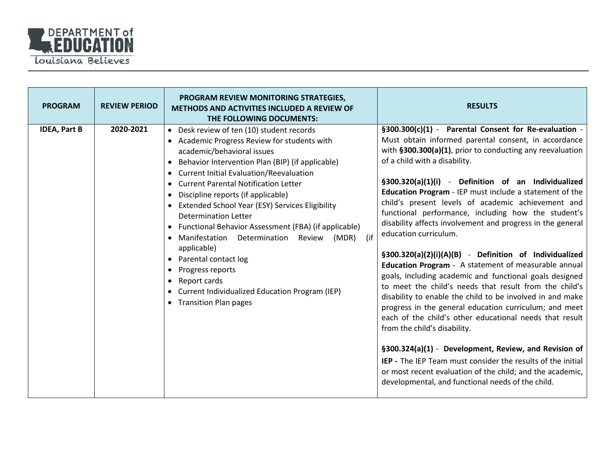

| <b>PROGRAM</b>      | <b>REVIEW PERIOD</b> | PROGRAM REVIEW MONITORING STRATEGIES,<br><b>METHODS AND ACTIVITIES INCLUDED A REVIEW OF</b><br>THE FOLLOWING DOCUMENTS:                                                                                                                                                                                                                                                                                                                                                                                                                                                                                                                                                                       | <b>RESULTS</b>                                                                                                                                                                                                                                                                                                                                                                                                                                                                                                                                                                                                                                                                                                                                                                                                                                                                                                                                                                                                                                                                                                                                                                                                                              |
|---------------------|----------------------|-----------------------------------------------------------------------------------------------------------------------------------------------------------------------------------------------------------------------------------------------------------------------------------------------------------------------------------------------------------------------------------------------------------------------------------------------------------------------------------------------------------------------------------------------------------------------------------------------------------------------------------------------------------------------------------------------|---------------------------------------------------------------------------------------------------------------------------------------------------------------------------------------------------------------------------------------------------------------------------------------------------------------------------------------------------------------------------------------------------------------------------------------------------------------------------------------------------------------------------------------------------------------------------------------------------------------------------------------------------------------------------------------------------------------------------------------------------------------------------------------------------------------------------------------------------------------------------------------------------------------------------------------------------------------------------------------------------------------------------------------------------------------------------------------------------------------------------------------------------------------------------------------------------------------------------------------------|
| <b>IDEA, Part B</b> | 2020-2021            | • Desk review of ten (10) student records<br>• Academic Progress Review for students with<br>academic/behavioral issues<br>Behavior Intervention Plan (BIP) (if applicable)<br><b>Current Initial Evaluation/Reevaluation</b><br><b>Current Parental Notification Letter</b><br>Discipline reports (if applicable)<br>Extended School Year (ESY) Services Eligibility<br><b>Determination Letter</b><br>Functional Behavior Assessment (FBA) (if applicable)<br>(if<br>Manifestation<br>Determination<br>(MDR)<br>Review<br>applicable)<br>Parental contact log<br>$\bullet$<br>Progress reports<br>Report cards<br>Current Individualized Education Program (IEP)<br>• Transition Plan pages | §300.300(c)(1) - Parental Consent for Re-evaluation -<br>Must obtain informed parental consent, in accordance<br>with §300.300(a)(1), prior to conducting any reevaluation<br>of a child with a disability.<br>§300.320(a)(1)(i) - Definition of an Individualized<br>Education Program - IEP must include a statement of the<br>child's present levels of academic achievement and<br>functional performance, including how the student's<br>disability affects involvement and progress in the general<br>education curriculum.<br>§300.320(a)(2)(i)(A)(B) - Definition of Individualized<br>Education Program - A statement of measurable annual<br>goals, including academic and functional goals designed<br>to meet the child's needs that result from the child's<br>disability to enable the child to be involved in and make<br>progress in the general education curriculum; and meet<br>each of the child's other educational needs that result<br>from the child's disability.<br>§300.324(a)(1) - Development, Review, and Revision of<br><b>IEP</b> - The IEP Team must consider the results of the initial<br>or most recent evaluation of the child; and the academic,<br>developmental, and functional needs of the child. |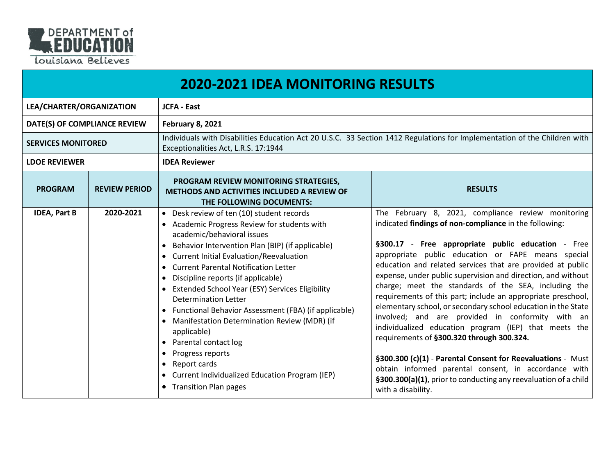

|                              | <b>2020-2021 IDEA MONITORING RESULTS</b> |                                                                                                                                                                                                                                                                                                                                                                                                                                                                                                                                                                                                                                                                                                       |                                                                                                                                                                                                                                                                                                                                                                                                                                                                                                                                                                                                                                                                                                                                                                                                                                                                                                                           |
|------------------------------|------------------------------------------|-------------------------------------------------------------------------------------------------------------------------------------------------------------------------------------------------------------------------------------------------------------------------------------------------------------------------------------------------------------------------------------------------------------------------------------------------------------------------------------------------------------------------------------------------------------------------------------------------------------------------------------------------------------------------------------------------------|---------------------------------------------------------------------------------------------------------------------------------------------------------------------------------------------------------------------------------------------------------------------------------------------------------------------------------------------------------------------------------------------------------------------------------------------------------------------------------------------------------------------------------------------------------------------------------------------------------------------------------------------------------------------------------------------------------------------------------------------------------------------------------------------------------------------------------------------------------------------------------------------------------------------------|
| LEA/CHARTER/ORGANIZATION     |                                          | <b>JCFA - East</b>                                                                                                                                                                                                                                                                                                                                                                                                                                                                                                                                                                                                                                                                                    |                                                                                                                                                                                                                                                                                                                                                                                                                                                                                                                                                                                                                                                                                                                                                                                                                                                                                                                           |
| DATE(S) OF COMPLIANCE REVIEW |                                          | <b>February 8, 2021</b>                                                                                                                                                                                                                                                                                                                                                                                                                                                                                                                                                                                                                                                                               |                                                                                                                                                                                                                                                                                                                                                                                                                                                                                                                                                                                                                                                                                                                                                                                                                                                                                                                           |
| <b>SERVICES MONITORED</b>    |                                          | Individuals with Disabilities Education Act 20 U.S.C. 33 Section 1412 Regulations for Implementation of the Children with<br>Exceptionalities Act, L.R.S. 17:1944                                                                                                                                                                                                                                                                                                                                                                                                                                                                                                                                     |                                                                                                                                                                                                                                                                                                                                                                                                                                                                                                                                                                                                                                                                                                                                                                                                                                                                                                                           |
| <b>LDOE REVIEWER</b>         |                                          | <b>IDEA Reviewer</b>                                                                                                                                                                                                                                                                                                                                                                                                                                                                                                                                                                                                                                                                                  |                                                                                                                                                                                                                                                                                                                                                                                                                                                                                                                                                                                                                                                                                                                                                                                                                                                                                                                           |
| <b>PROGRAM</b>               | <b>REVIEW PERIOD</b>                     | PROGRAM REVIEW MONITORING STRATEGIES,<br><b>METHODS AND ACTIVITIES INCLUDED A REVIEW OF</b><br>THE FOLLOWING DOCUMENTS:                                                                                                                                                                                                                                                                                                                                                                                                                                                                                                                                                                               | <b>RESULTS</b>                                                                                                                                                                                                                                                                                                                                                                                                                                                                                                                                                                                                                                                                                                                                                                                                                                                                                                            |
| <b>IDEA, Part B</b>          | 2020-2021                                | • Desk review of ten (10) student records<br>• Academic Progress Review for students with<br>academic/behavioral issues<br>Behavior Intervention Plan (BIP) (if applicable)<br>$\bullet$<br><b>Current Initial Evaluation/Reevaluation</b><br>• Current Parental Notification Letter<br>Discipline reports (if applicable)<br>Extended School Year (ESY) Services Eligibility<br>Determination Letter<br>• Functional Behavior Assessment (FBA) (if applicable)<br>Manifestation Determination Review (MDR) (if<br>applicable)<br>Parental contact log<br>$\bullet$<br>Progress reports<br>٠<br>Report cards<br>٠<br>• Current Individualized Education Program (IEP)<br><b>Transition Plan pages</b> | The February 8, 2021, compliance review monitoring<br>indicated findings of non-compliance in the following:<br>§300.17 - Free appropriate public education - Free<br>appropriate public education or FAPE means special<br>education and related services that are provided at public<br>expense, under public supervision and direction, and without<br>charge; meet the standards of the SEA, including the<br>requirements of this part; include an appropriate preschool,<br>elementary school, or secondary school education in the State<br>involved; and are provided in conformity with an<br>individualized education program (IEP) that meets the<br>requirements of §300.320 through 300.324.<br>§300.300 (c)(1) - Parental Consent for Reevaluations - Must<br>obtain informed parental consent, in accordance with<br>§300.300(a)(1), prior to conducting any reevaluation of a child<br>with a disability. |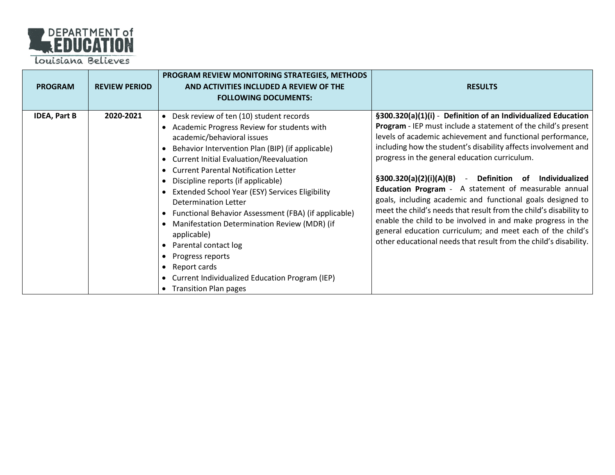

| <b>PROGRAM</b>      | <b>REVIEW PERIOD</b> | PROGRAM REVIEW MONITORING STRATEGIES, METHODS<br>AND ACTIVITIES INCLUDED A REVIEW OF THE<br><b>FOLLOWING DOCUMENTS:</b>                                                                                                                                                                                                                                                                                                                                                                                                                                                                                                                                                       | <b>RESULTS</b>                                                                                                                                                                                                                                                                                                                                                                                                                                                                                                                                                                                                                                                                                                                                                                     |
|---------------------|----------------------|-------------------------------------------------------------------------------------------------------------------------------------------------------------------------------------------------------------------------------------------------------------------------------------------------------------------------------------------------------------------------------------------------------------------------------------------------------------------------------------------------------------------------------------------------------------------------------------------------------------------------------------------------------------------------------|------------------------------------------------------------------------------------------------------------------------------------------------------------------------------------------------------------------------------------------------------------------------------------------------------------------------------------------------------------------------------------------------------------------------------------------------------------------------------------------------------------------------------------------------------------------------------------------------------------------------------------------------------------------------------------------------------------------------------------------------------------------------------------|
| <b>IDEA, Part B</b> | 2020-2021            | Desk review of ten (10) student records<br>$\bullet$<br>Academic Progress Review for students with<br>academic/behavioral issues<br>Behavior Intervention Plan (BIP) (if applicable)<br><b>Current Initial Evaluation/Reevaluation</b><br><b>Current Parental Notification Letter</b><br>Discipline reports (if applicable)<br>Extended School Year (ESY) Services Eligibility<br><b>Determination Letter</b><br>Functional Behavior Assessment (FBA) (if applicable)<br>Manifestation Determination Review (MDR) (if<br>applicable)<br>Parental contact log<br>Progress reports<br>Report cards<br>Current Individualized Education Program (IEP)<br>• Transition Plan pages | §300.320(a)(1)(i) - Definition of an Individualized Education<br>Program - IEP must include a statement of the child's present<br>levels of academic achievement and functional performance,<br>including how the student's disability affects involvement and<br>progress in the general education curriculum.<br>§300.320(a)(2)(i)(A)(B) - Definition<br>Individualized<br>of<br><b>Education Program</b> - A statement of measurable annual<br>goals, including academic and functional goals designed to<br>meet the child's needs that result from the child's disability to<br>enable the child to be involved in and make progress in the<br>general education curriculum; and meet each of the child's<br>other educational needs that result from the child's disability. |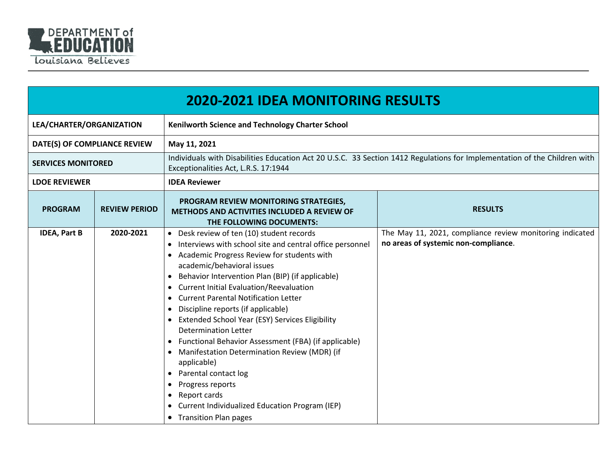

|                              | <b>2020-2021 IDEA MONITORING RESULTS</b> |                                                                                                                                                                                                                                                                                                                                                                                                                                                                                                                                                                                                                                                                                                                                                                                                                                                |                                                                                                                           |  |
|------------------------------|------------------------------------------|------------------------------------------------------------------------------------------------------------------------------------------------------------------------------------------------------------------------------------------------------------------------------------------------------------------------------------------------------------------------------------------------------------------------------------------------------------------------------------------------------------------------------------------------------------------------------------------------------------------------------------------------------------------------------------------------------------------------------------------------------------------------------------------------------------------------------------------------|---------------------------------------------------------------------------------------------------------------------------|--|
| LEA/CHARTER/ORGANIZATION     |                                          | Kenilworth Science and Technology Charter School                                                                                                                                                                                                                                                                                                                                                                                                                                                                                                                                                                                                                                                                                                                                                                                               |                                                                                                                           |  |
| DATE(S) OF COMPLIANCE REVIEW |                                          | May 11, 2021                                                                                                                                                                                                                                                                                                                                                                                                                                                                                                                                                                                                                                                                                                                                                                                                                                   |                                                                                                                           |  |
| <b>SERVICES MONITORED</b>    |                                          | Exceptionalities Act, L.R.S. 17:1944                                                                                                                                                                                                                                                                                                                                                                                                                                                                                                                                                                                                                                                                                                                                                                                                           | Individuals with Disabilities Education Act 20 U.S.C. 33 Section 1412 Regulations for Implementation of the Children with |  |
| <b>LDOE REVIEWER</b>         |                                          | <b>IDEA Reviewer</b>                                                                                                                                                                                                                                                                                                                                                                                                                                                                                                                                                                                                                                                                                                                                                                                                                           |                                                                                                                           |  |
| <b>PROGRAM</b>               | <b>REVIEW PERIOD</b>                     | PROGRAM REVIEW MONITORING STRATEGIES,<br><b>METHODS AND ACTIVITIES INCLUDED A REVIEW OF</b><br>THE FOLLOWING DOCUMENTS:                                                                                                                                                                                                                                                                                                                                                                                                                                                                                                                                                                                                                                                                                                                        | <b>RESULTS</b>                                                                                                            |  |
| <b>IDEA, Part B</b>          | 2020-2021                                | • Desk review of ten (10) student records<br>• Interviews with school site and central office personnel<br>Academic Progress Review for students with<br>academic/behavioral issues<br>Behavior Intervention Plan (BIP) (if applicable)<br>$\bullet$<br>Current Initial Evaluation/Reevaluation<br>$\bullet$<br><b>Current Parental Notification Letter</b><br>$\bullet$<br>Discipline reports (if applicable)<br>$\bullet$<br>Extended School Year (ESY) Services Eligibility<br><b>Determination Letter</b><br>Functional Behavior Assessment (FBA) (if applicable)<br>$\bullet$<br>Manifestation Determination Review (MDR) (if<br>$\bullet$<br>applicable)<br>Parental contact log<br>$\bullet$<br>Progress reports<br>$\bullet$<br>Report cards<br>$\bullet$<br>Current Individualized Education Program (IEP)<br>• Transition Plan pages | The May 11, 2021, compliance review monitoring indicated<br>no areas of systemic non-compliance.                          |  |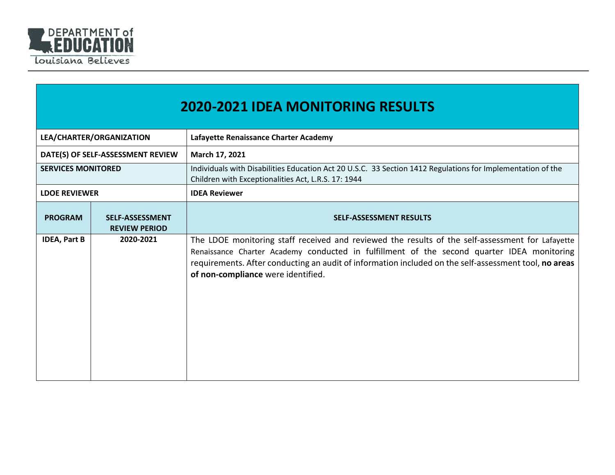

|                           | <b>2020-2021 IDEA MONITORING RESULTS</b>       |                                                                                                                                                                                                                                                                                                                                               |  |
|---------------------------|------------------------------------------------|-----------------------------------------------------------------------------------------------------------------------------------------------------------------------------------------------------------------------------------------------------------------------------------------------------------------------------------------------|--|
|                           | LEA/CHARTER/ORGANIZATION                       | Lafayette Renaissance Charter Academy                                                                                                                                                                                                                                                                                                         |  |
|                           | DATE(S) OF SELF-ASSESSMENT REVIEW              | March 17, 2021                                                                                                                                                                                                                                                                                                                                |  |
| <b>SERVICES MONITORED</b> |                                                | Individuals with Disabilities Education Act 20 U.S.C. 33 Section 1412 Regulations for Implementation of the<br>Children with Exceptionalities Act, L.R.S. 17: 1944                                                                                                                                                                            |  |
| <b>LDOE REVIEWER</b>      |                                                | <b>IDEA Reviewer</b>                                                                                                                                                                                                                                                                                                                          |  |
| <b>PROGRAM</b>            | <b>SELF-ASSESSMENT</b><br><b>REVIEW PERIOD</b> | <b>SELF-ASSESSMENT RESULTS</b>                                                                                                                                                                                                                                                                                                                |  |
| <b>IDEA, Part B</b>       | 2020-2021                                      | The LDOE monitoring staff received and reviewed the results of the self-assessment for Lafayette<br>Renaissance Charter Academy conducted in fulfillment of the second quarter IDEA monitoring<br>requirements. After conducting an audit of information included on the self-assessment tool, no areas<br>of non-compliance were identified. |  |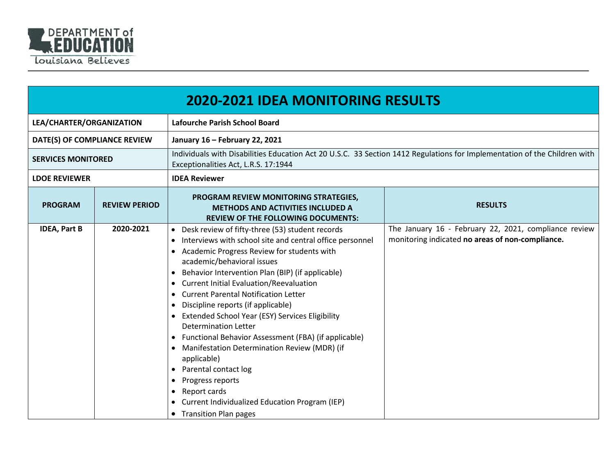

|                              | <b>2020-2021 IDEA MONITORING RESULTS</b> |                                                                                                                                                                                                                                                                                                                                                                                                                                                                                                                                                                                                                                                                                                                                                                                                                                        |                                                                                                           |  |  |
|------------------------------|------------------------------------------|----------------------------------------------------------------------------------------------------------------------------------------------------------------------------------------------------------------------------------------------------------------------------------------------------------------------------------------------------------------------------------------------------------------------------------------------------------------------------------------------------------------------------------------------------------------------------------------------------------------------------------------------------------------------------------------------------------------------------------------------------------------------------------------------------------------------------------------|-----------------------------------------------------------------------------------------------------------|--|--|
| LEA/CHARTER/ORGANIZATION     |                                          | <b>Lafourche Parish School Board</b>                                                                                                                                                                                                                                                                                                                                                                                                                                                                                                                                                                                                                                                                                                                                                                                                   |                                                                                                           |  |  |
| DATE(S) OF COMPLIANCE REVIEW |                                          | January 16 - February 22, 2021                                                                                                                                                                                                                                                                                                                                                                                                                                                                                                                                                                                                                                                                                                                                                                                                         |                                                                                                           |  |  |
| <b>SERVICES MONITORED</b>    |                                          | Individuals with Disabilities Education Act 20 U.S.C. 33 Section 1412 Regulations for Implementation of the Children with<br>Exceptionalities Act, L.R.S. 17:1944                                                                                                                                                                                                                                                                                                                                                                                                                                                                                                                                                                                                                                                                      |                                                                                                           |  |  |
| <b>LDOE REVIEWER</b>         |                                          | <b>IDEA Reviewer</b>                                                                                                                                                                                                                                                                                                                                                                                                                                                                                                                                                                                                                                                                                                                                                                                                                   |                                                                                                           |  |  |
| <b>PROGRAM</b>               | <b>REVIEW PERIOD</b>                     | PROGRAM REVIEW MONITORING STRATEGIES,<br><b>METHODS AND ACTIVITIES INCLUDED A</b><br><b>REVIEW OF THE FOLLOWING DOCUMENTS:</b>                                                                                                                                                                                                                                                                                                                                                                                                                                                                                                                                                                                                                                                                                                         | <b>RESULTS</b>                                                                                            |  |  |
| <b>IDEA, Part B</b>          | 2020-2021                                | Desk review of fifty-three (53) student records<br>$\bullet$<br>Interviews with school site and central office personnel<br>$\bullet$<br>Academic Progress Review for students with<br>academic/behavioral issues<br>Behavior Intervention Plan (BIP) (if applicable)<br>$\bullet$<br>Current Initial Evaluation/Reevaluation<br><b>Current Parental Notification Letter</b><br>Discipline reports (if applicable)<br><b>Extended School Year (ESY) Services Eligibility</b><br>$\bullet$<br><b>Determination Letter</b><br>Functional Behavior Assessment (FBA) (if applicable)<br>$\bullet$<br>Manifestation Determination Review (MDR) (if<br>$\bullet$<br>applicable)<br>• Parental contact log<br>Progress reports<br>٠<br>Report cards<br>$\bullet$<br>Current Individualized Education Program (IEP)<br>• Transition Plan pages | The January 16 - February 22, 2021, compliance review<br>monitoring indicated no areas of non-compliance. |  |  |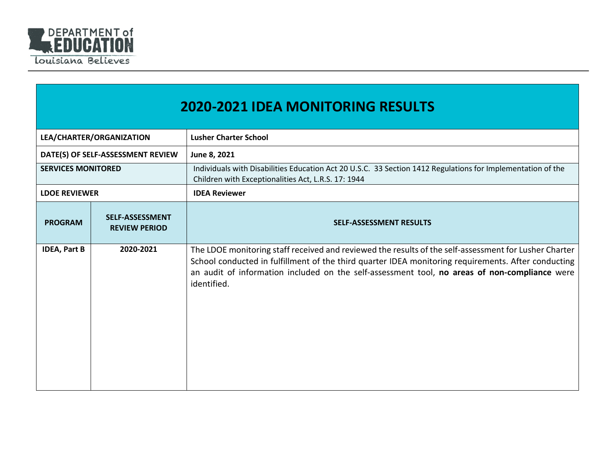

| <b>2020-2021 IDEA MONITORING RESULTS</b> |                                                |                                                                                                                                                                                                                                                                                                                              |  |
|------------------------------------------|------------------------------------------------|------------------------------------------------------------------------------------------------------------------------------------------------------------------------------------------------------------------------------------------------------------------------------------------------------------------------------|--|
| LEA/CHARTER/ORGANIZATION                 |                                                | <b>Lusher Charter School</b>                                                                                                                                                                                                                                                                                                 |  |
|                                          | DATE(S) OF SELF-ASSESSMENT REVIEW              | June 8, 2021                                                                                                                                                                                                                                                                                                                 |  |
| <b>SERVICES MONITORED</b>                |                                                | Individuals with Disabilities Education Act 20 U.S.C. 33 Section 1412 Regulations for Implementation of the<br>Children with Exceptionalities Act, L.R.S. 17: 1944                                                                                                                                                           |  |
| <b>LDOE REVIEWER</b>                     |                                                | <b>IDEA Reviewer</b>                                                                                                                                                                                                                                                                                                         |  |
| <b>PROGRAM</b>                           | <b>SELF-ASSESSMENT</b><br><b>REVIEW PERIOD</b> | <b>SELF-ASSESSMENT RESULTS</b>                                                                                                                                                                                                                                                                                               |  |
| <b>IDEA, Part B</b>                      | 2020-2021                                      | The LDOE monitoring staff received and reviewed the results of the self-assessment for Lusher Charter<br>School conducted in fulfillment of the third quarter IDEA monitoring requirements. After conducting<br>an audit of information included on the self-assessment tool, no areas of non-compliance were<br>identified. |  |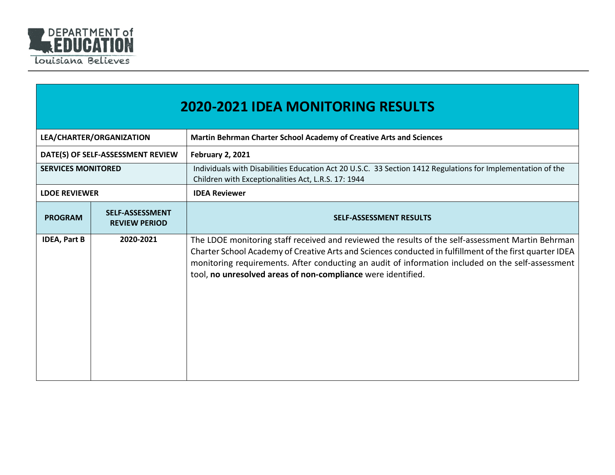

|                           | <b>2020-2021 IDEA MONITORING RESULTS</b>       |                                                                                                                                                                                                                                                                                                                                                                                   |  |  |
|---------------------------|------------------------------------------------|-----------------------------------------------------------------------------------------------------------------------------------------------------------------------------------------------------------------------------------------------------------------------------------------------------------------------------------------------------------------------------------|--|--|
| LEA/CHARTER/ORGANIZATION  |                                                | Martin Behrman Charter School Academy of Creative Arts and Sciences                                                                                                                                                                                                                                                                                                               |  |  |
|                           | DATE(S) OF SELF-ASSESSMENT REVIEW              | <b>February 2, 2021</b>                                                                                                                                                                                                                                                                                                                                                           |  |  |
| <b>SERVICES MONITORED</b> |                                                | Individuals with Disabilities Education Act 20 U.S.C. 33 Section 1412 Regulations for Implementation of the<br>Children with Exceptionalities Act, L.R.S. 17: 1944                                                                                                                                                                                                                |  |  |
| <b>LDOE REVIEWER</b>      |                                                | <b>IDEA Reviewer</b>                                                                                                                                                                                                                                                                                                                                                              |  |  |
| <b>PROGRAM</b>            | <b>SELF-ASSESSMENT</b><br><b>REVIEW PERIOD</b> | <b>SELF-ASSESSMENT RESULTS</b>                                                                                                                                                                                                                                                                                                                                                    |  |  |
| <b>IDEA, Part B</b>       | 2020-2021                                      | The LDOE monitoring staff received and reviewed the results of the self-assessment Martin Behrman<br>Charter School Academy of Creative Arts and Sciences conducted in fulfillment of the first quarter IDEA<br>monitoring requirements. After conducting an audit of information included on the self-assessment<br>tool, no unresolved areas of non-compliance were identified. |  |  |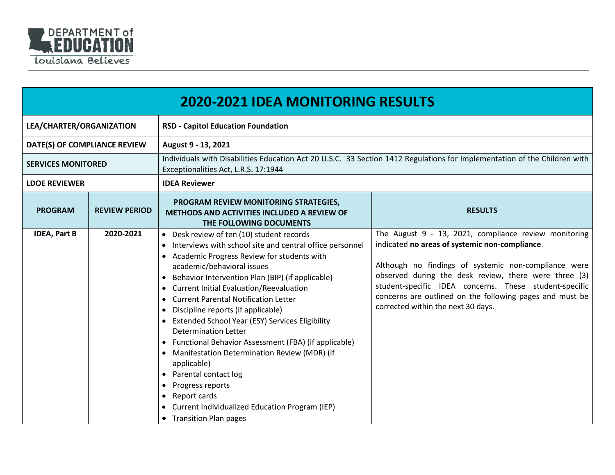

|                              | <b>2020-2021 IDEA MONITORING RESULTS</b> |                                                                                                                                                                                                                                                                                                                                                                                                                                                                                                                                                                                                                                                                                                                                                                                            |                                                                                                                                                                                                                                                                                                                                                                                      |  |
|------------------------------|------------------------------------------|--------------------------------------------------------------------------------------------------------------------------------------------------------------------------------------------------------------------------------------------------------------------------------------------------------------------------------------------------------------------------------------------------------------------------------------------------------------------------------------------------------------------------------------------------------------------------------------------------------------------------------------------------------------------------------------------------------------------------------------------------------------------------------------------|--------------------------------------------------------------------------------------------------------------------------------------------------------------------------------------------------------------------------------------------------------------------------------------------------------------------------------------------------------------------------------------|--|
| LEA/CHARTER/ORGANIZATION     |                                          | <b>RSD - Capitol Education Foundation</b>                                                                                                                                                                                                                                                                                                                                                                                                                                                                                                                                                                                                                                                                                                                                                  |                                                                                                                                                                                                                                                                                                                                                                                      |  |
| DATE(S) OF COMPLIANCE REVIEW |                                          | August 9 - 13, 2021                                                                                                                                                                                                                                                                                                                                                                                                                                                                                                                                                                                                                                                                                                                                                                        |                                                                                                                                                                                                                                                                                                                                                                                      |  |
| <b>SERVICES MONITORED</b>    |                                          | Individuals with Disabilities Education Act 20 U.S.C. 33 Section 1412 Regulations for Implementation of the Children with<br>Exceptionalities Act, L.R.S. 17:1944                                                                                                                                                                                                                                                                                                                                                                                                                                                                                                                                                                                                                          |                                                                                                                                                                                                                                                                                                                                                                                      |  |
| <b>LDOE REVIEWER</b>         |                                          | <b>IDEA Reviewer</b>                                                                                                                                                                                                                                                                                                                                                                                                                                                                                                                                                                                                                                                                                                                                                                       |                                                                                                                                                                                                                                                                                                                                                                                      |  |
| <b>PROGRAM</b>               | <b>REVIEW PERIOD</b>                     | PROGRAM REVIEW MONITORING STRATEGIES,<br><b>METHODS AND ACTIVITIES INCLUDED A REVIEW OF</b><br>THE FOLLOWING DOCUMENTS                                                                                                                                                                                                                                                                                                                                                                                                                                                                                                                                                                                                                                                                     | <b>RESULTS</b>                                                                                                                                                                                                                                                                                                                                                                       |  |
| <b>IDEA, Part B</b>          | 2020-2021                                | • Desk review of ten (10) student records<br>• Interviews with school site and central office personnel<br>Academic Progress Review for students with<br>academic/behavioral issues<br>Behavior Intervention Plan (BIP) (if applicable)<br><b>Current Initial Evaluation/Reevaluation</b><br>$\bullet$<br><b>Current Parental Notification Letter</b><br>$\bullet$<br>Discipline reports (if applicable)<br>Extended School Year (ESY) Services Eligibility<br><b>Determination Letter</b><br>• Functional Behavior Assessment (FBA) (if applicable)<br>• Manifestation Determination Review (MDR) (if<br>applicable)<br>• Parental contact log<br>Progress reports<br>Report cards<br>$\bullet$<br>Current Individualized Education Program (IEP)<br>$\bullet$<br>• Transition Plan pages | The August 9 - 13, 2021, compliance review monitoring<br>indicated no areas of systemic non-compliance.<br>Although no findings of systemic non-compliance were<br>observed during the desk review, there were three (3)<br>student-specific IDEA concerns. These student-specific<br>concerns are outlined on the following pages and must be<br>corrected within the next 30 days. |  |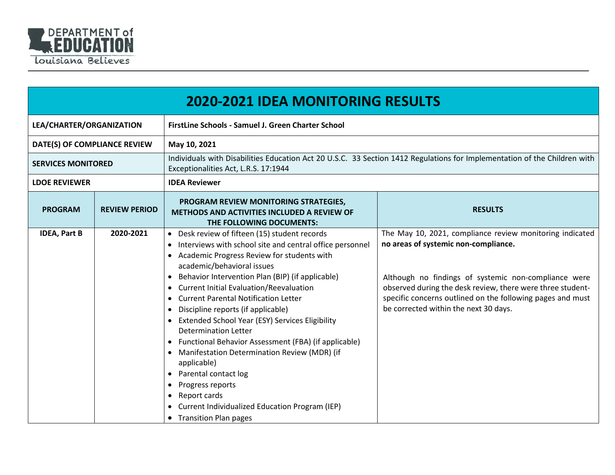

| <b>2020-2021 IDEA MONITORING RESULTS</b> |                      |                                                                                                                                                                                                                                                                                                                                                                                                                                                                                                                                                                                                                                                                                                                                                                                                                                            |                                                                                                                                                                                                                                                                                                                               |  |
|------------------------------------------|----------------------|--------------------------------------------------------------------------------------------------------------------------------------------------------------------------------------------------------------------------------------------------------------------------------------------------------------------------------------------------------------------------------------------------------------------------------------------------------------------------------------------------------------------------------------------------------------------------------------------------------------------------------------------------------------------------------------------------------------------------------------------------------------------------------------------------------------------------------------------|-------------------------------------------------------------------------------------------------------------------------------------------------------------------------------------------------------------------------------------------------------------------------------------------------------------------------------|--|
| LEA/CHARTER/ORGANIZATION                 |                      | FirstLine Schools - Samuel J. Green Charter School                                                                                                                                                                                                                                                                                                                                                                                                                                                                                                                                                                                                                                                                                                                                                                                         |                                                                                                                                                                                                                                                                                                                               |  |
| DATE(S) OF COMPLIANCE REVIEW             |                      | May 10, 2021                                                                                                                                                                                                                                                                                                                                                                                                                                                                                                                                                                                                                                                                                                                                                                                                                               |                                                                                                                                                                                                                                                                                                                               |  |
| <b>SERVICES MONITORED</b>                |                      | Individuals with Disabilities Education Act 20 U.S.C. 33 Section 1412 Regulations for Implementation of the Children with<br>Exceptionalities Act, L.R.S. 17:1944                                                                                                                                                                                                                                                                                                                                                                                                                                                                                                                                                                                                                                                                          |                                                                                                                                                                                                                                                                                                                               |  |
| <b>LDOE REVIEWER</b>                     |                      | <b>IDEA Reviewer</b>                                                                                                                                                                                                                                                                                                                                                                                                                                                                                                                                                                                                                                                                                                                                                                                                                       |                                                                                                                                                                                                                                                                                                                               |  |
| <b>PROGRAM</b>                           | <b>REVIEW PERIOD</b> | PROGRAM REVIEW MONITORING STRATEGIES,<br><b>RESULTS</b><br>METHODS AND ACTIVITIES INCLUDED A REVIEW OF<br>THE FOLLOWING DOCUMENTS:                                                                                                                                                                                                                                                                                                                                                                                                                                                                                                                                                                                                                                                                                                         |                                                                                                                                                                                                                                                                                                                               |  |
| <b>IDEA, Part B</b>                      | 2020-2021            | • Desk review of fifteen (15) student records<br>Interviews with school site and central office personnel<br>Academic Progress Review for students with<br>academic/behavioral issues<br>Behavior Intervention Plan (BIP) (if applicable)<br>$\bullet$<br><b>Current Initial Evaluation/Reevaluation</b><br>$\bullet$<br><b>Current Parental Notification Letter</b><br>$\bullet$<br>Discipline reports (if applicable)<br>$\bullet$<br>Extended School Year (ESY) Services Eligibility<br><b>Determination Letter</b><br>Functional Behavior Assessment (FBA) (if applicable)<br>Manifestation Determination Review (MDR) (if<br>$\bullet$<br>applicable)<br>Parental contact log<br>$\bullet$<br>Progress reports<br>$\bullet$<br>Report cards<br>$\bullet$<br>Current Individualized Education Program (IEP)<br>• Transition Plan pages | The May 10, 2021, compliance review monitoring indicated<br>no areas of systemic non-compliance.<br>Although no findings of systemic non-compliance were<br>observed during the desk review, there were three student-<br>specific concerns outlined on the following pages and must<br>be corrected within the next 30 days. |  |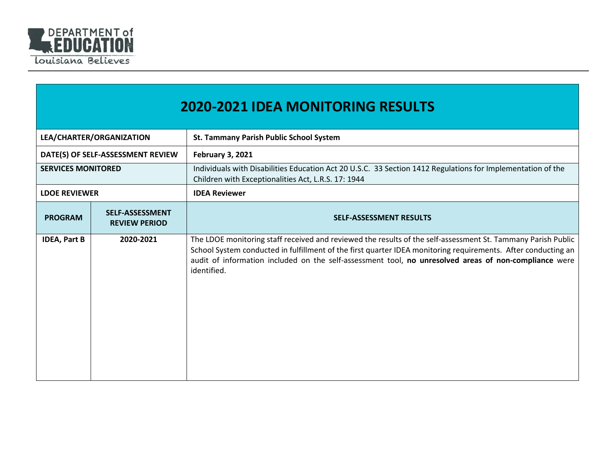

|                           | <b>2020-2021 IDEA MONITORING RESULTS</b>       |                                                                                                                                                                                                                                                                                                                                                       |  |  |
|---------------------------|------------------------------------------------|-------------------------------------------------------------------------------------------------------------------------------------------------------------------------------------------------------------------------------------------------------------------------------------------------------------------------------------------------------|--|--|
| LEA/CHARTER/ORGANIZATION  |                                                | St. Tammany Parish Public School System                                                                                                                                                                                                                                                                                                               |  |  |
|                           | DATE(S) OF SELF-ASSESSMENT REVIEW              | <b>February 3, 2021</b>                                                                                                                                                                                                                                                                                                                               |  |  |
| <b>SERVICES MONITORED</b> |                                                | Individuals with Disabilities Education Act 20 U.S.C. 33 Section 1412 Regulations for Implementation of the<br>Children with Exceptionalities Act, L.R.S. 17: 1944                                                                                                                                                                                    |  |  |
| <b>LDOE REVIEWER</b>      |                                                | <b>IDEA Reviewer</b>                                                                                                                                                                                                                                                                                                                                  |  |  |
| <b>PROGRAM</b>            | <b>SELF-ASSESSMENT</b><br><b>REVIEW PERIOD</b> | <b>SELF-ASSESSMENT RESULTS</b>                                                                                                                                                                                                                                                                                                                        |  |  |
| <b>IDEA, Part B</b>       | 2020-2021                                      | The LDOE monitoring staff received and reviewed the results of the self-assessment St. Tammany Parish Public<br>School System conducted in fulfillment of the first quarter IDEA monitoring requirements. After conducting an<br>audit of information included on the self-assessment tool, no unresolved areas of non-compliance were<br>identified. |  |  |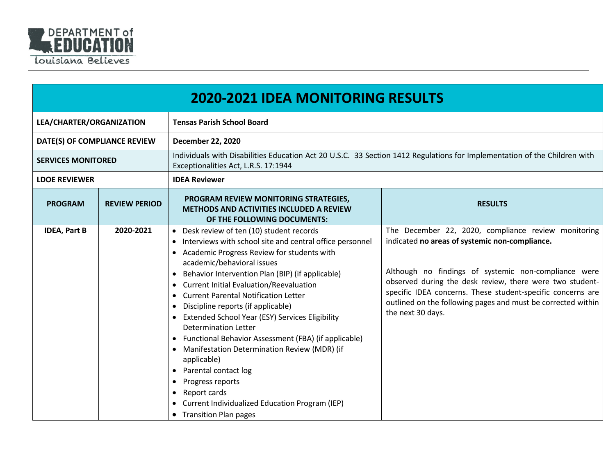

|                              | <b>2020-2021 IDEA MONITORING RESULTS</b> |                                                                                                                                                                                                                                                                                                                                                                                                                                                                                                                                                                                                                                                                                                                                                                                                                                |                                                                                                                                                                                                                                                                                                                                                                               |  |  |
|------------------------------|------------------------------------------|--------------------------------------------------------------------------------------------------------------------------------------------------------------------------------------------------------------------------------------------------------------------------------------------------------------------------------------------------------------------------------------------------------------------------------------------------------------------------------------------------------------------------------------------------------------------------------------------------------------------------------------------------------------------------------------------------------------------------------------------------------------------------------------------------------------------------------|-------------------------------------------------------------------------------------------------------------------------------------------------------------------------------------------------------------------------------------------------------------------------------------------------------------------------------------------------------------------------------|--|--|
| LEA/CHARTER/ORGANIZATION     |                                          | <b>Tensas Parish School Board</b>                                                                                                                                                                                                                                                                                                                                                                                                                                                                                                                                                                                                                                                                                                                                                                                              |                                                                                                                                                                                                                                                                                                                                                                               |  |  |
| DATE(S) OF COMPLIANCE REVIEW |                                          | <b>December 22, 2020</b>                                                                                                                                                                                                                                                                                                                                                                                                                                                                                                                                                                                                                                                                                                                                                                                                       |                                                                                                                                                                                                                                                                                                                                                                               |  |  |
| <b>SERVICES MONITORED</b>    |                                          | Individuals with Disabilities Education Act 20 U.S.C. 33 Section 1412 Regulations for Implementation of the Children with<br>Exceptionalities Act, L.R.S. 17:1944                                                                                                                                                                                                                                                                                                                                                                                                                                                                                                                                                                                                                                                              |                                                                                                                                                                                                                                                                                                                                                                               |  |  |
| <b>LDOE REVIEWER</b>         |                                          | <b>IDEA Reviewer</b>                                                                                                                                                                                                                                                                                                                                                                                                                                                                                                                                                                                                                                                                                                                                                                                                           |                                                                                                                                                                                                                                                                                                                                                                               |  |  |
| <b>PROGRAM</b>               | <b>REVIEW PERIOD</b>                     | PROGRAM REVIEW MONITORING STRATEGIES,<br><b>METHODS AND ACTIVITIES INCLUDED A REVIEW</b><br>OF THE FOLLOWING DOCUMENTS:                                                                                                                                                                                                                                                                                                                                                                                                                                                                                                                                                                                                                                                                                                        | <b>RESULTS</b>                                                                                                                                                                                                                                                                                                                                                                |  |  |
| <b>IDEA, Part B</b>          | 2020-2021                                | Desk review of ten (10) student records<br>$\bullet$<br>Interviews with school site and central office personnel<br>Academic Progress Review for students with<br>academic/behavioral issues<br>Behavior Intervention Plan (BIP) (if applicable)<br>٠<br><b>Current Initial Evaluation/Reevaluation</b><br><b>Current Parental Notification Letter</b><br>$\bullet$<br>Discipline reports (if applicable)<br>$\bullet$<br>Extended School Year (ESY) Services Eligibility<br>Determination Letter<br>• Functional Behavior Assessment (FBA) (if applicable)<br>Manifestation Determination Review (MDR) (if<br>$\bullet$<br>applicable)<br>Parental contact log<br>$\bullet$<br>Progress reports<br>$\bullet$<br>Report cards<br>$\bullet$<br><b>Current Individualized Education Program (IEP)</b><br>• Transition Plan pages | The December 22, 2020, compliance review monitoring<br>indicated no areas of systemic non-compliance.<br>Although no findings of systemic non-compliance were<br>observed during the desk review, there were two student-<br>specific IDEA concerns. These student-specific concerns are<br>outlined on the following pages and must be corrected within<br>the next 30 days. |  |  |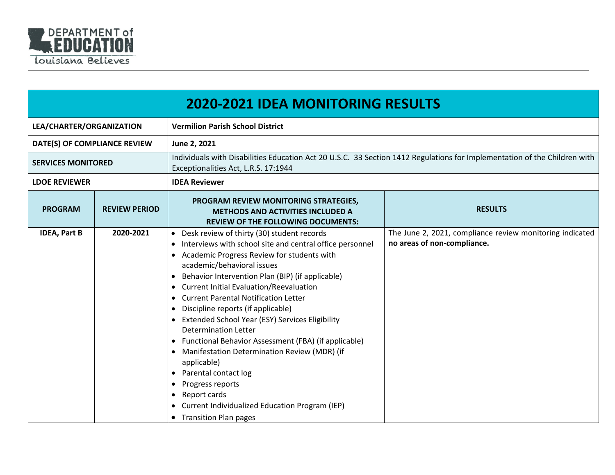

|                              | <b>2020-2021 IDEA MONITORING RESULTS</b> |                                                                                                                                                                                                                                                                                                                                                                                                                                                                                                                                                                                                                                                                                                                                                                                                                                                |                                                                                                                           |  |
|------------------------------|------------------------------------------|------------------------------------------------------------------------------------------------------------------------------------------------------------------------------------------------------------------------------------------------------------------------------------------------------------------------------------------------------------------------------------------------------------------------------------------------------------------------------------------------------------------------------------------------------------------------------------------------------------------------------------------------------------------------------------------------------------------------------------------------------------------------------------------------------------------------------------------------|---------------------------------------------------------------------------------------------------------------------------|--|
| LEA/CHARTER/ORGANIZATION     |                                          | <b>Vermilion Parish School District</b>                                                                                                                                                                                                                                                                                                                                                                                                                                                                                                                                                                                                                                                                                                                                                                                                        |                                                                                                                           |  |
| DATE(S) OF COMPLIANCE REVIEW |                                          | June 2, 2021                                                                                                                                                                                                                                                                                                                                                                                                                                                                                                                                                                                                                                                                                                                                                                                                                                   |                                                                                                                           |  |
| <b>SERVICES MONITORED</b>    |                                          | Exceptionalities Act, L.R.S. 17:1944                                                                                                                                                                                                                                                                                                                                                                                                                                                                                                                                                                                                                                                                                                                                                                                                           | Individuals with Disabilities Education Act 20 U.S.C. 33 Section 1412 Regulations for Implementation of the Children with |  |
| <b>LDOE REVIEWER</b>         |                                          | <b>IDEA Reviewer</b>                                                                                                                                                                                                                                                                                                                                                                                                                                                                                                                                                                                                                                                                                                                                                                                                                           |                                                                                                                           |  |
| <b>PROGRAM</b>               | <b>REVIEW PERIOD</b>                     | PROGRAM REVIEW MONITORING STRATEGIES,<br><b>METHODS AND ACTIVITIES INCLUDED A</b><br><b>REVIEW OF THE FOLLOWING DOCUMENTS:</b>                                                                                                                                                                                                                                                                                                                                                                                                                                                                                                                                                                                                                                                                                                                 | <b>RESULTS</b>                                                                                                            |  |
| <b>IDEA, Part B</b>          | 2020-2021                                | • Desk review of thirty (30) student records<br>Interviews with school site and central office personnel<br>$\bullet$<br>Academic Progress Review for students with<br>academic/behavioral issues<br>Behavior Intervention Plan (BIP) (if applicable)<br><b>Current Initial Evaluation/Reevaluation</b><br>$\bullet$<br><b>Current Parental Notification Letter</b><br>$\bullet$<br>Discipline reports (if applicable)<br>$\bullet$<br>Extended School Year (ESY) Services Eligibility<br><b>Determination Letter</b><br>Functional Behavior Assessment (FBA) (if applicable)<br>Manifestation Determination Review (MDR) (if<br>applicable)<br>Parental contact log<br>Progress reports<br>$\bullet$<br>Report cards<br>$\bullet$<br>Current Individualized Education Program (IEP)<br>$\bullet$<br><b>Transition Plan pages</b><br>$\bullet$ | The June 2, 2021, compliance review monitoring indicated<br>no areas of non-compliance.                                   |  |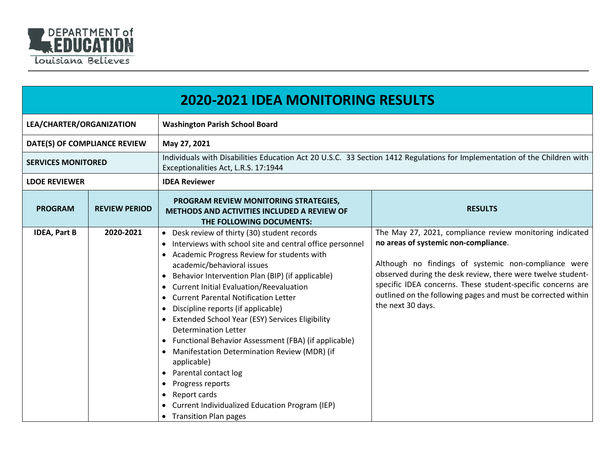

|                              | <b>2020-2021 IDEA MONITORING RESULTS</b> |                                                                                                                                                                                                                                                                                                                                                                                                                                                                                                                                                                                                                                                                                                                                                                                                                                     |                                                                                                                                                                                                                                                                                                                                                                             |  |
|------------------------------|------------------------------------------|-------------------------------------------------------------------------------------------------------------------------------------------------------------------------------------------------------------------------------------------------------------------------------------------------------------------------------------------------------------------------------------------------------------------------------------------------------------------------------------------------------------------------------------------------------------------------------------------------------------------------------------------------------------------------------------------------------------------------------------------------------------------------------------------------------------------------------------|-----------------------------------------------------------------------------------------------------------------------------------------------------------------------------------------------------------------------------------------------------------------------------------------------------------------------------------------------------------------------------|--|
| LEA/CHARTER/ORGANIZATION     |                                          | <b>Washington Parish School Board</b>                                                                                                                                                                                                                                                                                                                                                                                                                                                                                                                                                                                                                                                                                                                                                                                               |                                                                                                                                                                                                                                                                                                                                                                             |  |
| DATE(S) OF COMPLIANCE REVIEW |                                          | May 27, 2021                                                                                                                                                                                                                                                                                                                                                                                                                                                                                                                                                                                                                                                                                                                                                                                                                        |                                                                                                                                                                                                                                                                                                                                                                             |  |
| <b>SERVICES MONITORED</b>    |                                          | Individuals with Disabilities Education Act 20 U.S.C. 33 Section 1412 Regulations for Implementation of the Children with<br>Exceptionalities Act, L.R.S. 17:1944                                                                                                                                                                                                                                                                                                                                                                                                                                                                                                                                                                                                                                                                   |                                                                                                                                                                                                                                                                                                                                                                             |  |
| <b>LDOE REVIEWER</b>         |                                          | <b>IDEA Reviewer</b>                                                                                                                                                                                                                                                                                                                                                                                                                                                                                                                                                                                                                                                                                                                                                                                                                |                                                                                                                                                                                                                                                                                                                                                                             |  |
| <b>PROGRAM</b>               | <b>REVIEW PERIOD</b>                     | PROGRAM REVIEW MONITORING STRATEGIES,<br><b>METHODS AND ACTIVITIES INCLUDED A REVIEW OF</b><br>THE FOLLOWING DOCUMENTS:                                                                                                                                                                                                                                                                                                                                                                                                                                                                                                                                                                                                                                                                                                             | <b>RESULTS</b>                                                                                                                                                                                                                                                                                                                                                              |  |
| <b>IDEA, Part B</b>          | 2020-2021                                | • Desk review of thirty (30) student records<br>Interviews with school site and central office personnel<br>Academic Progress Review for students with<br>academic/behavioral issues<br>Behavior Intervention Plan (BIP) (if applicable)<br>$\bullet$<br><b>Current Initial Evaluation/Reevaluation</b><br>$\bullet$<br><b>Current Parental Notification Letter</b><br>$\bullet$<br>Discipline reports (if applicable)<br>$\bullet$<br>Extended School Year (ESY) Services Eligibility<br><b>Determination Letter</b><br>• Functional Behavior Assessment (FBA) (if applicable)<br>Manifestation Determination Review (MDR) (if<br>applicable)<br>Parental contact log<br>$\bullet$<br>Progress reports<br>$\bullet$<br>Report cards<br>$\bullet$<br>Current Individualized Education Program (IEP)<br><b>Transition Plan pages</b> | The May 27, 2021, compliance review monitoring indicated<br>no areas of systemic non-compliance.<br>Although no findings of systemic non-compliance were<br>observed during the desk review, there were twelve student-<br>specific IDEA concerns. These student-specific concerns are<br>outlined on the following pages and must be corrected within<br>the next 30 days. |  |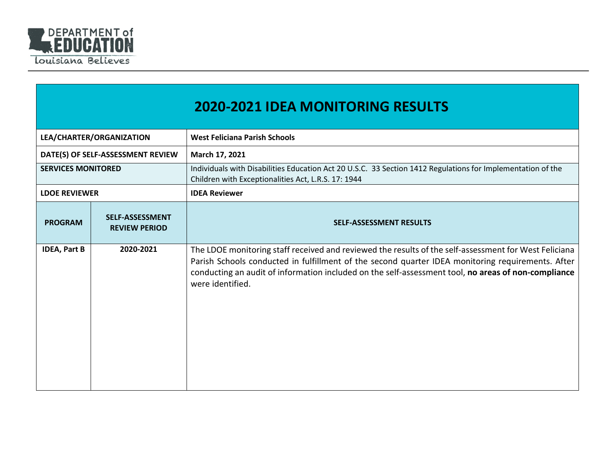

|                           |                                                | <b>2020-2021 IDEA MONITORING RESULTS</b>                                                                                                                                                                                                                                                                                              |
|---------------------------|------------------------------------------------|---------------------------------------------------------------------------------------------------------------------------------------------------------------------------------------------------------------------------------------------------------------------------------------------------------------------------------------|
|                           | LEA/CHARTER/ORGANIZATION                       | <b>West Feliciana Parish Schools</b>                                                                                                                                                                                                                                                                                                  |
|                           | DATE(S) OF SELF-ASSESSMENT REVIEW              | March 17, 2021                                                                                                                                                                                                                                                                                                                        |
| <b>SERVICES MONITORED</b> |                                                | Individuals with Disabilities Education Act 20 U.S.C. 33 Section 1412 Regulations for Implementation of the<br>Children with Exceptionalities Act, L.R.S. 17: 1944                                                                                                                                                                    |
| <b>LDOE REVIEWER</b>      |                                                | <b>IDEA Reviewer</b>                                                                                                                                                                                                                                                                                                                  |
| <b>PROGRAM</b>            | <b>SELF-ASSESSMENT</b><br><b>REVIEW PERIOD</b> | <b>SELF-ASSESSMENT RESULTS</b>                                                                                                                                                                                                                                                                                                        |
| <b>IDEA, Part B</b>       | 2020-2021                                      | The LDOE monitoring staff received and reviewed the results of the self-assessment for West Feliciana<br>Parish Schools conducted in fulfillment of the second quarter IDEA monitoring requirements. After<br>conducting an audit of information included on the self-assessment tool, no areas of non-compliance<br>were identified. |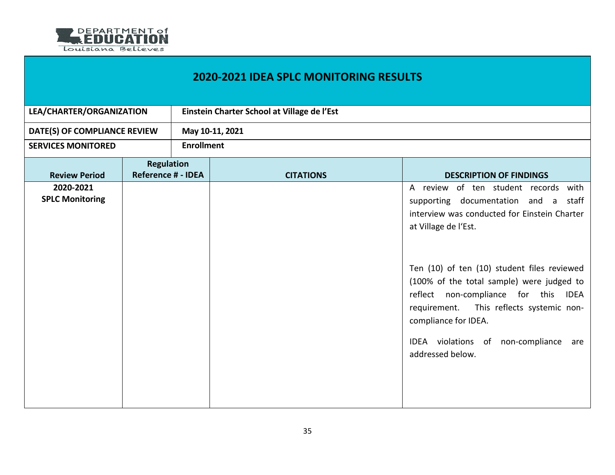

## **2020-2021 IDEA SPLC MONITORING RESULTS**

| LEA/CHARTER/ORGANIZATION            |                           | Einstein Charter School at Village de l'Est |                  |                                                                                                                                                                                                                                                                                                                                                                                                                                    |  |
|-------------------------------------|---------------------------|---------------------------------------------|------------------|------------------------------------------------------------------------------------------------------------------------------------------------------------------------------------------------------------------------------------------------------------------------------------------------------------------------------------------------------------------------------------------------------------------------------------|--|
| DATE(S) OF COMPLIANCE REVIEW        |                           | May 10-11, 2021                             |                  |                                                                                                                                                                                                                                                                                                                                                                                                                                    |  |
| <b>SERVICES MONITORED</b>           |                           | <b>Enrollment</b>                           |                  |                                                                                                                                                                                                                                                                                                                                                                                                                                    |  |
|                                     | <b>Regulation</b>         |                                             |                  |                                                                                                                                                                                                                                                                                                                                                                                                                                    |  |
| <b>Review Period</b>                | <b>Reference # - IDEA</b> |                                             | <b>CITATIONS</b> | <b>DESCRIPTION OF FINDINGS</b>                                                                                                                                                                                                                                                                                                                                                                                                     |  |
| 2020-2021<br><b>SPLC Monitoring</b> |                           |                                             |                  | A review of ten student records with<br>supporting documentation and a<br>staff<br>interview was conducted for Einstein Charter<br>at Village de l'Est.<br>Ten (10) of ten (10) student files reviewed<br>(100% of the total sample) were judged to<br>reflect non-compliance for this IDEA<br>This reflects systemic non-<br>requirement.<br>compliance for IDEA.<br>IDEA violations of non-compliance<br>are<br>addressed below. |  |
|                                     |                           |                                             |                  |                                                                                                                                                                                                                                                                                                                                                                                                                                    |  |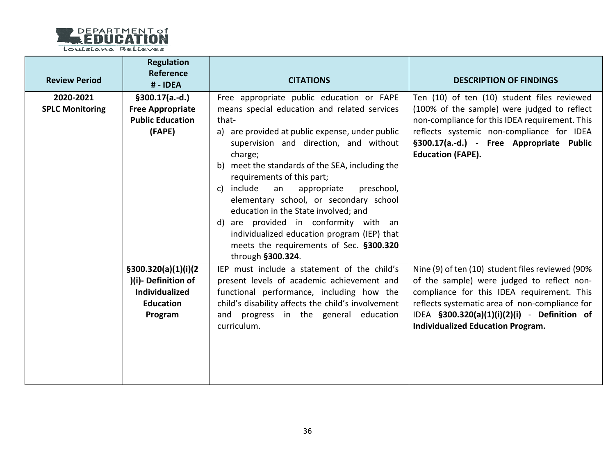

| <b>Review Period</b>                | <b>Regulation</b><br>Reference<br># - IDEA                                                          | <b>CITATIONS</b>                                                                                                                                                                                                                                                                                                                                                                                                                                                                                                                                                                       | <b>DESCRIPTION OF FINDINGS</b>                                                                                                                                                                                                                                                             |
|-------------------------------------|-----------------------------------------------------------------------------------------------------|----------------------------------------------------------------------------------------------------------------------------------------------------------------------------------------------------------------------------------------------------------------------------------------------------------------------------------------------------------------------------------------------------------------------------------------------------------------------------------------------------------------------------------------------------------------------------------------|--------------------------------------------------------------------------------------------------------------------------------------------------------------------------------------------------------------------------------------------------------------------------------------------|
| 2020-2021<br><b>SPLC Monitoring</b> | $§300.17(a.-d.)$<br><b>Free Appropriate</b><br><b>Public Education</b><br>(FAPE)                    | Free appropriate public education or FAPE<br>means special education and related services<br>that-<br>a) are provided at public expense, under public<br>supervision and direction, and without<br>charge;<br>b) meet the standards of the SEA, including the<br>requirements of this part;<br>c) include<br>preschool,<br>an<br>appropriate<br>elementary school, or secondary school<br>education in the State involved; and<br>d) are provided in conformity with an<br>individualized education program (IEP) that<br>meets the requirements of Sec. §300.320<br>through §300.324. | Ten (10) of ten (10) student files reviewed<br>(100% of the sample) were judged to reflect<br>non-compliance for this IDEA requirement. This<br>reflects systemic non-compliance for IDEA<br>§300.17(a.-d.) - Free Appropriate Public<br><b>Education (FAPE).</b>                          |
|                                     | \$300.320(a)(1)(i)(2)<br>)(i)-Definition of<br><b>Individualized</b><br><b>Education</b><br>Program | IEP must include a statement of the child's<br>present levels of academic achievement and<br>functional performance, including how the<br>child's disability affects the child's involvement<br>and progress in the general education<br>curriculum.                                                                                                                                                                                                                                                                                                                                   | Nine (9) of ten (10) student files reviewed (90%<br>of the sample) were judged to reflect non-<br>compliance for this IDEA requirement. This<br>reflects systematic area of non-compliance for<br>IDEA §300.320(a)(1)(i)(2)(i) - Definition of<br><b>Individualized Education Program.</b> |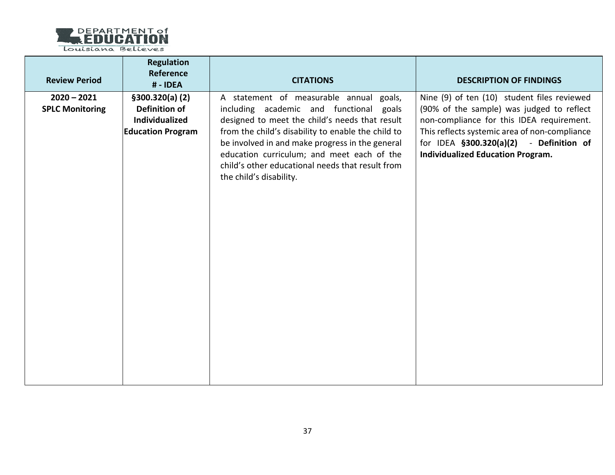

| <b>Review Period</b>                    | <b>Regulation</b><br>Reference<br># - IDEA                                             | <b>CITATIONS</b>                                                                                                                                                                                                                                                                                                                                                           | <b>DESCRIPTION OF FINDINGS</b>                                                                                                                                                                                                                                                |
|-----------------------------------------|----------------------------------------------------------------------------------------|----------------------------------------------------------------------------------------------------------------------------------------------------------------------------------------------------------------------------------------------------------------------------------------------------------------------------------------------------------------------------|-------------------------------------------------------------------------------------------------------------------------------------------------------------------------------------------------------------------------------------------------------------------------------|
| $2020 - 2021$<br><b>SPLC Monitoring</b> | \$300.320(a) (2)<br><b>Definition of</b><br>Individualized<br><b>Education Program</b> | A statement of measurable annual goals,<br>including academic and functional goals<br>designed to meet the child's needs that result<br>from the child's disability to enable the child to<br>be involved in and make progress in the general<br>education curriculum; and meet each of the<br>child's other educational needs that result from<br>the child's disability. | Nine (9) of ten (10) student files reviewed<br>(90% of the sample) was judged to reflect<br>non-compliance for this IDEA requirement.<br>This reflects systemic area of non-compliance<br>for IDEA §300.320(a)(2) - Definition of<br><b>Individualized Education Program.</b> |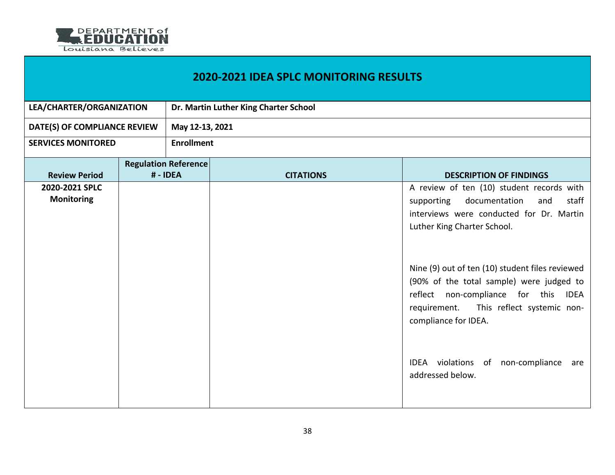

| <b>2020-2021 IDEA SPLC MONITORING RESULTS</b> |  |                                         |                  |                                                                                                                                                                                                                                                                                                                                                                                                                                                        |  |  |
|-----------------------------------------------|--|-----------------------------------------|------------------|--------------------------------------------------------------------------------------------------------------------------------------------------------------------------------------------------------------------------------------------------------------------------------------------------------------------------------------------------------------------------------------------------------------------------------------------------------|--|--|
| LEA/CHARTER/ORGANIZATION                      |  | Dr. Martin Luther King Charter School   |                  |                                                                                                                                                                                                                                                                                                                                                                                                                                                        |  |  |
| DATE(S) OF COMPLIANCE REVIEW                  |  |                                         | May 12-13, 2021  |                                                                                                                                                                                                                                                                                                                                                                                                                                                        |  |  |
| <b>SERVICES MONITORED</b>                     |  | <b>Enrollment</b>                       |                  |                                                                                                                                                                                                                                                                                                                                                                                                                                                        |  |  |
| <b>Review Period</b>                          |  | <b>Regulation Reference</b><br># - IDEA | <b>CITATIONS</b> | <b>DESCRIPTION OF FINDINGS</b>                                                                                                                                                                                                                                                                                                                                                                                                                         |  |  |
| 2020-2021 SPLC<br><b>Monitoring</b>           |  |                                         |                  | A review of ten (10) student records with<br>documentation<br>staff<br>and<br>supporting<br>interviews were conducted for Dr. Martin<br>Luther King Charter School.<br>Nine (9) out of ten (10) student files reviewed<br>(90% of the total sample) were judged to<br>non-compliance for this<br>reflect<br>IDEA<br>This reflect systemic non-<br>requirement.<br>compliance for IDEA.<br>IDEA violations of non-compliance<br>are<br>addressed below. |  |  |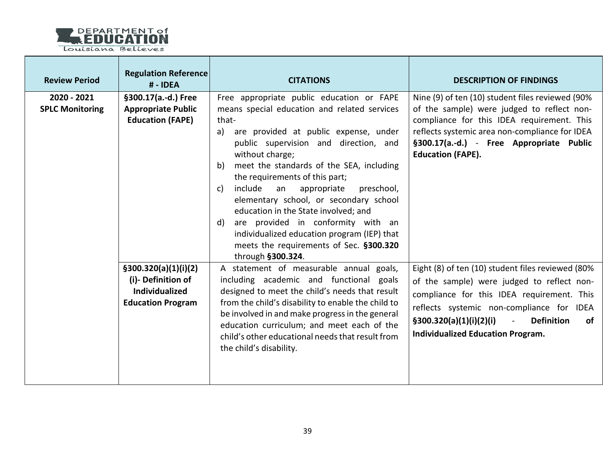

| <b>Review Period</b>                  | <b>Regulation Reference</b><br>#-IDEA                                                           | <b>CITATIONS</b>                                                                                                                                                                                                                                                                                                                                                                                                                                                                                                                                                                                | <b>DESCRIPTION OF FINDINGS</b>                                                                                                                                                                                                                                                                                  |
|---------------------------------------|-------------------------------------------------------------------------------------------------|-------------------------------------------------------------------------------------------------------------------------------------------------------------------------------------------------------------------------------------------------------------------------------------------------------------------------------------------------------------------------------------------------------------------------------------------------------------------------------------------------------------------------------------------------------------------------------------------------|-----------------------------------------------------------------------------------------------------------------------------------------------------------------------------------------------------------------------------------------------------------------------------------------------------------------|
| 2020 - 2021<br><b>SPLC Monitoring</b> | §300.17(a.-d.) Free<br><b>Appropriate Public</b><br><b>Education (FAPE)</b>                     | Free appropriate public education or FAPE<br>means special education and related services<br>that-<br>are provided at public expense, under<br>a)<br>public supervision and direction, and<br>without charge;<br>meet the standards of the SEA, including<br>b)<br>the requirements of this part;<br>include<br>appropriate<br>an<br>preschool,<br>c)<br>elementary school, or secondary school<br>education in the State involved; and<br>d) are provided in conformity with an<br>individualized education program (IEP) that<br>meets the requirements of Sec. §300.320<br>through §300.324. | Nine (9) of ten (10) student files reviewed (90%<br>of the sample) were judged to reflect non-<br>compliance for this IDEA requirement. This<br>reflects systemic area non-compliance for IDEA<br>§300.17(a.-d.) - Free Appropriate Public<br><b>Education (FAPE).</b>                                          |
|                                       | \$300.320(a)(1)(i)(2)<br>(i)-Definition of<br><b>Individualized</b><br><b>Education Program</b> | A statement of measurable annual goals,<br>including academic and functional goals<br>designed to meet the child's needs that result<br>from the child's disability to enable the child to<br>be involved in and make progress in the general<br>education curriculum; and meet each of the<br>child's other educational needs that result from<br>the child's disability.                                                                                                                                                                                                                      | Eight (8) of ten (10) student files reviewed (80%<br>of the sample) were judged to reflect non-<br>compliance for this IDEA requirement. This<br>reflects systemic non-compliance for IDEA<br><b>Definition</b><br>$\S300.320(a)(1)(i)(2)(i)$<br>$\mathbb{L}$<br>of<br><b>Individualized Education Program.</b> |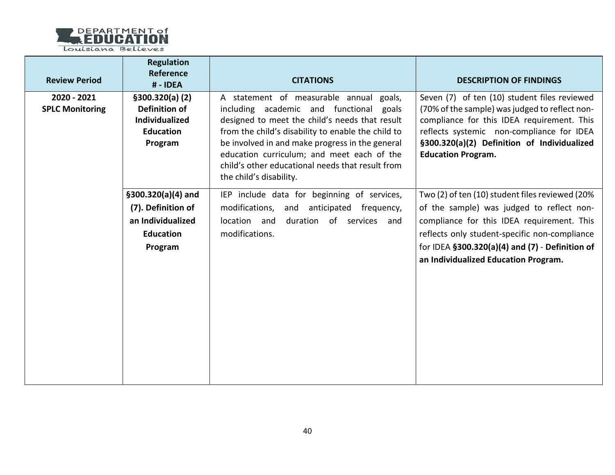

| <b>Review Period</b>                  | <b>Regulation</b><br>Reference<br>#-IDEA                                                       | <b>CITATIONS</b>                                                                                                                                                                                                                                                                                                                                                              | <b>DESCRIPTION OF FINDINGS</b>                                                                                                                                                                                                                                                             |
|---------------------------------------|------------------------------------------------------------------------------------------------|-------------------------------------------------------------------------------------------------------------------------------------------------------------------------------------------------------------------------------------------------------------------------------------------------------------------------------------------------------------------------------|--------------------------------------------------------------------------------------------------------------------------------------------------------------------------------------------------------------------------------------------------------------------------------------------|
| 2020 - 2021<br><b>SPLC Monitoring</b> | \$300.320(a) (2)<br>Definition of<br><b>Individualized</b><br><b>Education</b><br>Program      | A statement of measurable annual goals,<br>including academic and functional<br>goals<br>designed to meet the child's needs that result<br>from the child's disability to enable the child to<br>be involved in and make progress in the general<br>education curriculum; and meet each of the<br>child's other educational needs that result from<br>the child's disability. | Seven (7) of ten (10) student files reviewed<br>(70% of the sample) was judged to reflect non-<br>compliance for this IDEA requirement. This<br>reflects systemic non-compliance for IDEA<br>§300.320(a)(2) Definition of Individualized<br><b>Education Program.</b>                      |
|                                       | $$300.320(a)(4)$ and<br>(7). Definition of<br>an Individualized<br><b>Education</b><br>Program | IEP include data for beginning of services,<br>modifications, and<br>anticipated frequency,<br>duration of services and<br>location and<br>modifications.                                                                                                                                                                                                                     | Two (2) of ten (10) student files reviewed (20%<br>of the sample) was judged to reflect non-<br>compliance for this IDEA requirement. This<br>reflects only student-specific non-compliance<br>for IDEA $$300.320(a)(4)$ and $(7)$ - Definition of<br>an Individualized Education Program. |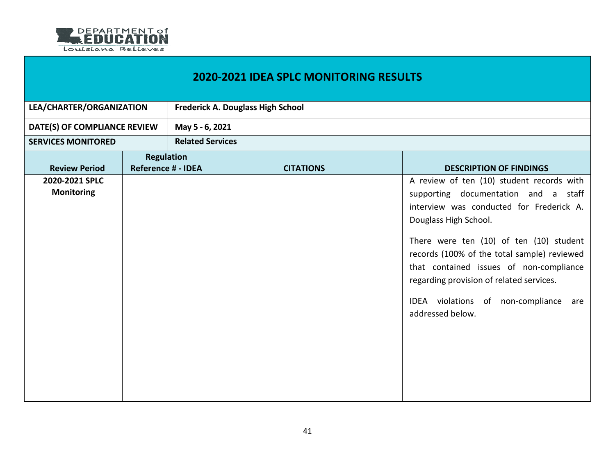

| <b>2020-2021 IDEA SPLC MONITORING RESULTS</b> |                                                |                         |                                          |                                                                                                                                                                                                                                                                                                                                                                                                         |  |  |
|-----------------------------------------------|------------------------------------------------|-------------------------|------------------------------------------|---------------------------------------------------------------------------------------------------------------------------------------------------------------------------------------------------------------------------------------------------------------------------------------------------------------------------------------------------------------------------------------------------------|--|--|
| LEA/CHARTER/ORGANIZATION                      |                                                |                         | <b>Frederick A. Douglass High School</b> |                                                                                                                                                                                                                                                                                                                                                                                                         |  |  |
| DATE(S) OF COMPLIANCE REVIEW                  |                                                |                         | May 5 - 6, 2021                          |                                                                                                                                                                                                                                                                                                                                                                                                         |  |  |
| <b>SERVICES MONITORED</b>                     |                                                | <b>Related Services</b> |                                          |                                                                                                                                                                                                                                                                                                                                                                                                         |  |  |
| <b>Review Period</b>                          | <b>Regulation</b><br><b>Reference # - IDEA</b> |                         | <b>CITATIONS</b>                         | <b>DESCRIPTION OF FINDINGS</b>                                                                                                                                                                                                                                                                                                                                                                          |  |  |
| 2020-2021 SPLC<br><b>Monitoring</b>           |                                                |                         |                                          | A review of ten (10) student records with<br>supporting documentation and a staff<br>interview was conducted for Frederick A.<br>Douglass High School.<br>There were ten (10) of ten (10) student<br>records (100% of the total sample) reviewed<br>that contained issues of non-compliance<br>regarding provision of related services.<br>IDEA violations of non-compliance<br>are<br>addressed below. |  |  |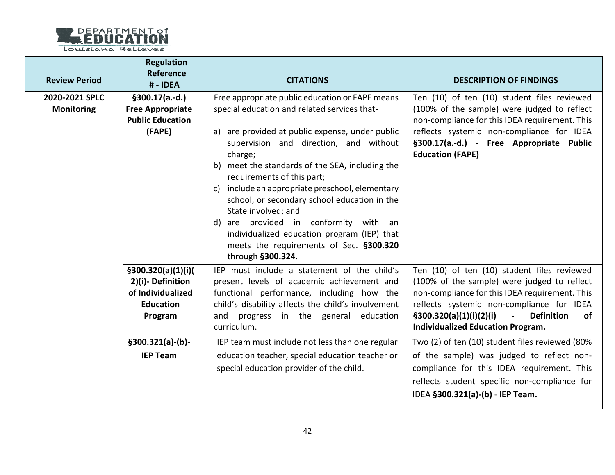

Louisiana Believes

| <b>Review Period</b>                | <b>Regulation</b><br>Reference<br>#-IDEA                                                                                                                                        | <b>CITATIONS</b>                                                                                                                                                                                                                                                                                                                                                                                                                                                                                                                                                           | <b>DESCRIPTION OF FINDINGS</b>                                                                                                                                                                                                                                                                            |
|-------------------------------------|---------------------------------------------------------------------------------------------------------------------------------------------------------------------------------|----------------------------------------------------------------------------------------------------------------------------------------------------------------------------------------------------------------------------------------------------------------------------------------------------------------------------------------------------------------------------------------------------------------------------------------------------------------------------------------------------------------------------------------------------------------------------|-----------------------------------------------------------------------------------------------------------------------------------------------------------------------------------------------------------------------------------------------------------------------------------------------------------|
| 2020-2021 SPLC<br><b>Monitoring</b> | $§300.17(a.-d.)$<br><b>Free Appropriate</b><br><b>Public Education</b><br>(FAPE)<br>\$300.320(a)(1)(i)(<br>2)(i)-Definition<br>of Individualized<br><b>Education</b><br>Program | Free appropriate public education or FAPE means<br>special education and related services that-<br>a) are provided at public expense, under public<br>supervision and direction, and without<br>charge;<br>b) meet the standards of the SEA, including the<br>requirements of this part;<br>c) include an appropriate preschool, elementary<br>school, or secondary school education in the<br>State involved; and<br>d) are provided in conformity with an<br>individualized education program (IEP) that<br>meets the requirements of Sec. §300.320<br>through §300.324. | Ten (10) of ten (10) student files reviewed<br>(100% of the sample) were judged to reflect<br>non-compliance for this IDEA requirement. This<br>reflects systemic non-compliance for IDEA<br>§300.17(a.-d.) - Free Appropriate Public<br><b>Education (FAPE)</b>                                          |
|                                     |                                                                                                                                                                                 | IEP must include a statement of the child's<br>present levels of academic achievement and<br>functional performance, including how the<br>child's disability affects the child's involvement<br>and progress in the general education<br>curriculum.                                                                                                                                                                                                                                                                                                                       | Ten (10) of ten (10) student files reviewed<br>(100% of the sample) were judged to reflect<br>non-compliance for this IDEA requirement. This<br>reflects systemic non-compliance for IDEA<br><b>Definition</b><br>\$300.320(a)(1)(i)(2)(i)<br>$\sim 10$<br>оf<br><b>Individualized Education Program.</b> |
|                                     | $§300.321(a)-(b)$<br><b>IEP Team</b>                                                                                                                                            | IEP team must include not less than one regular<br>education teacher, special education teacher or<br>special education provider of the child.                                                                                                                                                                                                                                                                                                                                                                                                                             | Two (2) of ten (10) student files reviewed (80%<br>of the sample) was judged to reflect non-<br>compliance for this IDEA requirement. This<br>reflects student specific non-compliance for<br>IDEA §300.321(a)-(b) - IEP Team.                                                                            |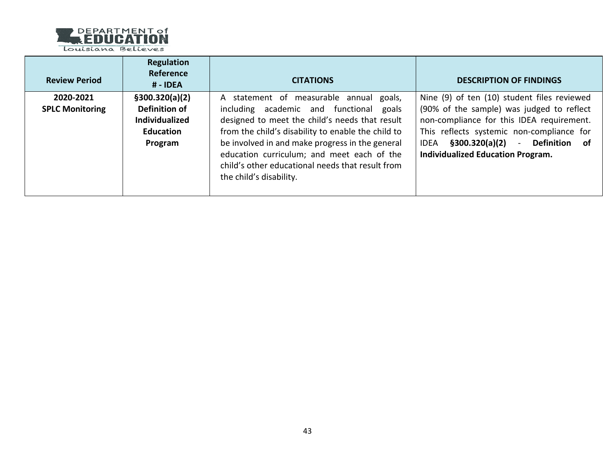

Louisiana Believes

| <b>Review Period</b>                | <b>Regulation</b><br>Reference<br># - IDEA                                               | <b>CITATIONS</b>                                                                                                                                                                                                                                                                                                                                                              | <b>DESCRIPTION OF FINDINGS</b>                                                                                                                                                                                                                                                     |
|-------------------------------------|------------------------------------------------------------------------------------------|-------------------------------------------------------------------------------------------------------------------------------------------------------------------------------------------------------------------------------------------------------------------------------------------------------------------------------------------------------------------------------|------------------------------------------------------------------------------------------------------------------------------------------------------------------------------------------------------------------------------------------------------------------------------------|
| 2020-2021<br><b>SPLC Monitoring</b> | \$300.320(a)(2)<br>Definition of<br><b>Individualized</b><br><b>Education</b><br>Program | A statement of measurable annual goals,<br>including academic and functional<br>goals<br>designed to meet the child's needs that result<br>from the child's disability to enable the child to<br>be involved in and make progress in the general<br>education curriculum; and meet each of the<br>child's other educational needs that result from<br>the child's disability. | Nine (9) of ten (10) student files reviewed<br>(90% of the sample) was judged to reflect<br>non-compliance for this IDEA requirement.<br>This reflects systemic non-compliance for<br>§300.320(a)(2)<br>- Definition of<br><b>IDEA</b><br><b>Individualized Education Program.</b> |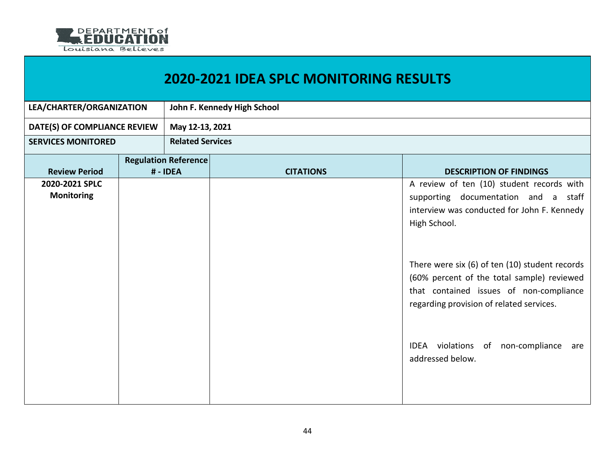

| LEA/CHARTER/ORGANIZATION            |  |                                       | John F. Kennedy High School |                                                                                                                                                                                     |
|-------------------------------------|--|---------------------------------------|-----------------------------|-------------------------------------------------------------------------------------------------------------------------------------------------------------------------------------|
| DATE(S) OF COMPLIANCE REVIEW        |  | May 12-13, 2021                       |                             |                                                                                                                                                                                     |
| <b>SERVICES MONITORED</b>           |  | <b>Related Services</b>               |                             |                                                                                                                                                                                     |
| <b>Review Period</b>                |  | <b>Regulation Reference</b><br>#-IDEA | <b>CITATIONS</b>            | <b>DESCRIPTION OF FINDINGS</b>                                                                                                                                                      |
| 2020-2021 SPLC<br><b>Monitoring</b> |  |                                       |                             | A review of ten (10) student records with<br>supporting documentation and a staff<br>interview was conducted for John F. Kennedy<br>High School.                                    |
|                                     |  |                                       |                             | There were six (6) of ten (10) student records<br>(60% percent of the total sample) reviewed<br>that contained issues of non-compliance<br>regarding provision of related services. |
|                                     |  |                                       |                             | IDEA violations of non-compliance<br>are<br>addressed below.                                                                                                                        |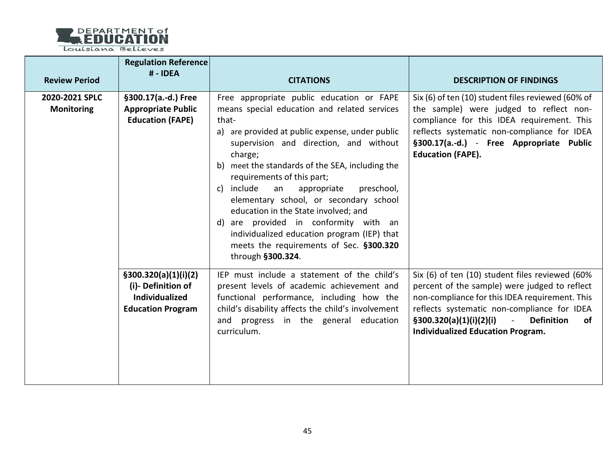

| <b>Review Period</b>                | <b>Regulation Reference</b><br># - IDEA                                                          | <b>CITATIONS</b>                                                                                                                                                                                                                                                                                                                                                                                                                                                                                                                                                                          | <b>DESCRIPTION OF FINDINGS</b>                                                                                                                                                                                                                                                                                                |
|-------------------------------------|--------------------------------------------------------------------------------------------------|-------------------------------------------------------------------------------------------------------------------------------------------------------------------------------------------------------------------------------------------------------------------------------------------------------------------------------------------------------------------------------------------------------------------------------------------------------------------------------------------------------------------------------------------------------------------------------------------|-------------------------------------------------------------------------------------------------------------------------------------------------------------------------------------------------------------------------------------------------------------------------------------------------------------------------------|
| 2020-2021 SPLC<br><b>Monitoring</b> | §300.17(a.-d.) Free<br><b>Appropriate Public</b><br><b>Education (FAPE)</b>                      | Free appropriate public education or FAPE<br>means special education and related services<br>that-<br>a) are provided at public expense, under public<br>supervision and direction, and without<br>charge;<br>b) meet the standards of the SEA, including the<br>requirements of this part;<br>include<br>preschool,<br>an<br>appropriate<br>C)<br>elementary school, or secondary school<br>education in the State involved; and<br>d) are provided in conformity with an<br>individualized education program (IEP) that<br>meets the requirements of Sec. §300.320<br>through §300.324. | Six (6) of ten (10) student files reviewed (60% of<br>the sample) were judged to reflect non-<br>compliance for this IDEA requirement. This<br>reflects systematic non-compliance for IDEA<br>§300.17(a.-d.) - Free Appropriate Public<br><b>Education (FAPE).</b>                                                            |
|                                     | \$300.320(a)(1)(i)(2)<br>(i)- Definition of<br><b>Individualized</b><br><b>Education Program</b> | IEP must include a statement of the child's<br>present levels of academic achievement and<br>functional performance, including how the<br>child's disability affects the child's involvement<br>and progress in the general education<br>curriculum.                                                                                                                                                                                                                                                                                                                                      | Six (6) of ten (10) student files reviewed (60%<br>percent of the sample) were judged to reflect<br>non-compliance for this IDEA requirement. This<br>reflects systematic non-compliance for IDEA<br>\$300.320(a)(1)(i)(2)(i)<br><b>Definition</b><br><b>of</b><br>$\blacksquare$<br><b>Individualized Education Program.</b> |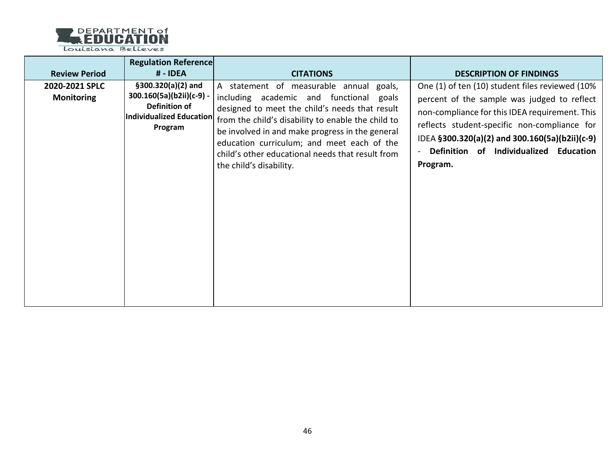

Louisiana Believes

| <b>Review Period</b>                | <b>Regulation Reference</b><br># - IDEA                                                                         | <b>CITATIONS</b>                                                                                                                                                                                                                                                                                                                                                           | <b>DESCRIPTION OF FINDINGS</b>                                                                                                                                                                                                                                                                           |
|-------------------------------------|-----------------------------------------------------------------------------------------------------------------|----------------------------------------------------------------------------------------------------------------------------------------------------------------------------------------------------------------------------------------------------------------------------------------------------------------------------------------------------------------------------|----------------------------------------------------------------------------------------------------------------------------------------------------------------------------------------------------------------------------------------------------------------------------------------------------------|
| 2020-2021 SPLC<br><b>Monitoring</b> | $$300.320(a)(2)$ and<br>300.160(5a)(b2ii)(c-9) -<br>Definition of<br><b>Individualized Education</b><br>Program | A statement of measurable annual goals,<br>including academic and functional goals<br>designed to meet the child's needs that result<br>from the child's disability to enable the child to<br>be involved in and make progress in the general<br>education curriculum; and meet each of the<br>child's other educational needs that result from<br>the child's disability. | One (1) of ten (10) student files reviewed (10%<br>percent of the sample was judged to reflect<br>non-compliance for this IDEA requirement. This<br>reflects student-specific non-compliance for<br>IDEA §300.320(a)(2) and 300.160(5a)(b2ii)(c-9)<br>Definition of Individualized Education<br>Program. |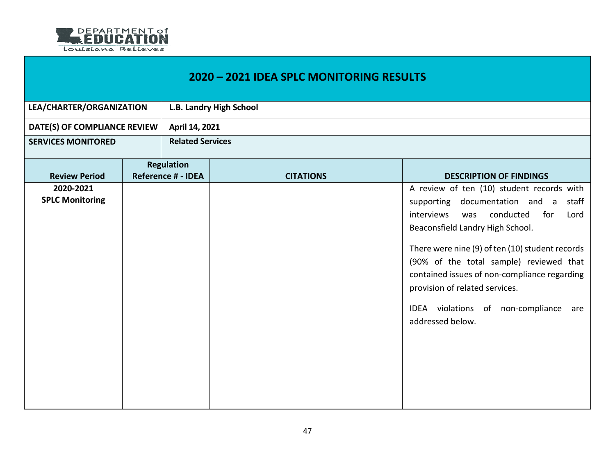

## **2020 – 2021 IDEA SPLC MONITORING RESULTS**

| LEA/CHARTER/ORGANIZATION            |  | L.B. Landry High School   |                         |                                                                                                                                                                                                                                                                                                                                                                                                                           |  |
|-------------------------------------|--|---------------------------|-------------------------|---------------------------------------------------------------------------------------------------------------------------------------------------------------------------------------------------------------------------------------------------------------------------------------------------------------------------------------------------------------------------------------------------------------------------|--|
| DATE(S) OF COMPLIANCE REVIEW        |  | April 14, 2021            |                         |                                                                                                                                                                                                                                                                                                                                                                                                                           |  |
| <b>SERVICES MONITORED</b>           |  |                           | <b>Related Services</b> |                                                                                                                                                                                                                                                                                                                                                                                                                           |  |
|                                     |  | <b>Regulation</b>         |                         |                                                                                                                                                                                                                                                                                                                                                                                                                           |  |
| <b>Review Period</b>                |  | <b>Reference # - IDEA</b> | <b>CITATIONS</b>        | <b>DESCRIPTION OF FINDINGS</b>                                                                                                                                                                                                                                                                                                                                                                                            |  |
| 2020-2021<br><b>SPLC Monitoring</b> |  |                           |                         | A review of ten (10) student records with<br>supporting documentation and a<br>staff<br>conducted<br>for<br>interviews<br>was<br>Lord<br>Beaconsfield Landry High School.<br>There were nine (9) of ten (10) student records<br>(90% of the total sample) reviewed that<br>contained issues of non-compliance regarding<br>provision of related services.<br>IDEA violations of non-compliance<br>are<br>addressed below. |  |
|                                     |  |                           |                         |                                                                                                                                                                                                                                                                                                                                                                                                                           |  |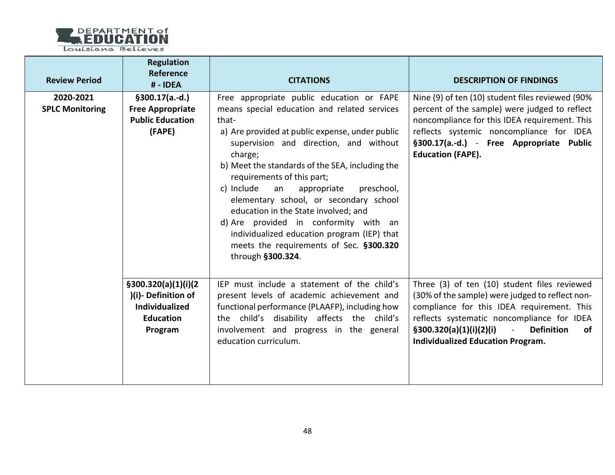

| <b>Review Period</b>                | <b>Regulation</b><br>Reference<br># - IDEA                                                          | <b>CITATIONS</b>                                                                                                                                                                                                                                                                                                                                                                                                                                                                                                                                                                       | <b>DESCRIPTION OF FINDINGS</b>                                                                                                                                                                                                                                                                                  |
|-------------------------------------|-----------------------------------------------------------------------------------------------------|----------------------------------------------------------------------------------------------------------------------------------------------------------------------------------------------------------------------------------------------------------------------------------------------------------------------------------------------------------------------------------------------------------------------------------------------------------------------------------------------------------------------------------------------------------------------------------------|-----------------------------------------------------------------------------------------------------------------------------------------------------------------------------------------------------------------------------------------------------------------------------------------------------------------|
| 2020-2021<br><b>SPLC Monitoring</b> | $§300.17(a.-d.)$<br><b>Free Appropriate</b><br><b>Public Education</b><br>(FAPE)                    | Free appropriate public education or FAPE<br>means special education and related services<br>that-<br>a) Are provided at public expense, under public<br>supervision and direction, and without<br>charge;<br>b) Meet the standards of the SEA, including the<br>requirements of this part;<br>c) Include<br>appropriate<br>preschool,<br>an<br>elementary school, or secondary school<br>education in the State involved; and<br>d) Are provided in conformity with an<br>individualized education program (IEP) that<br>meets the requirements of Sec. §300.320<br>through §300.324. | Nine (9) of ten (10) student files reviewed (90%<br>percent of the sample) were judged to reflect<br>noncompliance for this IDEA requirement. This<br>reflects systemic noncompliance for IDEA<br>§300.17(a.-d.) - Free Appropriate Public<br><b>Education (FAPE).</b>                                          |
|                                     | \$300.320(a)(1)(i)(2)<br>)(i)-Definition of<br><b>Individualized</b><br><b>Education</b><br>Program | IEP must include a statement of the child's<br>present levels of academic achievement and<br>functional performance (PLAAFP), including how<br>the child's disability affects the child's<br>involvement and progress in the general<br>education curriculum.                                                                                                                                                                                                                                                                                                                          | Three (3) of ten (10) student files reviewed<br>(30% of the sample) were judged to reflect non-<br>compliance for this IDEA requirement. This<br>reflects systematic noncompliance for IDEA<br>\$300.320(a)(1)(i)(2)(i)<br><b>Definition</b><br>$\sim$<br><b>of</b><br><b>Individualized Education Program.</b> |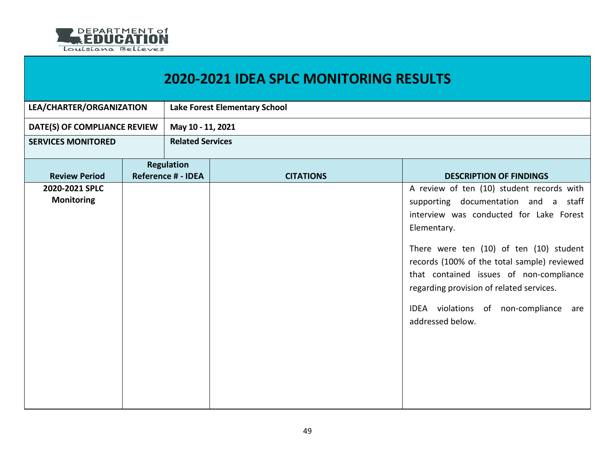

| LEA/CHARTER/ORGANIZATION            |  | Lake Forest Elementary School                  |                  |                                                                                                                                                                                                                                                                                                                                                                                              |  |
|-------------------------------------|--|------------------------------------------------|------------------|----------------------------------------------------------------------------------------------------------------------------------------------------------------------------------------------------------------------------------------------------------------------------------------------------------------------------------------------------------------------------------------------|--|
| DATE(S) OF COMPLIANCE REVIEW        |  | May 10 - 11, 2021                              |                  |                                                                                                                                                                                                                                                                                                                                                                                              |  |
| <b>SERVICES MONITORED</b>           |  | <b>Related Services</b>                        |                  |                                                                                                                                                                                                                                                                                                                                                                                              |  |
| <b>Review Period</b>                |  | <b>Regulation</b><br><b>Reference # - IDEA</b> | <b>CITATIONS</b> | <b>DESCRIPTION OF FINDINGS</b>                                                                                                                                                                                                                                                                                                                                                               |  |
| 2020-2021 SPLC<br><b>Monitoring</b> |  |                                                |                  | A review of ten (10) student records with<br>supporting documentation and a staff<br>interview was conducted for Lake Forest<br>Elementary.<br>There were ten (10) of ten (10) student<br>records (100% of the total sample) reviewed<br>that contained issues of non-compliance<br>regarding provision of related services.<br>IDEA violations of non-compliance<br>are<br>addressed below. |  |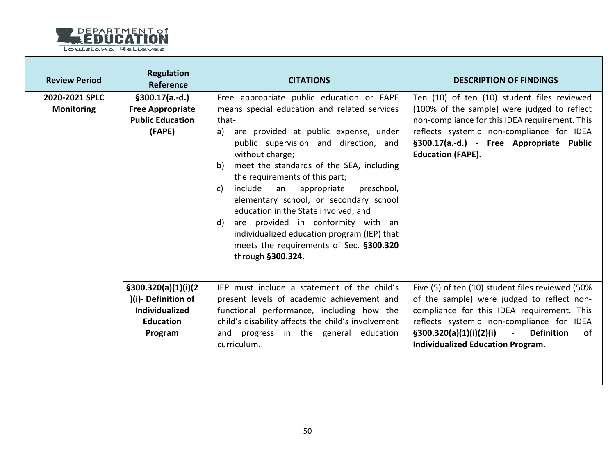

| <b>Review Period</b>                | <b>Regulation</b><br>Reference                                                                      | <b>CITATIONS</b>                                                                                                                                                                                                                                                                                                                                                                                                                                                                                                                                                                                | <b>DESCRIPTION OF FINDINGS</b>                                                                                                                                                                                                                                                                   |
|-------------------------------------|-----------------------------------------------------------------------------------------------------|-------------------------------------------------------------------------------------------------------------------------------------------------------------------------------------------------------------------------------------------------------------------------------------------------------------------------------------------------------------------------------------------------------------------------------------------------------------------------------------------------------------------------------------------------------------------------------------------------|--------------------------------------------------------------------------------------------------------------------------------------------------------------------------------------------------------------------------------------------------------------------------------------------------|
| 2020-2021 SPLC<br><b>Monitoring</b> | $§300.17(a.-d.)$<br><b>Free Appropriate</b><br><b>Public Education</b><br>(FAPE)                    | Free appropriate public education or FAPE<br>means special education and related services<br>that-<br>are provided at public expense, under<br>a)<br>public supervision and direction, and<br>without charge;<br>meet the standards of the SEA, including<br>b)<br>the requirements of this part;<br>include<br>an<br>appropriate<br>preschool,<br>C)<br>elementary school, or secondary school<br>education in the State involved; and<br>d) are provided in conformity with an<br>individualized education program (IEP) that<br>meets the requirements of Sec. §300.320<br>through §300.324. | Ten (10) of ten (10) student files reviewed<br>(100% of the sample) were judged to reflect<br>non-compliance for this IDEA requirement. This<br>reflects systemic non-compliance for IDEA<br>§300.17(a.-d.) - Free Appropriate Public<br><b>Education (FAPE).</b>                                |
|                                     | \$300.320(a)(1)(i)(2)<br>)(i)-Definition of<br><b>Individualized</b><br><b>Education</b><br>Program | IEP must include a statement of the child's<br>present levels of academic achievement and<br>functional performance, including how the<br>child's disability affects the child's involvement<br>and progress in the general education<br>curriculum.                                                                                                                                                                                                                                                                                                                                            | Five (5) of ten (10) student files reviewed (50%<br>of the sample) were judged to reflect non-<br>compliance for this IDEA requirement. This<br>reflects systemic non-compliance for IDEA<br><b>Definition</b><br>$\S300.320(a)(1)(i)(2)(i)$ -<br>0f<br><b>Individualized Education Program.</b> |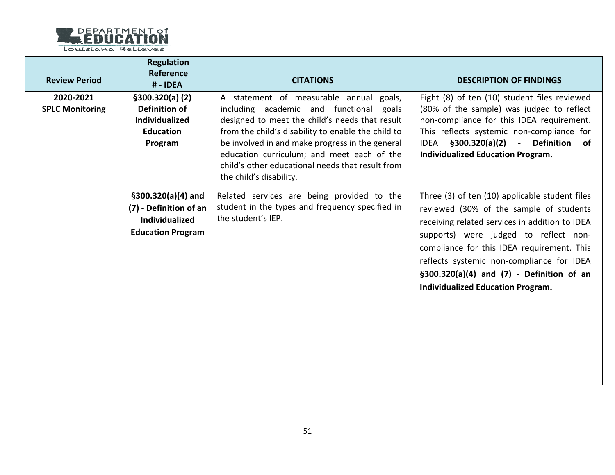

| <b>Review Period</b>                | <b>Regulation</b><br>Reference<br># - IDEA                                                          | <b>CITATIONS</b>                                                                                                                                                                                                                                                                                                                                                           | <b>DESCRIPTION OF FINDINGS</b>                                                                                                                                                                                                                                                                                                                                               |
|-------------------------------------|-----------------------------------------------------------------------------------------------------|----------------------------------------------------------------------------------------------------------------------------------------------------------------------------------------------------------------------------------------------------------------------------------------------------------------------------------------------------------------------------|------------------------------------------------------------------------------------------------------------------------------------------------------------------------------------------------------------------------------------------------------------------------------------------------------------------------------------------------------------------------------|
| 2020-2021<br><b>SPLC Monitoring</b> | \$300.320(a) (2)<br><b>Definition of</b><br><b>Individualized</b><br><b>Education</b><br>Program    | A statement of measurable annual goals,<br>including academic and functional goals<br>designed to meet the child's needs that result<br>from the child's disability to enable the child to<br>be involved in and make progress in the general<br>education curriculum; and meet each of the<br>child's other educational needs that result from<br>the child's disability. | Eight (8) of ten (10) student files reviewed<br>(80% of the sample) was judged to reflect<br>non-compliance for this IDEA requirement.<br>This reflects systemic non-compliance for<br>IDEA §300.320(a)(2) - Definition of<br><b>Individualized Education Program.</b>                                                                                                       |
|                                     | $$300.320(a)(4)$ and<br>(7) - Definition of an<br><b>Individualized</b><br><b>Education Program</b> | Related services are being provided to the<br>student in the types and frequency specified in<br>the student's IEP.                                                                                                                                                                                                                                                        | Three (3) of ten (10) applicable student files<br>reviewed (30% of the sample of students<br>receiving related services in addition to IDEA<br>supports) were judged to reflect non-<br>compliance for this IDEA requirement. This<br>reflects systemic non-compliance for IDEA<br>$$300.320(a)(4)$ and $(7)$ - Definition of an<br><b>Individualized Education Program.</b> |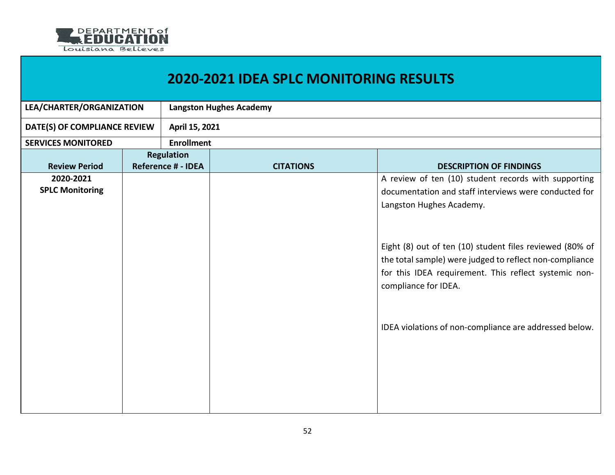

## **2020-2021 IDEA SPLC MONITORING RESULTS**

| LEA/CHARTER/ORGANIZATION     |  | <b>Langston Hughes Academy</b> |                  |                                                          |  |
|------------------------------|--|--------------------------------|------------------|----------------------------------------------------------|--|
| DATE(S) OF COMPLIANCE REVIEW |  | April 15, 2021                 |                  |                                                          |  |
| <b>SERVICES MONITORED</b>    |  | <b>Enrollment</b>              |                  |                                                          |  |
|                              |  | <b>Regulation</b>              |                  |                                                          |  |
| <b>Review Period</b>         |  | <b>Reference # - IDEA</b>      | <b>CITATIONS</b> | <b>DESCRIPTION OF FINDINGS</b>                           |  |
| 2020-2021                    |  |                                |                  | A review of ten (10) student records with supporting     |  |
| <b>SPLC Monitoring</b>       |  |                                |                  | documentation and staff interviews were conducted for    |  |
|                              |  |                                |                  | Langston Hughes Academy.                                 |  |
|                              |  |                                |                  |                                                          |  |
|                              |  |                                |                  |                                                          |  |
|                              |  |                                |                  |                                                          |  |
|                              |  |                                |                  | Eight (8) out of ten (10) student files reviewed (80% of |  |
|                              |  |                                |                  | the total sample) were judged to reflect non-compliance  |  |
|                              |  |                                |                  | for this IDEA requirement. This reflect systemic non-    |  |
|                              |  |                                |                  | compliance for IDEA.                                     |  |
|                              |  |                                |                  |                                                          |  |
|                              |  |                                |                  |                                                          |  |
|                              |  |                                |                  | IDEA violations of non-compliance are addressed below.   |  |
|                              |  |                                |                  |                                                          |  |
|                              |  |                                |                  |                                                          |  |
|                              |  |                                |                  |                                                          |  |
|                              |  |                                |                  |                                                          |  |
|                              |  |                                |                  |                                                          |  |
|                              |  |                                |                  |                                                          |  |
|                              |  |                                |                  |                                                          |  |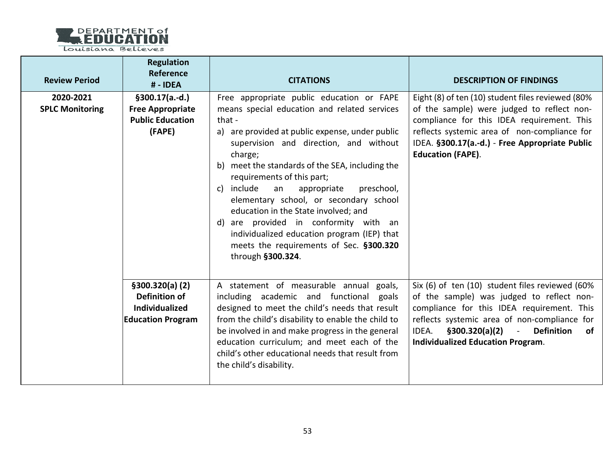

| <b>Review Period</b>                | <b>Regulation</b><br>Reference<br># - IDEA                                             | <b>CITATIONS</b>                                                                                                                                                                                                                                                                                                                                                                                                                                                                                                                                                                        | <b>DESCRIPTION OF FINDINGS</b>                                                                                                                                                                                                                                                         |
|-------------------------------------|----------------------------------------------------------------------------------------|-----------------------------------------------------------------------------------------------------------------------------------------------------------------------------------------------------------------------------------------------------------------------------------------------------------------------------------------------------------------------------------------------------------------------------------------------------------------------------------------------------------------------------------------------------------------------------------------|----------------------------------------------------------------------------------------------------------------------------------------------------------------------------------------------------------------------------------------------------------------------------------------|
| 2020-2021<br><b>SPLC Monitoring</b> | $§300.17(a.-d.)$<br><b>Free Appropriate</b><br><b>Public Education</b><br>(FAPE)       | Free appropriate public education or FAPE<br>means special education and related services<br>that -<br>a) are provided at public expense, under public<br>supervision and direction, and without<br>charge;<br>b) meet the standards of the SEA, including the<br>requirements of this part;<br>c) include<br>an<br>appropriate<br>preschool,<br>elementary school, or secondary school<br>education in the State involved; and<br>d) are provided in conformity with an<br>individualized education program (IEP) that<br>meets the requirements of Sec. §300.320<br>through §300.324. | Eight (8) of ten (10) student files reviewed (80%<br>of the sample) were judged to reflect non-<br>compliance for this IDEA requirement. This<br>reflects systemic area of non-compliance for<br>IDEA. §300.17(a.-d.) - Free Appropriate Public<br><b>Education (FAPE).</b>            |
|                                     | \$300.320(a) (2)<br>Definition of<br><b>Individualized</b><br><b>Education Program</b> | A statement of measurable annual goals,<br>including academic and functional goals<br>designed to meet the child's needs that result<br>from the child's disability to enable the child to<br>be involved in and make progress in the general<br>education curriculum; and meet each of the<br>child's other educational needs that result from<br>the child's disability.                                                                                                                                                                                                              | Six (6) of ten (10) student files reviewed (60%<br>of the sample) was judged to reflect non-<br>compliance for this IDEA requirement. This<br>reflects systemic area of non-compliance for<br>$$300.320(a)(2)$ - Definition<br>IDEA.<br>of<br><b>Individualized Education Program.</b> |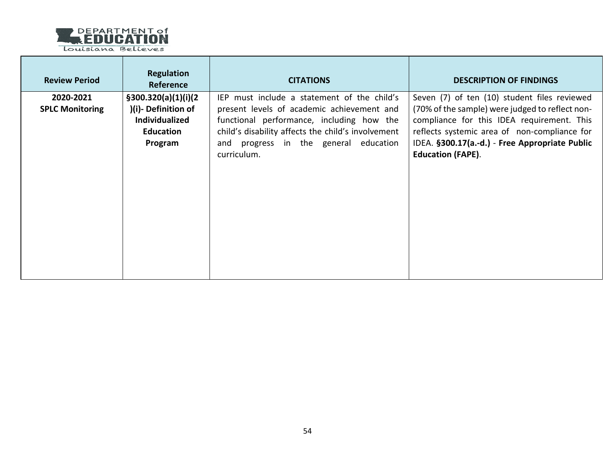

- 6

| <b>Review Period</b>                | <b>Regulation</b><br><b>Reference</b>                                                               | <b>CITATIONS</b>                                                                                                                                                                                                                                     | <b>DESCRIPTION OF FINDINGS</b>                                                                                                                                                                                                                                              |
|-------------------------------------|-----------------------------------------------------------------------------------------------------|------------------------------------------------------------------------------------------------------------------------------------------------------------------------------------------------------------------------------------------------------|-----------------------------------------------------------------------------------------------------------------------------------------------------------------------------------------------------------------------------------------------------------------------------|
| 2020-2021<br><b>SPLC Monitoring</b> | \$300.320(a)(1)(i)(2)<br>)(i)-Definition of<br><b>Individualized</b><br><b>Education</b><br>Program | IEP must include a statement of the child's<br>present levels of academic achievement and<br>functional performance, including how the<br>child's disability affects the child's involvement<br>and progress in the general education<br>curriculum. | Seven (7) of ten (10) student files reviewed<br>(70% of the sample) were judged to reflect non-<br>compliance for this IDEA requirement. This<br>reflects systemic area of non-compliance for<br>IDEA. §300.17(a.-d.) - Free Appropriate Public<br><b>Education (FAPE).</b> |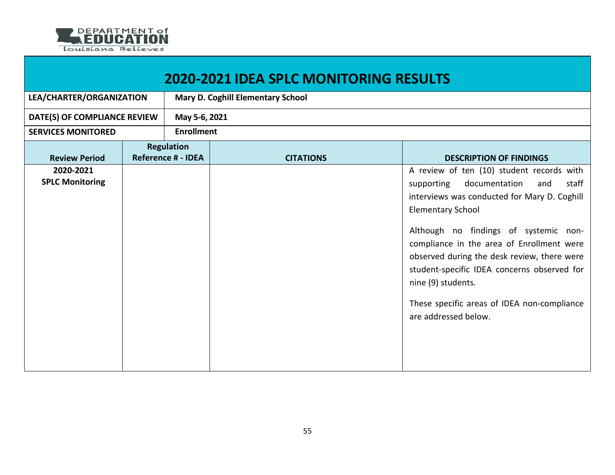

| <b>2020-2021 IDEA SPLC MONITORING RESULTS</b> |                                                |                   |                                          |                                                                                                                                                                                                                                                                                                                                                                                                                                                       |  |  |
|-----------------------------------------------|------------------------------------------------|-------------------|------------------------------------------|-------------------------------------------------------------------------------------------------------------------------------------------------------------------------------------------------------------------------------------------------------------------------------------------------------------------------------------------------------------------------------------------------------------------------------------------------------|--|--|
| LEA/CHARTER/ORGANIZATION                      |                                                |                   | <b>Mary D. Coghill Elementary School</b> |                                                                                                                                                                                                                                                                                                                                                                                                                                                       |  |  |
| DATE(S) OF COMPLIANCE REVIEW                  |                                                |                   | May 5-6, 2021                            |                                                                                                                                                                                                                                                                                                                                                                                                                                                       |  |  |
| <b>SERVICES MONITORED</b>                     |                                                | <b>Enrollment</b> |                                          |                                                                                                                                                                                                                                                                                                                                                                                                                                                       |  |  |
| <b>Review Period</b>                          | <b>Regulation</b><br><b>Reference # - IDEA</b> |                   | <b>CITATIONS</b>                         | <b>DESCRIPTION OF FINDINGS</b>                                                                                                                                                                                                                                                                                                                                                                                                                        |  |  |
| 2020-2021<br><b>SPLC Monitoring</b>           |                                                |                   |                                          | A review of ten (10) student records with<br>documentation<br>staff<br>supporting<br>and<br>interviews was conducted for Mary D. Coghill<br><b>Elementary School</b><br>Although no findings of systemic non-<br>compliance in the area of Enrollment were<br>observed during the desk review, there were<br>student-specific IDEA concerns observed for<br>nine (9) students.<br>These specific areas of IDEA non-compliance<br>are addressed below. |  |  |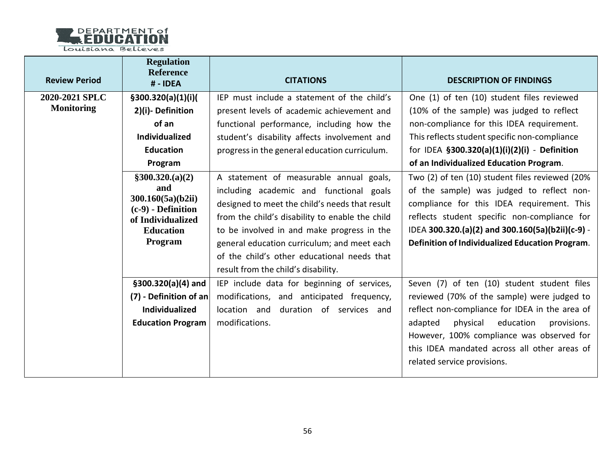

| <b>Review Period</b> | <b>Regulation</b><br><b>Reference</b><br># - IDEA | <b>CITATIONS</b>                                | <b>DESCRIPTION OF FINDINGS</b>                   |
|----------------------|---------------------------------------------------|-------------------------------------------------|--------------------------------------------------|
| 2020-2021 SPLC       | \$300.320(a)(1)(i)(                               | IEP must include a statement of the child's     | One (1) of ten (10) student files reviewed       |
| <b>Monitoring</b>    | 2)(i)-Definition                                  | present levels of academic achievement and      | (10% of the sample) was judged to reflect        |
|                      | of an                                             | functional performance, including how the       | non-compliance for this IDEA requirement.        |
|                      | <b>Individualized</b>                             | student's disability affects involvement and    | This reflects student specific non-compliance    |
|                      | <b>Education</b>                                  | progress in the general education curriculum.   | for IDEA §300.320(a)(1)(i)(2)(i) - Definition    |
|                      | Program                                           |                                                 | of an Individualized Education Program.          |
|                      | \$300.320(a)(2)                                   | A statement of measurable annual goals,         | Two (2) of ten (10) student files reviewed (20%  |
|                      | and                                               | including academic and functional goals         | of the sample) was judged to reflect non-        |
|                      | 300.160(5a)(b2ii)<br>$(c-9)$ - Definition         | designed to meet the child's needs that result  | compliance for this IDEA requirement. This       |
|                      | of Individualized                                 | from the child's disability to enable the child | reflects student specific non-compliance for     |
|                      | <b>Education</b>                                  | to be involved in and make progress in the      | IDEA 300.320.(a)(2) and 300.160(5a)(b2ii)(c-9) - |
|                      | Program                                           | general education curriculum; and meet each     | Definition of Individualized Education Program.  |
|                      |                                                   | of the child's other educational needs that     |                                                  |
|                      |                                                   | result from the child's disability.             |                                                  |
|                      | $$300.320(a)(4)$ and                              | IEP include data for beginning of services,     | Seven (7) of ten (10) student student files      |
|                      | $(7)$ - Definition of an                          | modifications, and anticipated frequency,       | reviewed (70% of the sample) were judged to      |
|                      | Individualized                                    | location and<br>duration of services and        | reflect non-compliance for IDEA in the area of   |
|                      | <b>Education Program</b>                          | modifications.                                  | adapted<br>physical<br>education<br>provisions.  |
|                      |                                                   |                                                 | However, 100% compliance was observed for        |
|                      |                                                   |                                                 | this IDEA mandated across all other areas of     |
|                      |                                                   |                                                 | related service provisions.                      |
|                      |                                                   |                                                 |                                                  |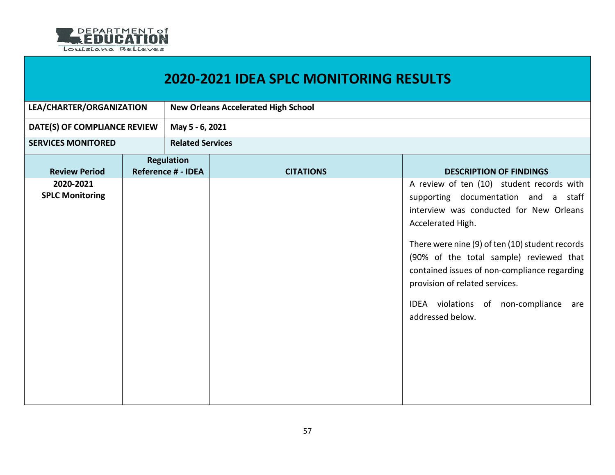

|                                     |                                                | <b>2020-2021 IDEA SPLC MONITORING RESULTS</b> |                                                                                                                                                                                                                                                                                                                                                                                                      |  |
|-------------------------------------|------------------------------------------------|-----------------------------------------------|------------------------------------------------------------------------------------------------------------------------------------------------------------------------------------------------------------------------------------------------------------------------------------------------------------------------------------------------------------------------------------------------------|--|
| LEA/CHARTER/ORGANIZATION            |                                                | <b>New Orleans Accelerated High School</b>    |                                                                                                                                                                                                                                                                                                                                                                                                      |  |
| DATE(S) OF COMPLIANCE REVIEW        | May 5 - 6, 2021                                |                                               |                                                                                                                                                                                                                                                                                                                                                                                                      |  |
| <b>SERVICES MONITORED</b>           |                                                | <b>Related Services</b>                       |                                                                                                                                                                                                                                                                                                                                                                                                      |  |
| <b>Review Period</b>                | <b>Regulation</b><br><b>Reference # - IDEA</b> | <b>CITATIONS</b>                              | <b>DESCRIPTION OF FINDINGS</b>                                                                                                                                                                                                                                                                                                                                                                       |  |
| 2020-2021<br><b>SPLC Monitoring</b> |                                                |                                               | A review of ten (10) student records with<br>supporting documentation and a staff<br>interview was conducted for New Orleans<br>Accelerated High.<br>There were nine (9) of ten (10) student records<br>(90% of the total sample) reviewed that<br>contained issues of non-compliance regarding<br>provision of related services.<br>IDEA violations of<br>non-compliance<br>are<br>addressed below. |  |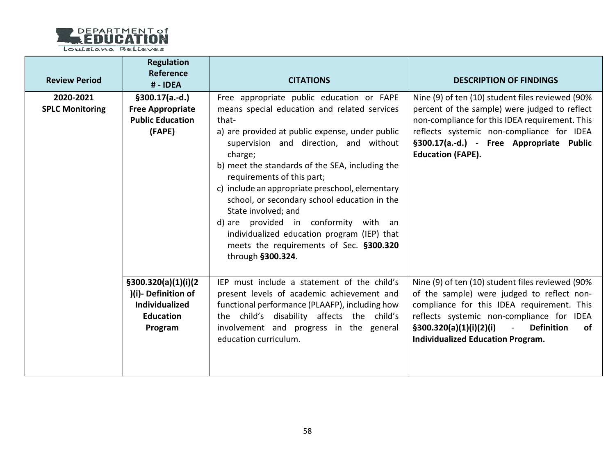

| <b>Review Period</b>                | <b>Regulation</b><br><b>Reference</b><br># - IDEA                                                    | <b>CITATIONS</b>                                                                                                                                                                                                                                                                                                                                                                                                                                                                                                                                                              | <b>DESCRIPTION OF FINDINGS</b>                                                                                                                                                                                                                                                                         |
|-------------------------------------|------------------------------------------------------------------------------------------------------|-------------------------------------------------------------------------------------------------------------------------------------------------------------------------------------------------------------------------------------------------------------------------------------------------------------------------------------------------------------------------------------------------------------------------------------------------------------------------------------------------------------------------------------------------------------------------------|--------------------------------------------------------------------------------------------------------------------------------------------------------------------------------------------------------------------------------------------------------------------------------------------------------|
| 2020-2021<br><b>SPLC Monitoring</b> | $$300.17(a.-d.)$<br><b>Free Appropriate</b><br><b>Public Education</b><br>(FAPE)                     | Free appropriate public education or FAPE<br>means special education and related services<br>that-<br>a) are provided at public expense, under public<br>supervision and direction, and without<br>charge;<br>b) meet the standards of the SEA, including the<br>requirements of this part;<br>c) include an appropriate preschool, elementary<br>school, or secondary school education in the<br>State involved; and<br>d) are provided in conformity with an<br>individualized education program (IEP) that<br>meets the requirements of Sec. §300.320<br>through §300.324. | Nine (9) of ten (10) student files reviewed (90%<br>percent of the sample) were judged to reflect<br>non-compliance for this IDEA requirement. This<br>reflects systemic non-compliance for IDEA<br>§300.17(a.-d.) - Free Appropriate Public<br><b>Education (FAPE).</b>                               |
|                                     | \$300.320(a)(1)(i)(2)<br>)(i)- Definition of<br><b>Individualized</b><br><b>Education</b><br>Program | IEP must include a statement of the child's<br>present levels of academic achievement and<br>functional performance (PLAAFP), including how<br>the child's disability affects the child's<br>involvement and progress in the general<br>education curriculum.                                                                                                                                                                                                                                                                                                                 | Nine (9) of ten (10) student files reviewed (90%<br>of the sample) were judged to reflect non-<br>compliance for this IDEA requirement. This<br>reflects systemic non-compliance for IDEA<br><b>Definition</b><br>\$300.320(a)(1)(i)(2)(i)<br>$\sim$<br>of<br><b>Individualized Education Program.</b> |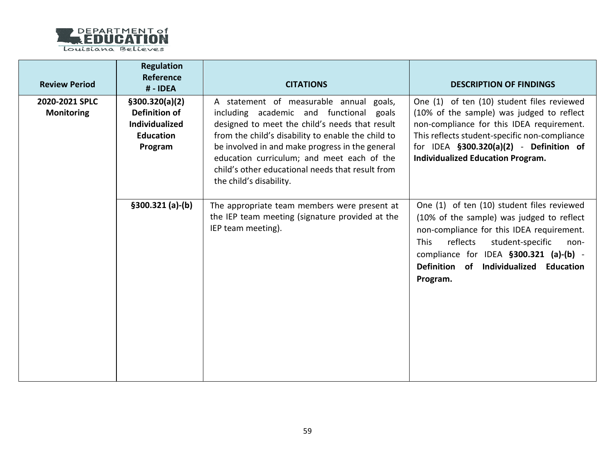

| <b>Review Period</b>                | <b>Regulation</b><br><b>Reference</b><br># - IDEA                                        | <b>CITATIONS</b>                                                                                                                                                                                                                                                                                                                                                           | <b>DESCRIPTION OF FINDINGS</b>                                                                                                                                                                                                                                                       |
|-------------------------------------|------------------------------------------------------------------------------------------|----------------------------------------------------------------------------------------------------------------------------------------------------------------------------------------------------------------------------------------------------------------------------------------------------------------------------------------------------------------------------|--------------------------------------------------------------------------------------------------------------------------------------------------------------------------------------------------------------------------------------------------------------------------------------|
| 2020-2021 SPLC<br><b>Monitoring</b> | \$300.320(a)(2)<br>Definition of<br><b>Individualized</b><br><b>Education</b><br>Program | A statement of measurable annual goals,<br>including academic and functional goals<br>designed to meet the child's needs that result<br>from the child's disability to enable the child to<br>be involved in and make progress in the general<br>education curriculum; and meet each of the<br>child's other educational needs that result from<br>the child's disability. | One (1) of ten (10) student files reviewed<br>(10% of the sample) was judged to reflect<br>non-compliance for this IDEA requirement.<br>This reflects student-specific non-compliance<br>for IDEA $$300.320(a)(2)$ - Definition of<br><b>Individualized Education Program.</b>       |
|                                     | $$300.321 (a)-(b)$                                                                       | The appropriate team members were present at<br>the IEP team meeting (signature provided at the<br>IEP team meeting).                                                                                                                                                                                                                                                      | One (1) of ten (10) student files reviewed<br>(10% of the sample) was judged to reflect<br>non-compliance for this IDEA requirement.<br>reflects<br>student-specific<br>This<br>non-<br>compliance for IDEA §300.321 (a)-(b) -<br>Definition of Individualized Education<br>Program. |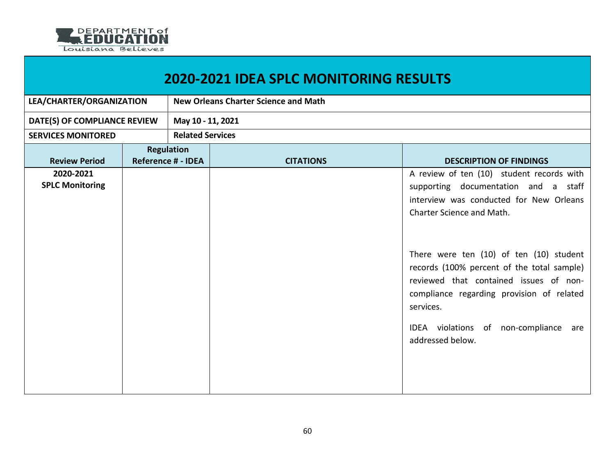

| <b>2020-2021 IDEA SPLC MONITORING RESULTS</b>  |  |                  |                                                                                                                                                                                                                                                           |  |  |
|------------------------------------------------|--|------------------|-----------------------------------------------------------------------------------------------------------------------------------------------------------------------------------------------------------------------------------------------------------|--|--|
| LEA/CHARTER/ORGANIZATION                       |  |                  |                                                                                                                                                                                                                                                           |  |  |
| DATE(S) OF COMPLIANCE REVIEW                   |  |                  |                                                                                                                                                                                                                                                           |  |  |
|                                                |  |                  |                                                                                                                                                                                                                                                           |  |  |
| <b>Regulation</b><br><b>Reference # - IDEA</b> |  | <b>CITATIONS</b> | <b>DESCRIPTION OF FINDINGS</b>                                                                                                                                                                                                                            |  |  |
|                                                |  |                  | A review of ten (10) student records with<br>supporting documentation and a staff<br>interview was conducted for New Orleans<br>Charter Science and Math.                                                                                                 |  |  |
|                                                |  |                  | There were ten (10) of ten (10) student<br>records (100% percent of the total sample)<br>reviewed that contained issues of non-<br>compliance regarding provision of related<br>services.<br>IDEA violations of non-compliance<br>are<br>addressed below. |  |  |
|                                                |  |                  | <b>New Orleans Charter Science and Math</b><br>May 10 - 11, 2021<br><b>Related Services</b>                                                                                                                                                               |  |  |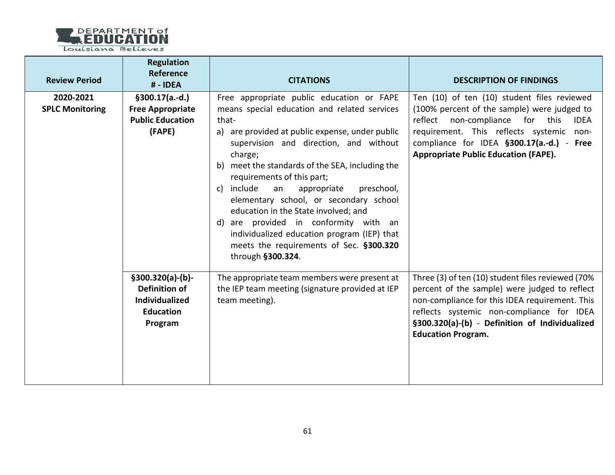

| <b>Review Period</b>                | <b>Regulation</b><br>Reference<br>#-IDEA                                                   | <b>CITATIONS</b>                                                                                                                                                                                                                                                                                                                                                                                                                                                                                                                                                                       | <b>DESCRIPTION OF FINDINGS</b>                                                                                                                                                                                                                                                       |
|-------------------------------------|--------------------------------------------------------------------------------------------|----------------------------------------------------------------------------------------------------------------------------------------------------------------------------------------------------------------------------------------------------------------------------------------------------------------------------------------------------------------------------------------------------------------------------------------------------------------------------------------------------------------------------------------------------------------------------------------|--------------------------------------------------------------------------------------------------------------------------------------------------------------------------------------------------------------------------------------------------------------------------------------|
| 2020-2021<br><b>SPLC Monitoring</b> | $§300.17(a.-d.)$<br><b>Free Appropriate</b><br><b>Public Education</b><br>(FAPE)           | Free appropriate public education or FAPE<br>means special education and related services<br>that-<br>a) are provided at public expense, under public<br>supervision and direction, and without<br>charge;<br>b) meet the standards of the SEA, including the<br>requirements of this part;<br>c) include<br>preschool,<br>an<br>appropriate<br>elementary school, or secondary school<br>education in the State involved; and<br>d) are provided in conformity with an<br>individualized education program (IEP) that<br>meets the requirements of Sec. §300.320<br>through §300.324. | Ten (10) of ten (10) student files reviewed<br>(100% percent of the sample) were judged to<br>reflect non-compliance for this<br><b>IDEA</b><br>requirement. This reflects systemic non-<br>compliance for IDEA §300.17(a.-d.) - Free<br><b>Appropriate Public Education (FAPE).</b> |
|                                     | $§300.320(a)-(b)$<br><b>Definition of</b><br>Individualized<br><b>Education</b><br>Program | The appropriate team members were present at<br>the IEP team meeting (signature provided at IEP<br>team meeting).                                                                                                                                                                                                                                                                                                                                                                                                                                                                      | Three (3) of ten (10) student files reviewed (70%<br>percent of the sample) were judged to reflect<br>non-compliance for this IDEA requirement. This<br>reflects systemic non-compliance for IDEA<br>§300.320(a)-(b) - Definition of Individualized<br><b>Education Program.</b>     |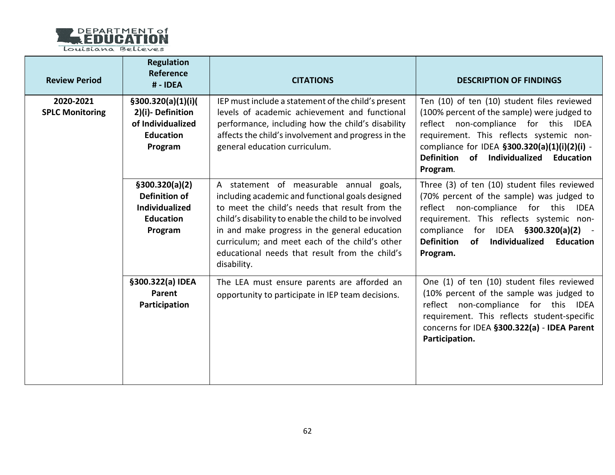

| <b>Review Period</b>                | <b>Regulation</b><br><b>Reference</b><br># - IDEA                                           | <b>CITATIONS</b>                                                                                                                                                                                                                                                                                                                                                           | <b>DESCRIPTION OF FINDINGS</b>                                                                                                                                                                                                                                                                                      |
|-------------------------------------|---------------------------------------------------------------------------------------------|----------------------------------------------------------------------------------------------------------------------------------------------------------------------------------------------------------------------------------------------------------------------------------------------------------------------------------------------------------------------------|---------------------------------------------------------------------------------------------------------------------------------------------------------------------------------------------------------------------------------------------------------------------------------------------------------------------|
| 2020-2021<br><b>SPLC Monitoring</b> | \$300.320(a)(1)(i)(<br>2)(i)-Definition<br>of Individualized<br><b>Education</b><br>Program | IEP must include a statement of the child's present<br>levels of academic achievement and functional<br>performance, including how the child's disability<br>affects the child's involvement and progress in the<br>general education curriculum.                                                                                                                          | Ten (10) of ten (10) student files reviewed<br>(100% percent of the sample) were judged to<br>reflect non-compliance for this<br><b>IDEA</b><br>requirement. This reflects systemic non-<br>compliance for IDEA §300.320(a)(1)(i)(2)(i) -<br>Definition of Individualized Education<br>Program.                     |
|                                     | \$300.320(a)(2)<br>Definition of<br><b>Individualized</b><br><b>Education</b><br>Program    | A statement of measurable annual goals,<br>including academic and functional goals designed<br>to meet the child's needs that result from the<br>child's disability to enable the child to be involved<br>in and make progress in the general education<br>curriculum; and meet each of the child's other<br>educational needs that result from the child's<br>disability. | Three (3) of ten (10) student files reviewed<br>(70% percent of the sample) was judged to<br>reflect non-compliance for this<br><b>IDEA</b><br>requirement. This reflects systemic non-<br>compliance for IDEA §300.320(a)(2) -<br><b>Definition</b><br><b>of</b><br>Individualized<br><b>Education</b><br>Program. |
|                                     | §300.322(a) IDEA<br>Parent<br>Participation                                                 | The LEA must ensure parents are afforded an<br>opportunity to participate in IEP team decisions.                                                                                                                                                                                                                                                                           | One (1) of ten (10) student files reviewed<br>(10% percent of the sample was judged to<br>reflect non-compliance for this IDEA<br>requirement. This reflects student-specific<br>concerns for IDEA §300.322(a) - IDEA Parent<br>Participation.                                                                      |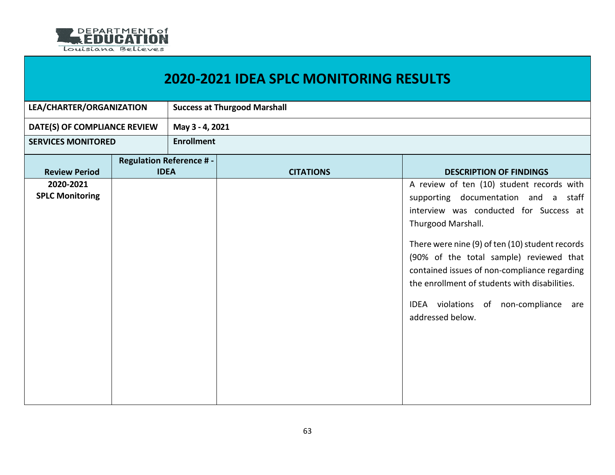

| LEA/CHARTER/ORGANIZATION     |                                | <b>Success at Thurgood Marshall</b> |                  |                                                 |  |
|------------------------------|--------------------------------|-------------------------------------|------------------|-------------------------------------------------|--|
| DATE(S) OF COMPLIANCE REVIEW |                                | May 3 - 4, 2021                     |                  |                                                 |  |
| <b>SERVICES MONITORED</b>    |                                | <b>Enrollment</b>                   |                  |                                                 |  |
|                              | <b>Regulation Reference #-</b> |                                     |                  |                                                 |  |
| <b>Review Period</b>         | <b>IDEA</b>                    |                                     | <b>CITATIONS</b> | <b>DESCRIPTION OF FINDINGS</b>                  |  |
| 2020-2021                    |                                |                                     |                  | A review of ten (10) student records with       |  |
| <b>SPLC Monitoring</b>       |                                |                                     |                  | supporting documentation and a staff            |  |
|                              |                                |                                     |                  | interview was conducted for Success at          |  |
|                              |                                |                                     |                  | Thurgood Marshall.                              |  |
|                              |                                |                                     |                  |                                                 |  |
|                              |                                |                                     |                  | There were nine (9) of ten (10) student records |  |
|                              |                                |                                     |                  | (90% of the total sample) reviewed that         |  |
|                              |                                |                                     |                  | contained issues of non-compliance regarding    |  |
|                              |                                |                                     |                  | the enrollment of students with disabilities.   |  |
|                              |                                |                                     |                  | IDEA violations of non-compliance are           |  |
|                              |                                |                                     |                  | addressed below.                                |  |
|                              |                                |                                     |                  |                                                 |  |
|                              |                                |                                     |                  |                                                 |  |
|                              |                                |                                     |                  |                                                 |  |
|                              |                                |                                     |                  |                                                 |  |
|                              |                                |                                     |                  |                                                 |  |
|                              |                                |                                     |                  |                                                 |  |
|                              |                                |                                     |                  |                                                 |  |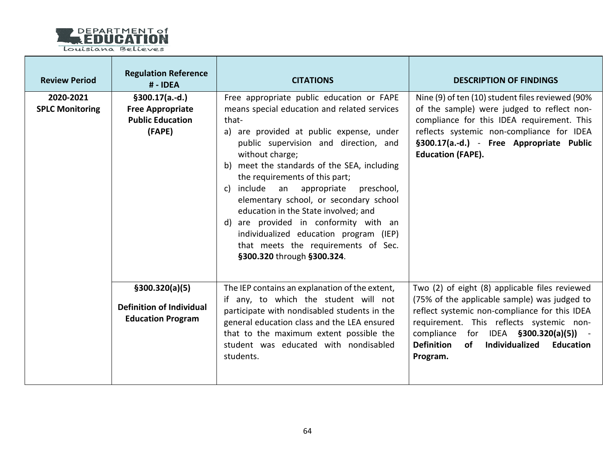

| <b>Review Period</b>                | <b>Regulation Reference</b><br># - IDEA                                          | <b>CITATIONS</b>                                                                                                                                                                                                                                                                                                                                                                                                                                                                                                                                                                       | <b>DESCRIPTION OF FINDINGS</b>                                                                                                                                                                                                                                                                                               |
|-------------------------------------|----------------------------------------------------------------------------------|----------------------------------------------------------------------------------------------------------------------------------------------------------------------------------------------------------------------------------------------------------------------------------------------------------------------------------------------------------------------------------------------------------------------------------------------------------------------------------------------------------------------------------------------------------------------------------------|------------------------------------------------------------------------------------------------------------------------------------------------------------------------------------------------------------------------------------------------------------------------------------------------------------------------------|
| 2020-2021<br><b>SPLC Monitoring</b> | $§300.17(a.-d.)$<br><b>Free Appropriate</b><br><b>Public Education</b><br>(FAPE) | Free appropriate public education or FAPE<br>means special education and related services<br>that-<br>a) are provided at public expense, under<br>public supervision and direction, and<br>without charge;<br>meet the standards of the SEA, including<br>b)<br>the requirements of this part;<br>include an appropriate preschool,<br>C)<br>elementary school, or secondary school<br>education in the State involved; and<br>are provided in conformity with an<br>d)<br>individualized education program (IEP)<br>that meets the requirements of Sec.<br>§300.320 through §300.324. | Nine (9) of ten (10) student files reviewed (90%<br>of the sample) were judged to reflect non-<br>compliance for this IDEA requirement. This<br>reflects systemic non-compliance for IDEA<br>§300.17(a.-d.) - Free Appropriate Public<br><b>Education (FAPE).</b>                                                            |
|                                     | \$300.320(a)(5)<br><b>Definition of Individual</b><br><b>Education Program</b>   | The IEP contains an explanation of the extent,<br>if any, to which the student will not<br>participate with nondisabled students in the<br>general education class and the LEA ensured<br>that to the maximum extent possible the<br>student was educated with nondisabled<br>students.                                                                                                                                                                                                                                                                                                | Two (2) of eight (8) applicable files reviewed<br>(75% of the applicable sample) was judged to<br>reflect systemic non-compliance for this IDEA<br>requirement. This reflects systemic non-<br>compliance for IDEA $\S300.320(a)(5)$ ) -<br><b>Definition</b><br><b>of</b><br>Individualized<br><b>Education</b><br>Program. |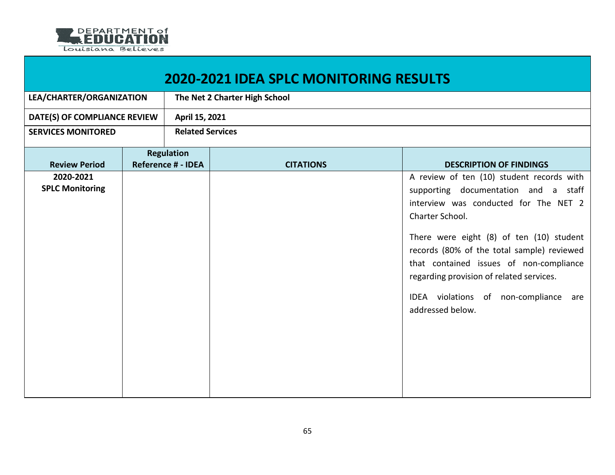

| <b>2020-2021 IDEA SPLC MONITORING RESULTS</b> |  |                                                |                               |                                                                                                                                                                                                                                                                                                                                                                                                |  |  |
|-----------------------------------------------|--|------------------------------------------------|-------------------------------|------------------------------------------------------------------------------------------------------------------------------------------------------------------------------------------------------------------------------------------------------------------------------------------------------------------------------------------------------------------------------------------------|--|--|
| LEA/CHARTER/ORGANIZATION                      |  |                                                | The Net 2 Charter High School |                                                                                                                                                                                                                                                                                                                                                                                                |  |  |
| DATE(S) OF COMPLIANCE REVIEW                  |  | April 15, 2021                                 |                               |                                                                                                                                                                                                                                                                                                                                                                                                |  |  |
| <b>SERVICES MONITORED</b>                     |  | <b>Related Services</b>                        |                               |                                                                                                                                                                                                                                                                                                                                                                                                |  |  |
| <b>Review Period</b>                          |  | <b>Regulation</b><br><b>Reference # - IDEA</b> | <b>CITATIONS</b>              | <b>DESCRIPTION OF FINDINGS</b>                                                                                                                                                                                                                                                                                                                                                                 |  |  |
| 2020-2021<br><b>SPLC Monitoring</b>           |  |                                                |                               | A review of ten (10) student records with<br>supporting documentation and a staff<br>interview was conducted for The NET 2<br>Charter School.<br>There were eight (8) of ten (10) student<br>records (80% of the total sample) reviewed<br>that contained issues of non-compliance<br>regarding provision of related services.<br>IDEA violations of non-compliance<br>are<br>addressed below. |  |  |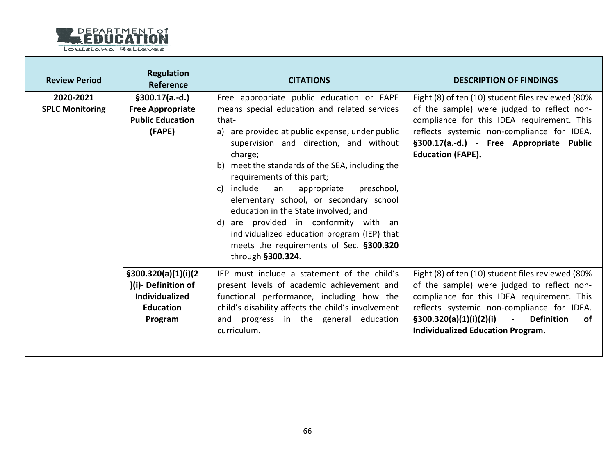

| <b>Review Period</b>                | <b>Regulation</b><br>Reference                                                                      | <b>CITATIONS</b>                                                                                                                                                                                                                                                                                                                                                                                                                                                                                                                                                                    | <b>DESCRIPTION OF FINDINGS</b>                                                                                                                                                                                                                                                                     |
|-------------------------------------|-----------------------------------------------------------------------------------------------------|-------------------------------------------------------------------------------------------------------------------------------------------------------------------------------------------------------------------------------------------------------------------------------------------------------------------------------------------------------------------------------------------------------------------------------------------------------------------------------------------------------------------------------------------------------------------------------------|----------------------------------------------------------------------------------------------------------------------------------------------------------------------------------------------------------------------------------------------------------------------------------------------------|
| 2020-2021<br><b>SPLC Monitoring</b> | $§300.17(a.-d.)$<br><b>Free Appropriate</b><br><b>Public Education</b><br>(FAPE)                    | Free appropriate public education or FAPE<br>means special education and related services<br>that-<br>a) are provided at public expense, under public<br>supervision and direction, and without<br>charge;<br>b) meet the standards of the SEA, including the<br>requirements of this part;<br>c) include an<br>preschool,<br>appropriate<br>elementary school, or secondary school<br>education in the State involved; and<br>d) are provided in conformity with an<br>individualized education program (IEP) that<br>meets the requirements of Sec. §300.320<br>through §300.324. | Eight (8) of ten (10) student files reviewed (80%<br>of the sample) were judged to reflect non-<br>compliance for this IDEA requirement. This<br>reflects systemic non-compliance for IDEA.<br>§300.17(a.-d.) - Free Appropriate Public<br><b>Education (FAPE).</b>                                |
|                                     | \$300.320(a)(1)(i)(2)<br>)(i)-Definition of<br><b>Individualized</b><br><b>Education</b><br>Program | IEP must include a statement of the child's<br>present levels of academic achievement and<br>functional performance, including how the<br>child's disability affects the child's involvement<br>and progress in the general education<br>curriculum.                                                                                                                                                                                                                                                                                                                                | Eight (8) of ten (10) student files reviewed (80%<br>of the sample) were judged to reflect non-<br>compliance for this IDEA requirement. This<br>reflects systemic non-compliance for IDEA.<br>$\S300.320(a)(1)(i)(2)(i)$ -<br><b>Definition</b><br>of<br><b>Individualized Education Program.</b> |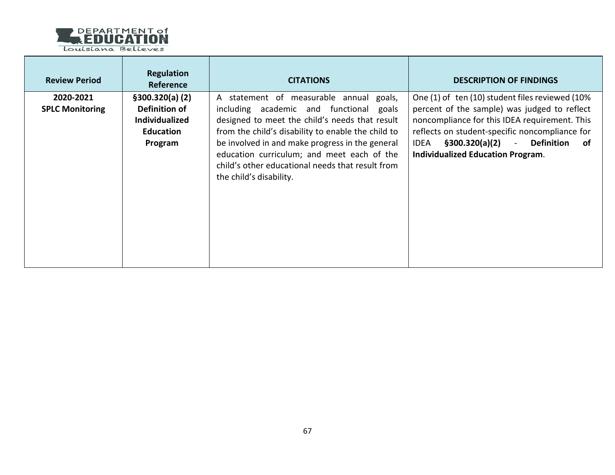

T

 $\mathcal{L}_{\rm{max}}$ 

| <b>Review Period</b>                | <b>Regulation</b><br>Reference                                                            | <b>CITATIONS</b>                                                                                                                                                                                                                                                                                                                                                           | <b>DESCRIPTION OF FINDINGS</b>                                                                                                                                                                                                                                                                  |
|-------------------------------------|-------------------------------------------------------------------------------------------|----------------------------------------------------------------------------------------------------------------------------------------------------------------------------------------------------------------------------------------------------------------------------------------------------------------------------------------------------------------------------|-------------------------------------------------------------------------------------------------------------------------------------------------------------------------------------------------------------------------------------------------------------------------------------------------|
| 2020-2021<br><b>SPLC Monitoring</b> | \$300.320(a) (2)<br>Definition of<br><b>Individualized</b><br><b>Education</b><br>Program | A statement of measurable annual goals,<br>including academic and functional goals<br>designed to meet the child's needs that result<br>from the child's disability to enable the child to<br>be involved in and make progress in the general<br>education curriculum; and meet each of the<br>child's other educational needs that result from<br>the child's disability. | One (1) of ten (10) student files reviewed (10%<br>percent of the sample) was judged to reflect<br>noncompliance for this IDEA requirement. This<br>reflects on student-specific noncompliance for<br>§300.320(a)(2) - Definition of<br><b>IDEA</b><br><b>Individualized Education Program.</b> |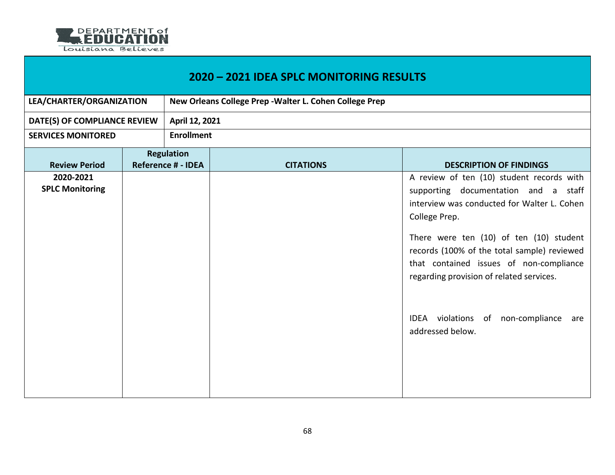

| 2020 - 2021 IDEA SPLC MONITORING RESULTS |                                                |                                                         |                  |                                                                                                                                                                                                                                                                                                                                                                                                       |  |
|------------------------------------------|------------------------------------------------|---------------------------------------------------------|------------------|-------------------------------------------------------------------------------------------------------------------------------------------------------------------------------------------------------------------------------------------------------------------------------------------------------------------------------------------------------------------------------------------------------|--|
| LEA/CHARTER/ORGANIZATION                 |                                                | New Orleans College Prep - Walter L. Cohen College Prep |                  |                                                                                                                                                                                                                                                                                                                                                                                                       |  |
| DATE(S) OF COMPLIANCE REVIEW             |                                                | April 12, 2021                                          |                  |                                                                                                                                                                                                                                                                                                                                                                                                       |  |
| <b>SERVICES MONITORED</b>                |                                                | <b>Enrollment</b>                                       |                  |                                                                                                                                                                                                                                                                                                                                                                                                       |  |
| <b>Review Period</b>                     | <b>Regulation</b><br><b>Reference # - IDEA</b> |                                                         | <b>CITATIONS</b> | <b>DESCRIPTION OF FINDINGS</b>                                                                                                                                                                                                                                                                                                                                                                        |  |
| 2020-2021<br><b>SPLC Monitoring</b>      |                                                |                                                         |                  | A review of ten (10) student records with<br>supporting documentation and a<br>staff<br>interview was conducted for Walter L. Cohen<br>College Prep.<br>There were ten (10) of ten (10) student<br>records (100% of the total sample) reviewed<br>that contained issues of non-compliance<br>regarding provision of related services.<br>IDEA violations of non-compliance<br>are<br>addressed below. |  |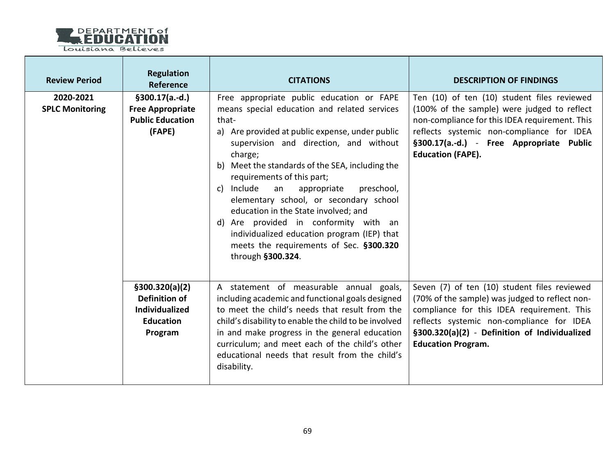

| <b>Review Period</b>                | <b>Regulation</b><br><b>Reference</b>                                                    | <b>CITATIONS</b>                                                                                                                                                                                                                                                                                                                                                                                                                                                                                                                                                                       | <b>DESCRIPTION OF FINDINGS</b>                                                                                                                                                                                                                                          |
|-------------------------------------|------------------------------------------------------------------------------------------|----------------------------------------------------------------------------------------------------------------------------------------------------------------------------------------------------------------------------------------------------------------------------------------------------------------------------------------------------------------------------------------------------------------------------------------------------------------------------------------------------------------------------------------------------------------------------------------|-------------------------------------------------------------------------------------------------------------------------------------------------------------------------------------------------------------------------------------------------------------------------|
| 2020-2021<br><b>SPLC Monitoring</b> | $§300.17(a.-d.)$<br><b>Free Appropriate</b><br><b>Public Education</b><br>(FAPE)         | Free appropriate public education or FAPE<br>means special education and related services<br>that-<br>a) Are provided at public expense, under public<br>supervision and direction, and without<br>charge;<br>b) Meet the standards of the SEA, including the<br>requirements of this part;<br>c) Include<br>an<br>appropriate<br>preschool,<br>elementary school, or secondary school<br>education in the State involved; and<br>d) Are provided in conformity with an<br>individualized education program (IEP) that<br>meets the requirements of Sec. §300.320<br>through §300.324. | Ten (10) of ten (10) student files reviewed<br>(100% of the sample) were judged to reflect<br>non-compliance for this IDEA requirement. This<br>reflects systemic non-compliance for IDEA<br>§300.17(a.-d.) - Free Appropriate Public<br><b>Education (FAPE).</b>       |
|                                     | \$300.320(a)(2)<br>Definition of<br><b>Individualized</b><br><b>Education</b><br>Program | A statement of measurable annual goals,<br>including academic and functional goals designed<br>to meet the child's needs that result from the<br>child's disability to enable the child to be involved<br>in and make progress in the general education<br>curriculum; and meet each of the child's other<br>educational needs that result from the child's<br>disability.                                                                                                                                                                                                             | Seven (7) of ten (10) student files reviewed<br>(70% of the sample) was judged to reflect non-<br>compliance for this IDEA requirement. This<br>reflects systemic non-compliance for IDEA<br>§300.320(a)(2) - Definition of Individualized<br><b>Education Program.</b> |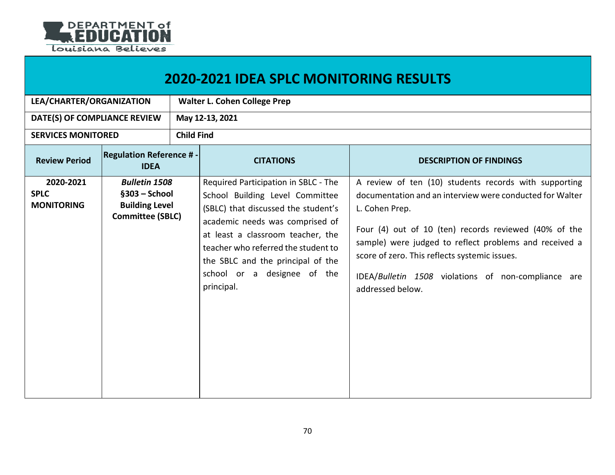

| <b>2020-2021 IDEA SPLC MONITORING RESULTS</b> |                                                                                             |                                     |                                                                                                                                                                                                                                                                                                                 |                                                                                                                                                                                                                                                                                                                                                                                    |  |  |  |  |
|-----------------------------------------------|---------------------------------------------------------------------------------------------|-------------------------------------|-----------------------------------------------------------------------------------------------------------------------------------------------------------------------------------------------------------------------------------------------------------------------------------------------------------------|------------------------------------------------------------------------------------------------------------------------------------------------------------------------------------------------------------------------------------------------------------------------------------------------------------------------------------------------------------------------------------|--|--|--|--|
| LEA/CHARTER/ORGANIZATION                      |                                                                                             | <b>Walter L. Cohen College Prep</b> |                                                                                                                                                                                                                                                                                                                 |                                                                                                                                                                                                                                                                                                                                                                                    |  |  |  |  |
| DATE(S) OF COMPLIANCE REVIEW                  |                                                                                             | May 12-13, 2021                     |                                                                                                                                                                                                                                                                                                                 |                                                                                                                                                                                                                                                                                                                                                                                    |  |  |  |  |
| <b>SERVICES MONITORED</b>                     |                                                                                             | <b>Child Find</b>                   |                                                                                                                                                                                                                                                                                                                 |                                                                                                                                                                                                                                                                                                                                                                                    |  |  |  |  |
| <b>Review Period</b>                          | <b>Regulation Reference #</b><br><b>IDEA</b>                                                |                                     | <b>CITATIONS</b>                                                                                                                                                                                                                                                                                                | <b>DESCRIPTION OF FINDINGS</b>                                                                                                                                                                                                                                                                                                                                                     |  |  |  |  |
| 2020-2021<br><b>SPLC</b><br><b>MONITORING</b> | <b>Bulletin 1508</b><br>$§303 - School$<br><b>Building Level</b><br><b>Committee (SBLC)</b> |                                     | Required Participation in SBLC - The<br>School Building Level Committee<br>(SBLC) that discussed the student's<br>academic needs was comprised of<br>at least a classroom teacher, the<br>teacher who referred the student to<br>the SBLC and the principal of the<br>school or a designee of the<br>principal. | A review of ten (10) students records with supporting<br>documentation and an interview were conducted for Walter<br>L. Cohen Prep.<br>Four (4) out of 10 (ten) records reviewed (40% of the<br>sample) were judged to reflect problems and received a<br>score of zero. This reflects systemic issues.<br>IDEA/Bulletin 1508 violations of non-compliance are<br>addressed below. |  |  |  |  |